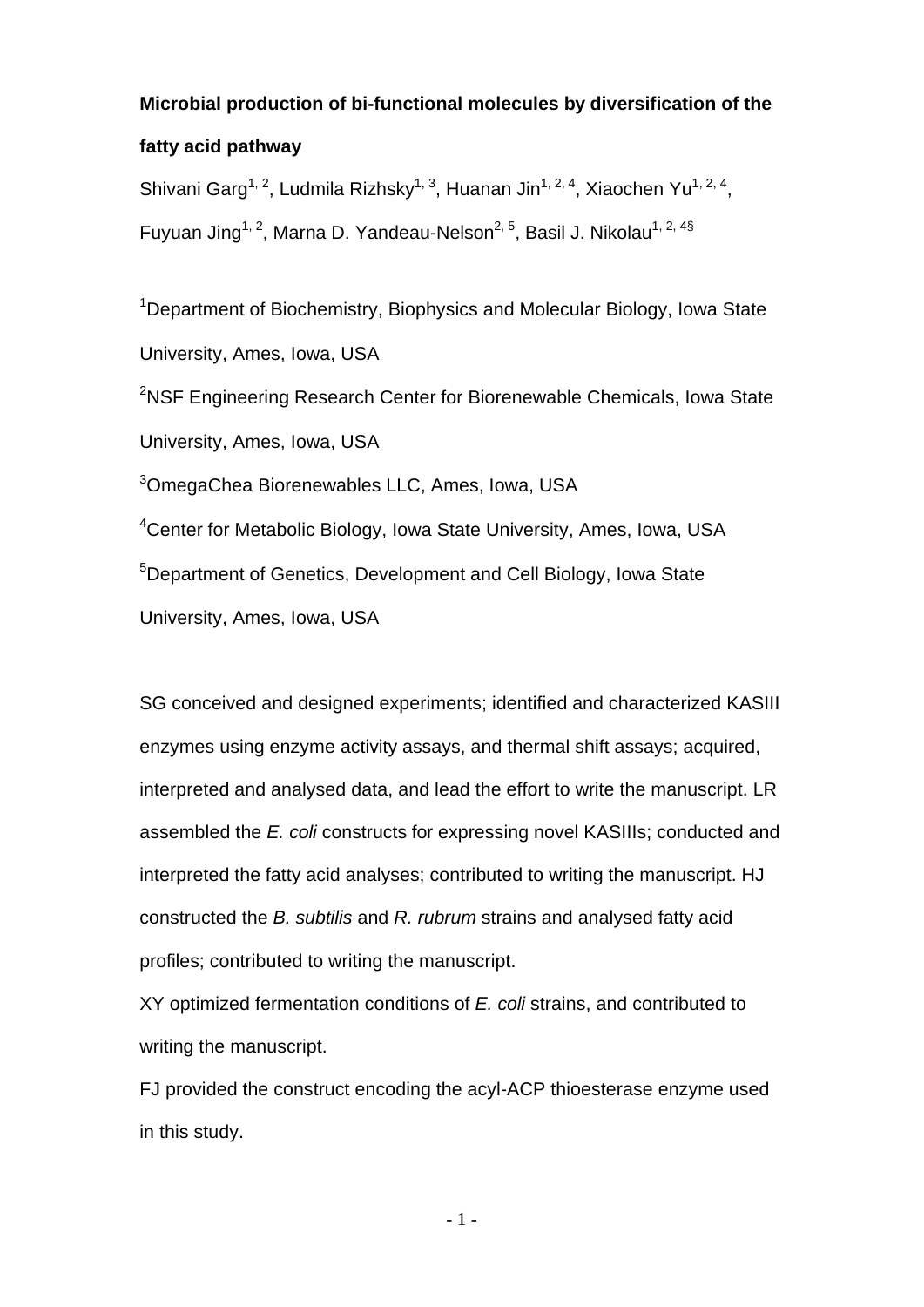## **Microbial production of bi-functional molecules by diversification of the**

# **fatty acid pathway**

Shivani Garg<sup>1, 2</sup>, Ludmila Rizhsky<sup>1, 3</sup>, Huanan Jin<sup>1, 2, 4</sup>, Xiaochen Yu<sup>1, 2, 4</sup>, Fuyuan Jing<sup>1, 2</sup>, Marna D. Yandeau-Nelson<sup>2, 5</sup>, Basil J. Nikolau<sup>1, 2, 4§</sup>

<sup>1</sup>Department of Biochemistry, Biophysics and Molecular Biology, Iowa State University, Ames, Iowa, USA

<sup>2</sup>NSF Engineering Research Center for Biorenewable Chemicals, Iowa State University, Ames, Iowa, USA

<sup>3</sup>OmegaChea Biorenewables LLC, Ames, Iowa, USA

<sup>4</sup>Center for Metabolic Biology, Iowa State University, Ames, Iowa, USA <sup>5</sup>Department of Genetics, Development and Cell Biology, Iowa State University, Ames, Iowa, USA

SG conceived and designed experiments; identified and characterized KASIII enzymes using enzyme activity assays, and thermal shift assays; acquired, interpreted and analysed data, and lead the effort to write the manuscript. LR assembled the *E. coli* constructs for expressing novel KASIIIs; conducted and interpreted the fatty acid analyses; contributed to writing the manuscript. HJ constructed the *B. subtilis* and *R. rubrum* strains and analysed fatty acid profiles; contributed to writing the manuscript.

XY optimized fermentation conditions of *E. coli* strains, and contributed to writing the manuscript.

FJ provided the construct encoding the acyl-ACP thioesterase enzyme used in this study.

- 1 -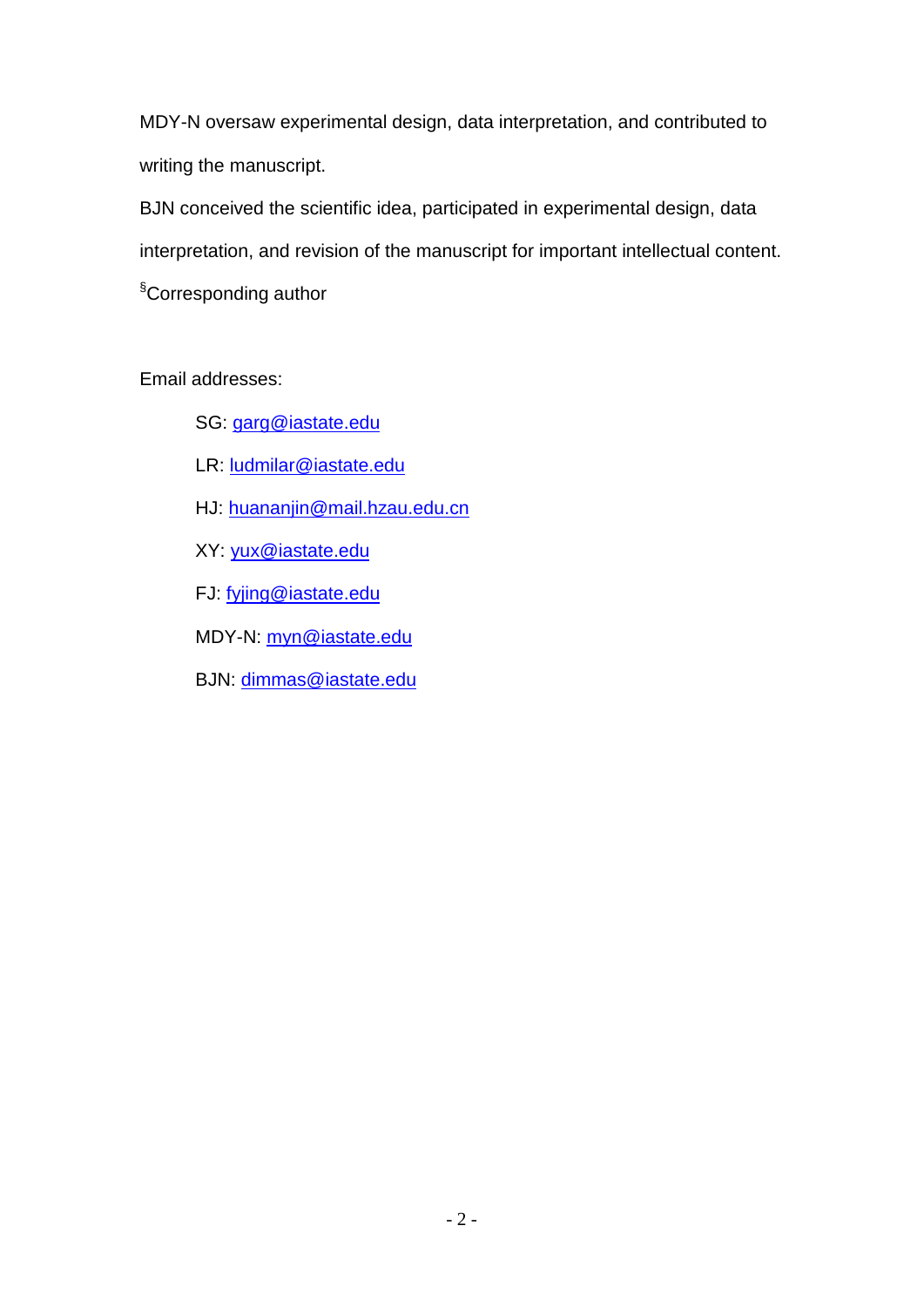MDY-N oversaw experimental design, data interpretation, and contributed to writing the manuscript.

BJN conceived the scientific idea, participated in experimental design, data interpretation, and revision of the manuscript for important intellectual content. § Corresponding author

Email addresses:

- SG: [garg@iastate.edu](mailto:garg@iastate.edu)
- LR: [ludmilar@iastate.edu](mailto:ludmilar@iastate.edu)
- HJ: huananjin@mail.hzau.edu.cn
- XY: [yux@iastate.edu](mailto:yux@iastate.edu)
- FJ: fyjing@iastate.edu
- MDY-N: [myn@iastate.edu](mailto:myn@iastate.edu)
- BJN: [dimmas@iastate.edu](mailto:dimmas@iastate.edu)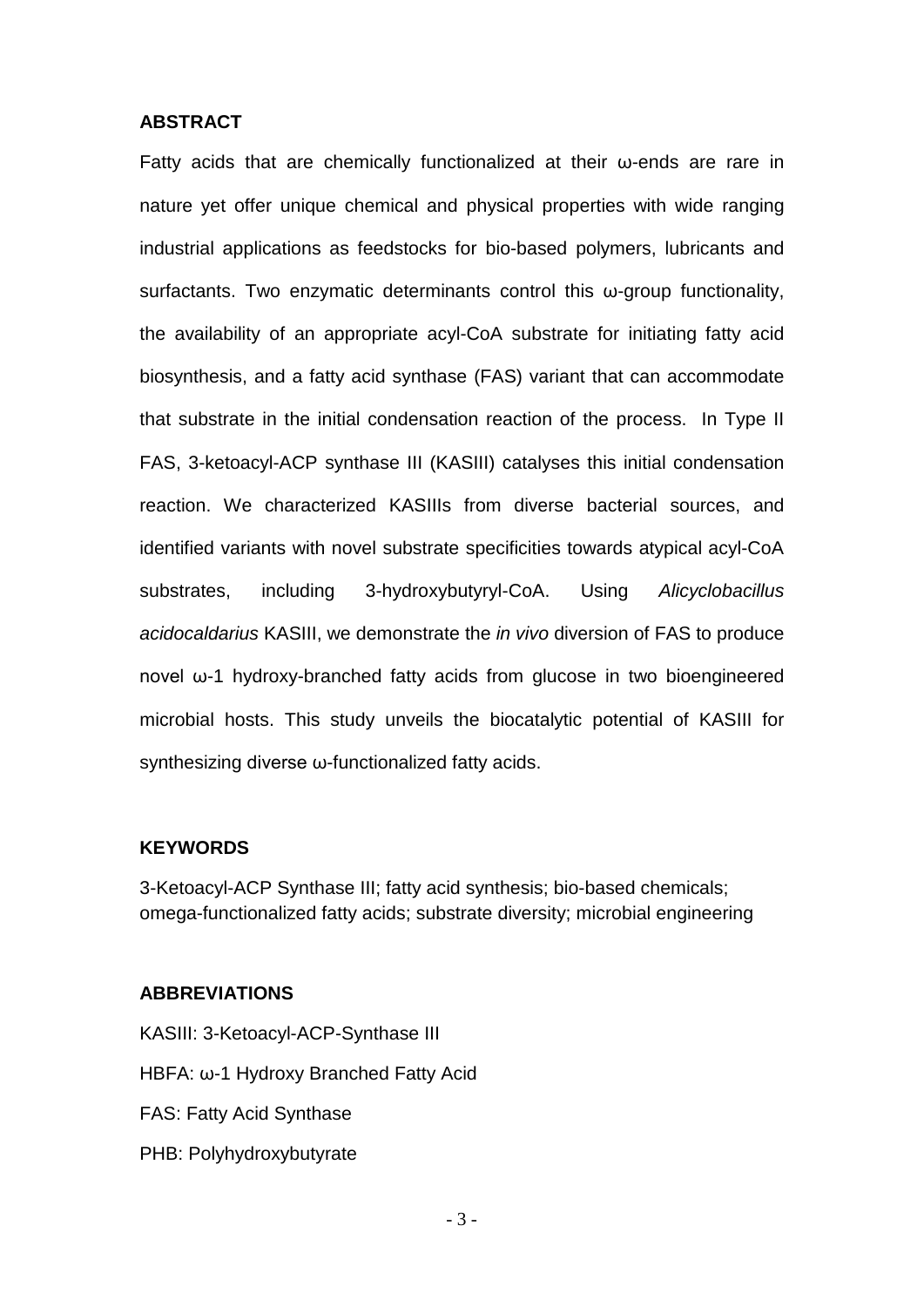#### **ABSTRACT**

Fatty acids that are chemically functionalized at their ω-ends are rare in nature yet offer unique chemical and physical properties with wide ranging industrial applications as feedstocks for bio-based polymers, lubricants and surfactants. Two enzymatic determinants control this ω-group functionality, the availability of an appropriate acyl-CoA substrate for initiating fatty acid biosynthesis, and a fatty acid synthase (FAS) variant that can accommodate that substrate in the initial condensation reaction of the process. In Type II FAS, 3-ketoacyl-ACP synthase III (KASIII) catalyses this initial condensation reaction. We characterized KASIIIs from diverse bacterial sources, and identified variants with novel substrate specificities towards atypical acyl-CoA substrates, including 3-hydroxybutyryl-CoA. Using *Alicyclobacillus acidocaldarius* KASIII, we demonstrate the *in vivo* diversion of FAS to produce novel ω-1 hydroxy-branched fatty acids from glucose in two bioengineered microbial hosts. This study unveils the biocatalytic potential of KASIII for synthesizing diverse ω-functionalized fatty acids.

# **KEYWORDS**

3-Ketoacyl-ACP Synthase III; fatty acid synthesis; bio-based chemicals; omega-functionalized fatty acids; substrate diversity; microbial engineering

# **ABBREVIATIONS**

KASIII: 3-Ketoacyl-ACP-Synthase III HBFA: ω-1 Hydroxy Branched Fatty Acid FAS: Fatty Acid Synthase PHB: Polyhydroxybutyrate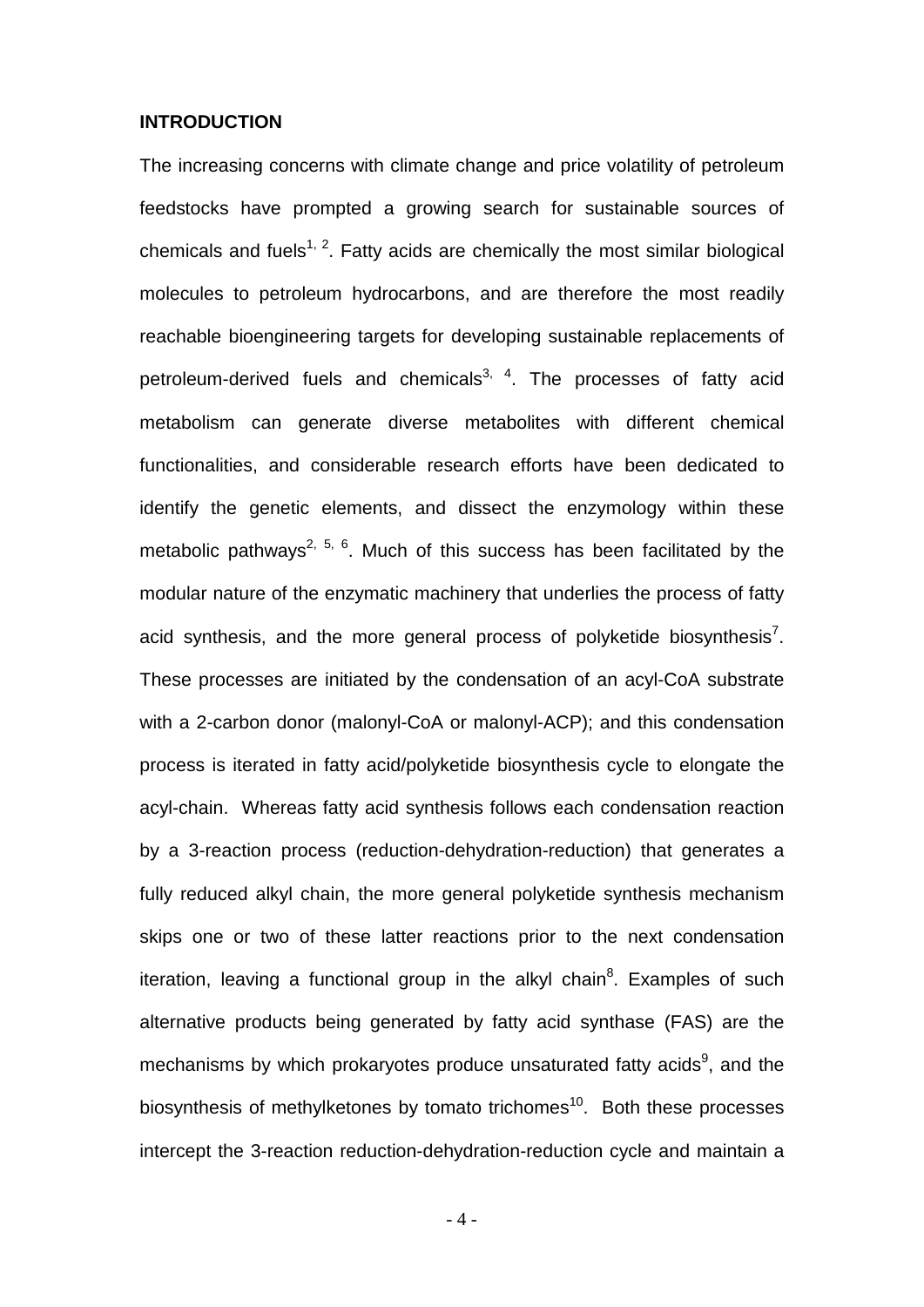#### **INTRODUCTION**

The increasing concerns with climate change and price volatility of petroleum feedstocks have prompted a growing search for sustainable sources of chemicals and fuels<sup>1, 2</sup>. Fatty acids are chemically the most similar biological molecules to petroleum hydrocarbons, and are therefore the most readily reachable bioengineering targets for developing sustainable replacements of petroleum-derived fuels and chemicals<sup>3, 4</sup>. The processes of fatty acid metabolism can generate diverse metabolites with different chemical functionalities, and considerable research efforts have been dedicated to identify the genetic elements, and dissect the enzymology within these metabolic pathways<sup>2, 5, 6</sup>. Much of this success has been facilitated by the modular nature of the enzymatic machinery that underlies the process of fatty acid synthesis, and the more general process of polyketide biosynthesis<sup>7</sup>. These processes are initiated by the condensation of an acyl-CoA substrate with a 2-carbon donor (malonyl-CoA or malonyl-ACP); and this condensation process is iterated in fatty acid/polyketide biosynthesis cycle to elongate the acyl-chain. Whereas fatty acid synthesis follows each condensation reaction by a 3-reaction process (reduction-dehydration-reduction) that generates a fully reduced alkyl chain, the more general polyketide synthesis mechanism skips one or two of these latter reactions prior to the next condensation iteration, leaving a functional group in the alkyl chain<sup>8</sup>. Examples of such alternative products being generated by fatty acid synthase (FAS) are the mechanisms by which prokaryotes produce unsaturated fatty acids<sup>9</sup>, and the biosynthesis of methylketones by tomato trichomes<sup>10</sup>. Both these processes intercept the 3-reaction reduction-dehydration-reduction cycle and maintain a

- 4 -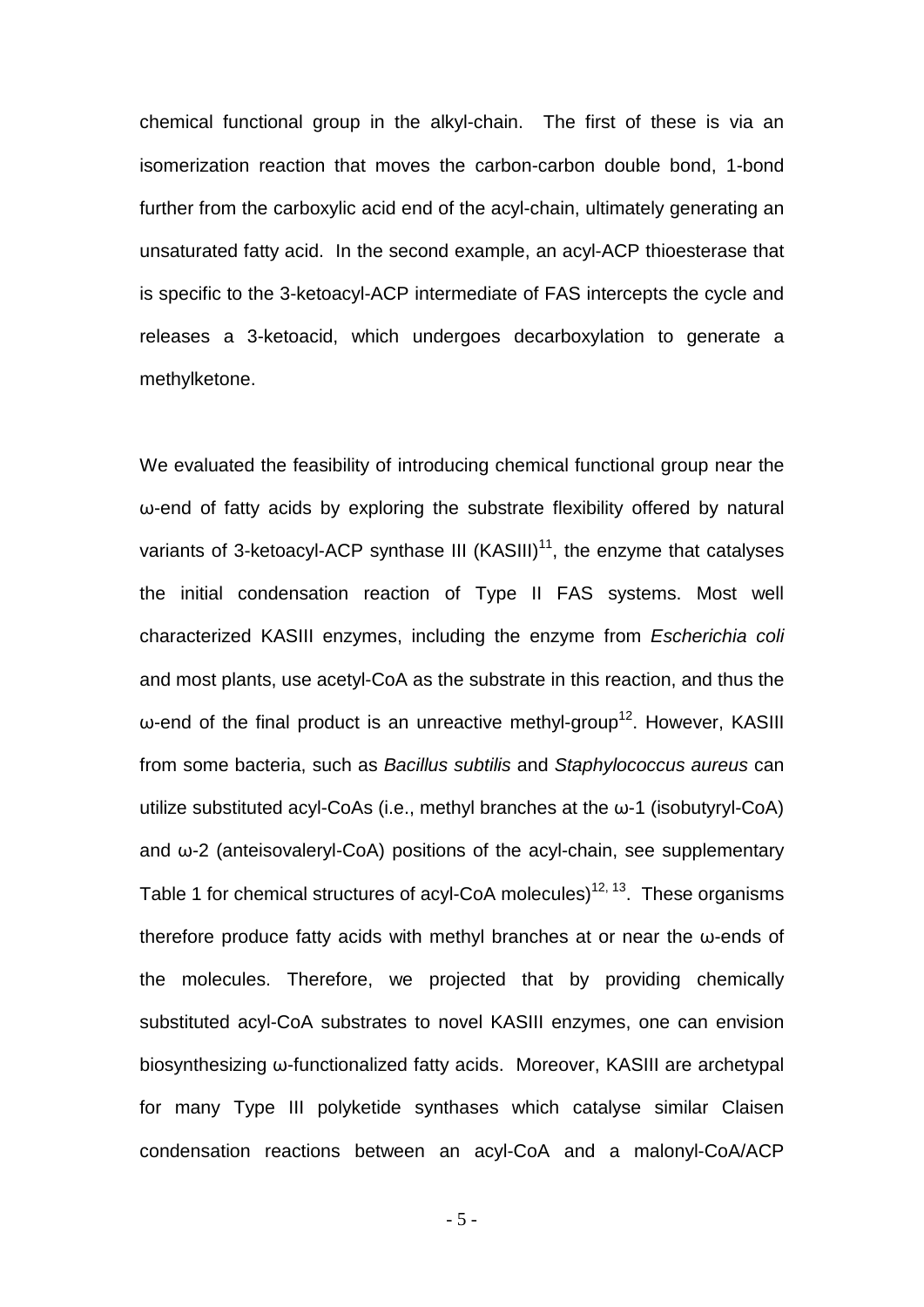chemical functional group in the alkyl-chain. The first of these is via an isomerization reaction that moves the carbon-carbon double bond, 1-bond further from the carboxylic acid end of the acyl-chain, ultimately generating an unsaturated fatty acid. In the second example, an acyl-ACP thioesterase that is specific to the 3-ketoacyl-ACP intermediate of FAS intercepts the cycle and releases a 3-ketoacid, which undergoes decarboxylation to generate a methylketone.

We evaluated the feasibility of introducing chemical functional group near the ω-end of fatty acids by exploring the substrate flexibility offered by natural variants of 3-ketoacyl-ACP synthase III (KASIII) $<sup>11</sup>$ , the enzyme that catalyses</sup> the initial condensation reaction of Type II FAS systems. Most well characterized KASIII enzymes, including the enzyme from *Escherichia coli* and most plants, use acetyl-CoA as the substrate in this reaction, and thus the  $ω$ -end of the final product is an unreactive methyl-group<sup>12</sup>. However, KASIII from some bacteria, such as *Bacillus subtilis* and *Staphylococcus aureus* can utilize substituted acyl-CoAs (i.e., methyl branches at the ω-1 (isobutyryl-CoA) and ω-2 (anteisovaleryl-CoA) positions of the acyl-chain, see supplementary Table 1 for chemical structures of acyl-CoA molecules)<sup>12, 13</sup>. These organisms therefore produce fatty acids with methyl branches at or near the ω-ends of the molecules. Therefore, we projected that by providing chemically substituted acyl-CoA substrates to novel KASIII enzymes, one can envision biosynthesizing ω-functionalized fatty acids. Moreover, KASIII are archetypal for many Type III polyketide synthases which catalyse similar Claisen condensation reactions between an acyl-CoA and a malonyl-CoA/ACP

- 5 -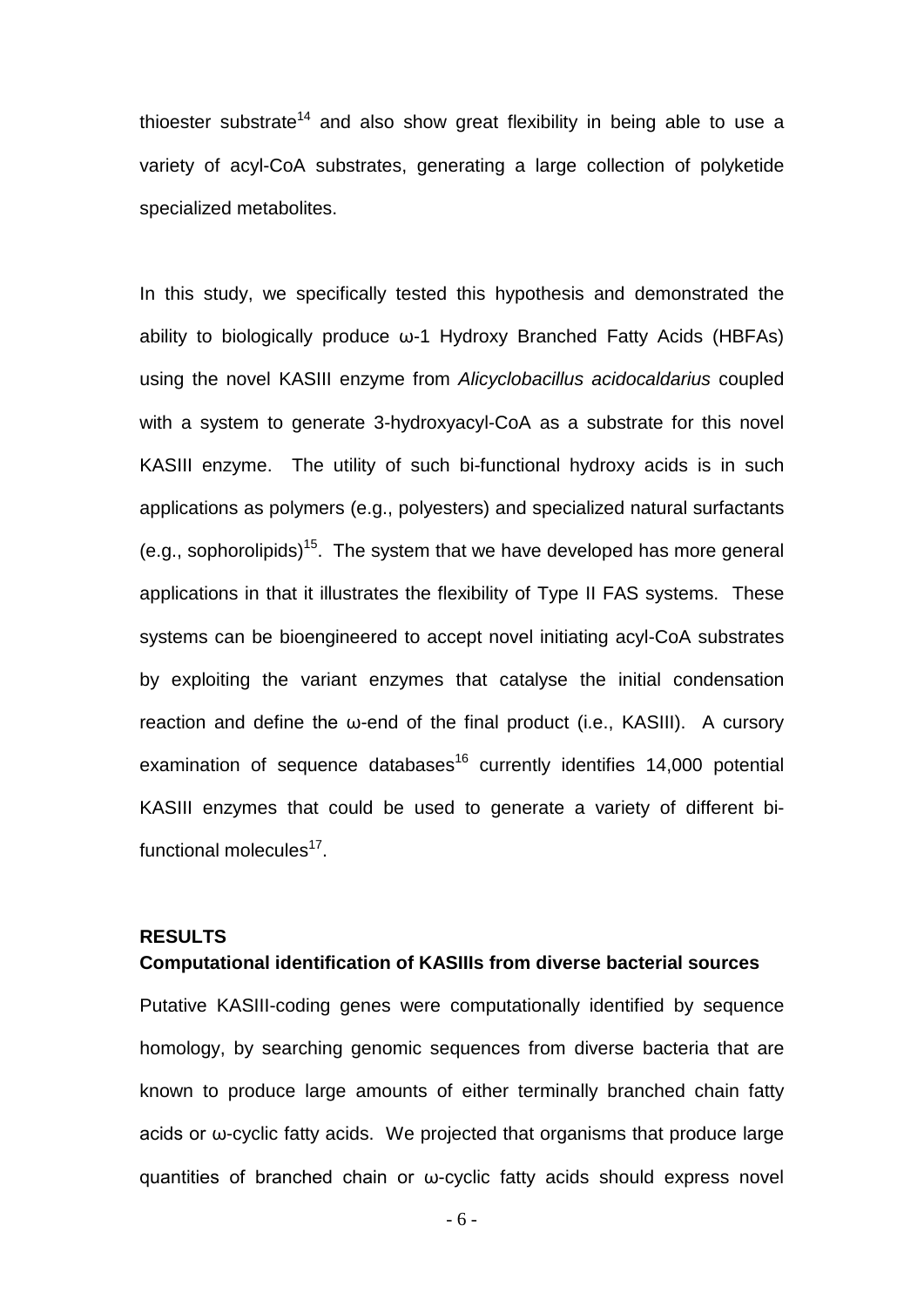thioester substrate<sup>14</sup> and also show great flexibility in being able to use a variety of acyl-CoA substrates, generating a large collection of polyketide specialized metabolites.

In this study, we specifically tested this hypothesis and demonstrated the ability to biologically produce ω-1 Hydroxy Branched Fatty Acids (HBFAs) using the novel KASIII enzyme from *Alicyclobacillus acidocaldarius* coupled with a system to generate 3-hydroxyacyl-CoA as a substrate for this novel KASIII enzyme. The utility of such bi-functional hydroxy acids is in such applications as polymers (e.g., polyesters) and specialized natural surfactants (e.g., sophorolipids)<sup>15</sup>. The system that we have developed has more general applications in that it illustrates the flexibility of Type II FAS systems. These systems can be bioengineered to accept novel initiating acyl-CoA substrates by exploiting the variant enzymes that catalyse the initial condensation reaction and define the ω-end of the final product (i.e., KASIII). A cursory examination of sequence databases<sup>16</sup> currently identifies 14,000 potential KASIII enzymes that could be used to generate a variety of different bifunctional molecules $^{17}$ .

# **RESULTS**

#### **Computational identification of KASIIIs from diverse bacterial sources**

Putative KASIII-coding genes were computationally identified by sequence homology, by searching genomic sequences from diverse bacteria that are known to produce large amounts of either terminally branched chain fatty acids or ω-cyclic fatty acids. We projected that organisms that produce large quantities of branched chain or ω-cyclic fatty acids should express novel

- 6 -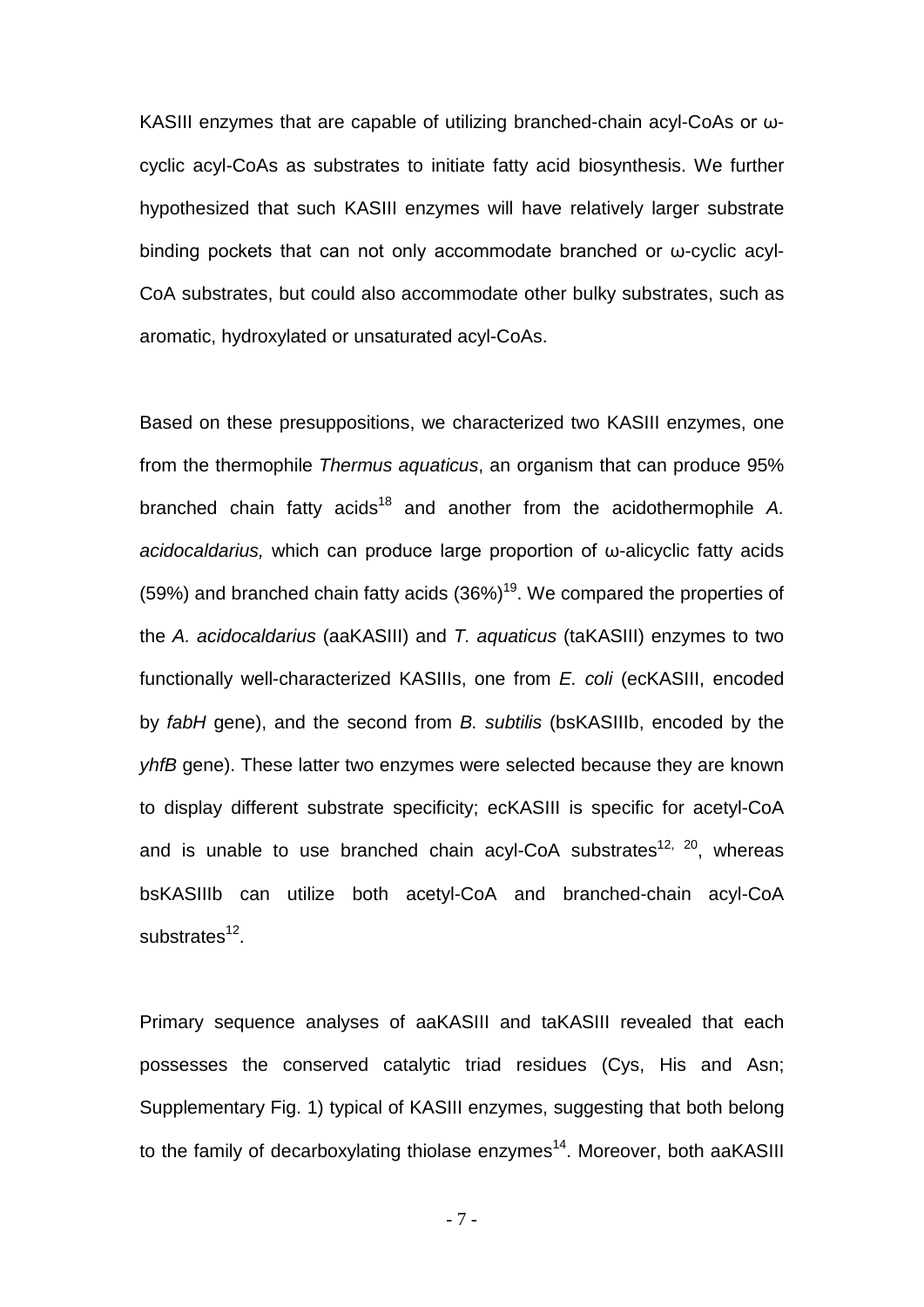KASIII enzymes that are capable of utilizing branched-chain acyl-CoAs or ωcyclic acyl-CoAs as substrates to initiate fatty acid biosynthesis. We further hypothesized that such KASIII enzymes will have relatively larger substrate binding pockets that can not only accommodate branched or ω-cyclic acyl-CoA substrates, but could also accommodate other bulky substrates, such as aromatic, hydroxylated or unsaturated acyl-CoAs.

Based on these presuppositions, we characterized two KASIII enzymes, one from the thermophile *Thermus aquaticus*, an organism that can produce 95% branched chain fatty acids<sup>18</sup> and another from the acidothermophile A. *acidocaldarius,* which can produce large proportion of ω-alicyclic fatty acids (59%) and branched chain fatty acids  $(36\%)$ <sup>19</sup>. We compared the properties of the *A. acidocaldarius* (aaKASIII) and *T. aquaticus* (taKASIII) enzymes to two functionally well-characterized KASIIIs, one from *E. coli* (ecKASIII, encoded by *fabH* gene), and the second from *B. subtilis* (bsKASIIIb, encoded by the *yhfB* gene). These latter two enzymes were selected because they are known to display different substrate specificity; ecKASIII is specific for acetyl-CoA and is unable to use branched chain acyl-CoA substrates<sup>12, 20</sup>, whereas bsKASIIIb can utilize both acetyl-CoA and branched-chain acyl-CoA substrates $12$ .

Primary sequence analyses of aaKASIII and taKASIII revealed that each possesses the conserved catalytic triad residues (Cys, His and Asn; Supplementary Fig. 1) typical of KASIII enzymes, suggesting that both belong to the family of decarboxylating thiolase enzymes<sup>14</sup>. Moreover, both aaKASIII

- 7 -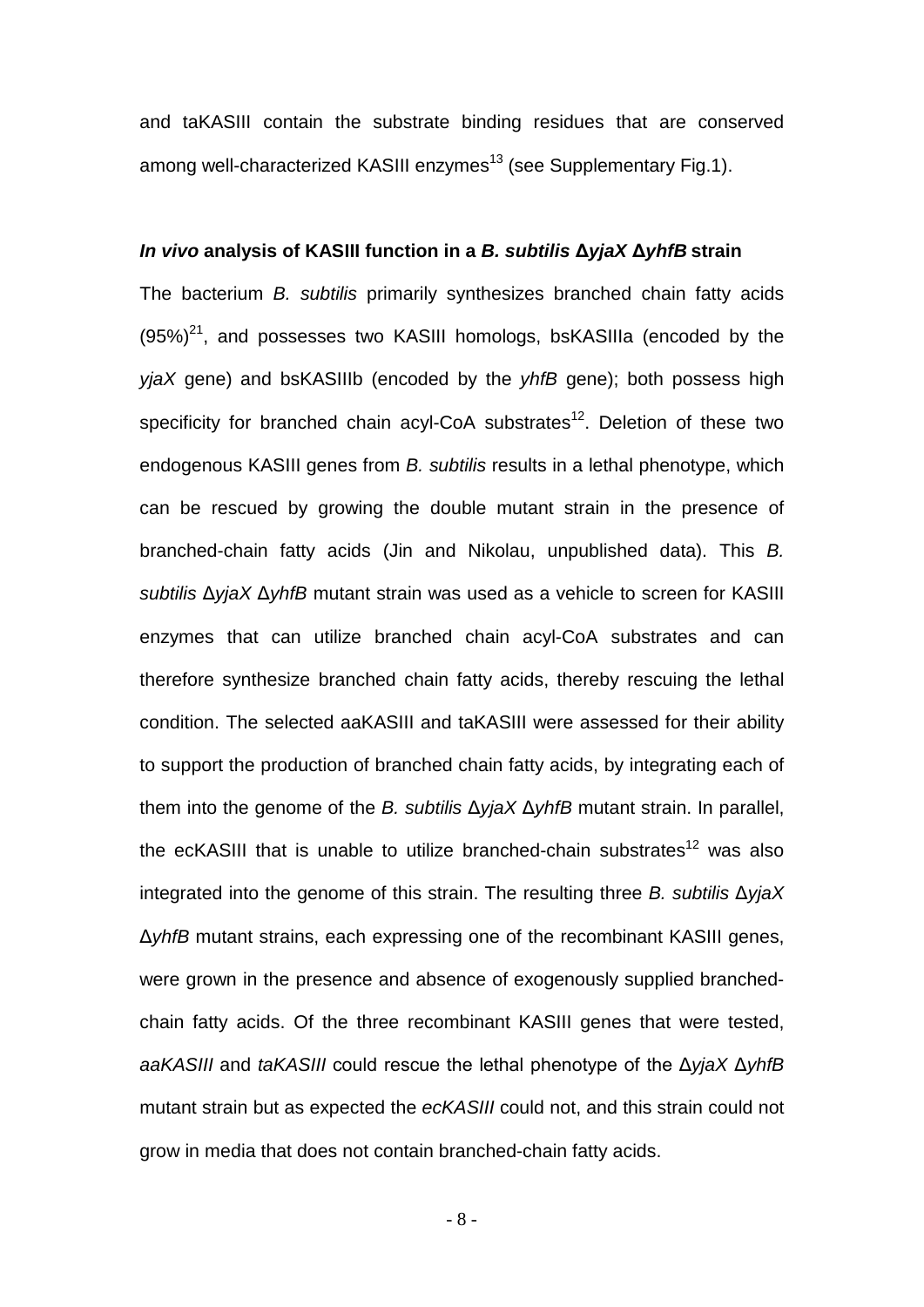and taKASIII contain the substrate binding residues that are conserved among well-characterized KASIII enzymes<sup>13</sup> (see Supplementary Fig.1).

#### *In vivo* **analysis of KASIII function in a** *B. subtilis* **Δ***yjaX* **Δ***yhfB* **strain**

The bacterium *B. subtilis* primarily synthesizes branched chain fatty acids  $(95\%)^{21}$ , and possesses two KASIII homologs, bsKASIIIa (encoded by the *yjaX* gene) and bsKASIIIb (encoded by the *yhfB* gene); both possess high specificity for branched chain acyl-CoA substrates<sup>12</sup>. Deletion of these two endogenous KASIII genes from *B. subtilis* results in a lethal phenotype, which can be rescued by growing the double mutant strain in the presence of branched-chain fatty acids (Jin and Nikolau, unpublished data). This *B. subtilis* Δ*yjaX* Δ*yhfB* mutant strain was used as a vehicle to screen for KASIII enzymes that can utilize branched chain acyl-CoA substrates and can therefore synthesize branched chain fatty acids, thereby rescuing the lethal condition. The selected aaKASIII and taKASIII were assessed for their ability to support the production of branched chain fatty acids, by integrating each of them into the genome of the *B. subtilis* Δ*yjaX* Δ*yhfB* mutant strain. In parallel, the ecKASIII that is unable to utilize branched-chain substrates<sup>12</sup> was also integrated into the genome of this strain. The resulting three *B. subtilis* Δ*yjaX*  Δ*yhfB* mutant strains, each expressing one of the recombinant KASIII genes, were grown in the presence and absence of exogenously supplied branchedchain fatty acids. Of the three recombinant KASIII genes that were tested, *aaKASIII* and *taKASIII* could rescue the lethal phenotype of the Δ*yjaX* Δ*yhfB*  mutant strain but as expected the *ecKASIII* could not, and this strain could not grow in media that does not contain branched-chain fatty acids.

- 8 -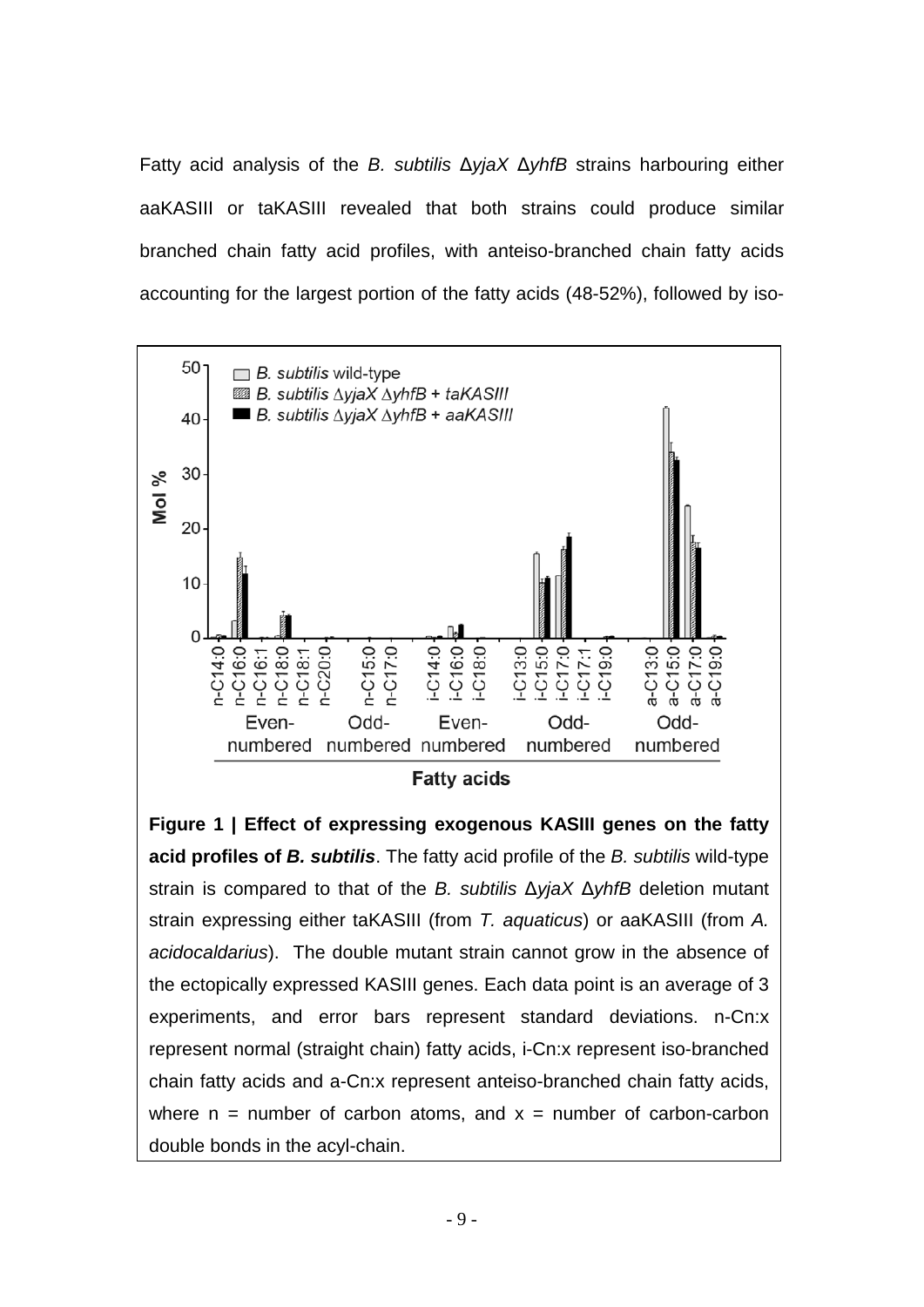Fatty acid analysis of the *B. subtilis* Δ*yjaX* Δ*yhfB* strains harbouring either aaKASIII or taKASIII revealed that both strains could produce similar branched chain fatty acid profiles, with anteiso-branched chain fatty acids accounting for the largest portion of the fatty acids (48-52%), followed by iso-



**Figure 1 | Effect of expressing exogenous KASIII genes on the fatty acid profiles of** *B. subtilis*. The fatty acid profile of the *B. subtilis* wild-type strain is compared to that of the *B. subtilis* Δ*yjaX* Δ*yhfB* deletion mutant strain expressing either taKASIII (from *T. aquaticus*) or aaKASIII (from *A. acidocaldarius*). The double mutant strain cannot grow in the absence of the ectopically expressed KASIII genes. Each data point is an average of 3 experiments, and error bars represent standard deviations. n-Cn:x represent normal (straight chain) fatty acids, i-Cn:x represent iso-branched chain fatty acids and a-Cn:x represent anteiso-branched chain fatty acids, where  $n =$  number of carbon atoms, and  $x =$  number of carbon-carbon double bonds in the acyl-chain.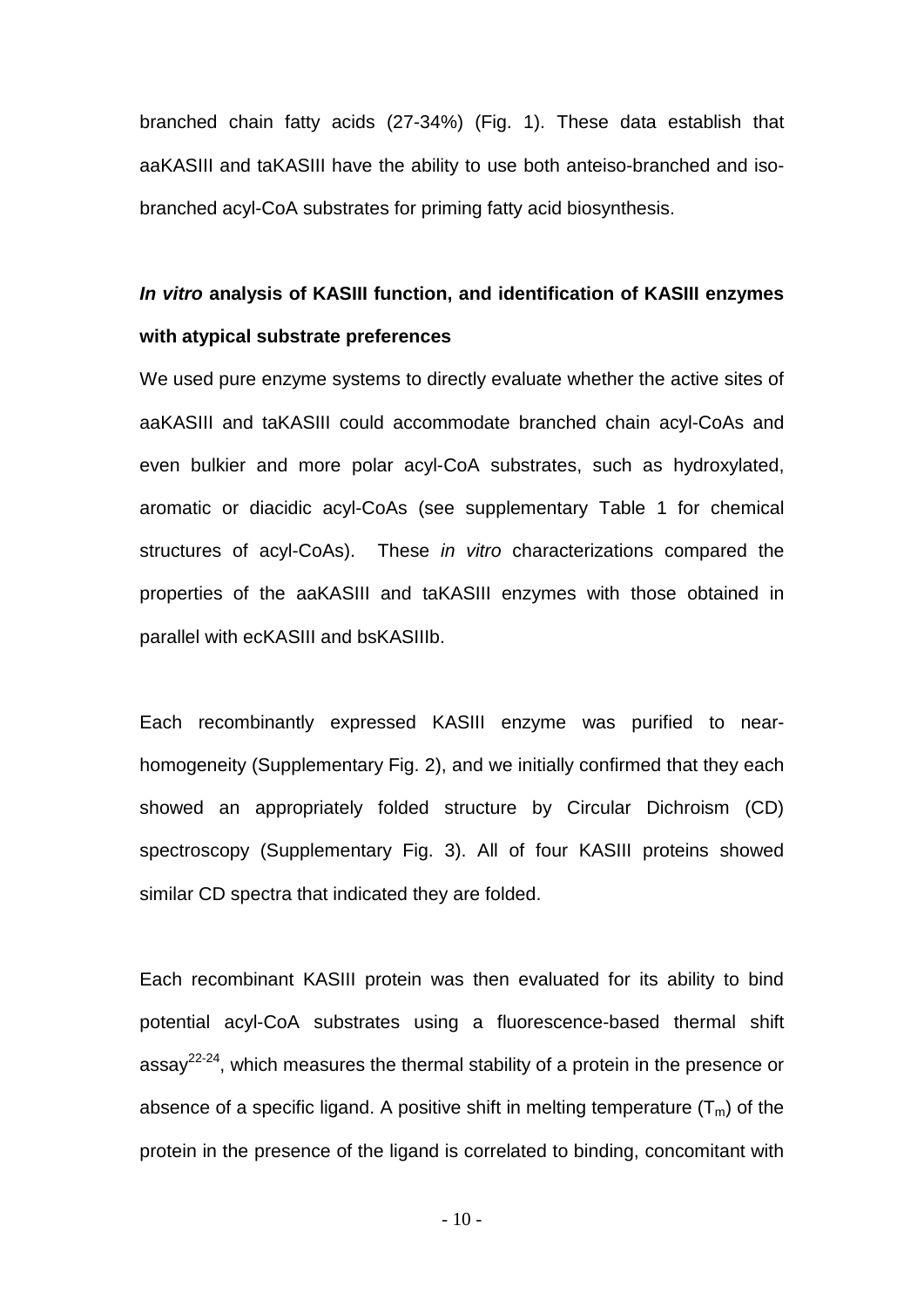branched chain fatty acids (27-34%) (Fig. 1). These data establish that aaKASIII and taKASIII have the ability to use both anteiso-branched and isobranched acyl-CoA substrates for priming fatty acid biosynthesis.

# *In vitro* **analysis of KASIII function, and identification of KASIII enzymes with atypical substrate preferences**

We used pure enzyme systems to directly evaluate whether the active sites of aaKASIII and taKASIII could accommodate branched chain acyl-CoAs and even bulkier and more polar acyl-CoA substrates, such as hydroxylated, aromatic or diacidic acyl-CoAs (see supplementary Table 1 for chemical structures of acyl-CoAs). These *in vitro* characterizations compared the properties of the aaKASIII and taKASIII enzymes with those obtained in parallel with ecKASIII and bsKASIIIb.

Each recombinantly expressed KASIII enzyme was purified to nearhomogeneity (Supplementary Fig. 2), and we initially confirmed that they each showed an appropriately folded structure by Circular Dichroism (CD) spectroscopy (Supplementary Fig. 3). All of four KASIII proteins showed similar CD spectra that indicated they are folded.

Each recombinant KASIII protein was then evaluated for its ability to bind potential acyl-CoA substrates using a fluorescence-based thermal shift assay<sup>22-24</sup>, which measures the thermal stability of a protein in the presence or absence of a specific ligand. A positive shift in melting temperature  $(T_m)$  of the protein in the presence of the ligand is correlated to binding, concomitant with

 $-10-$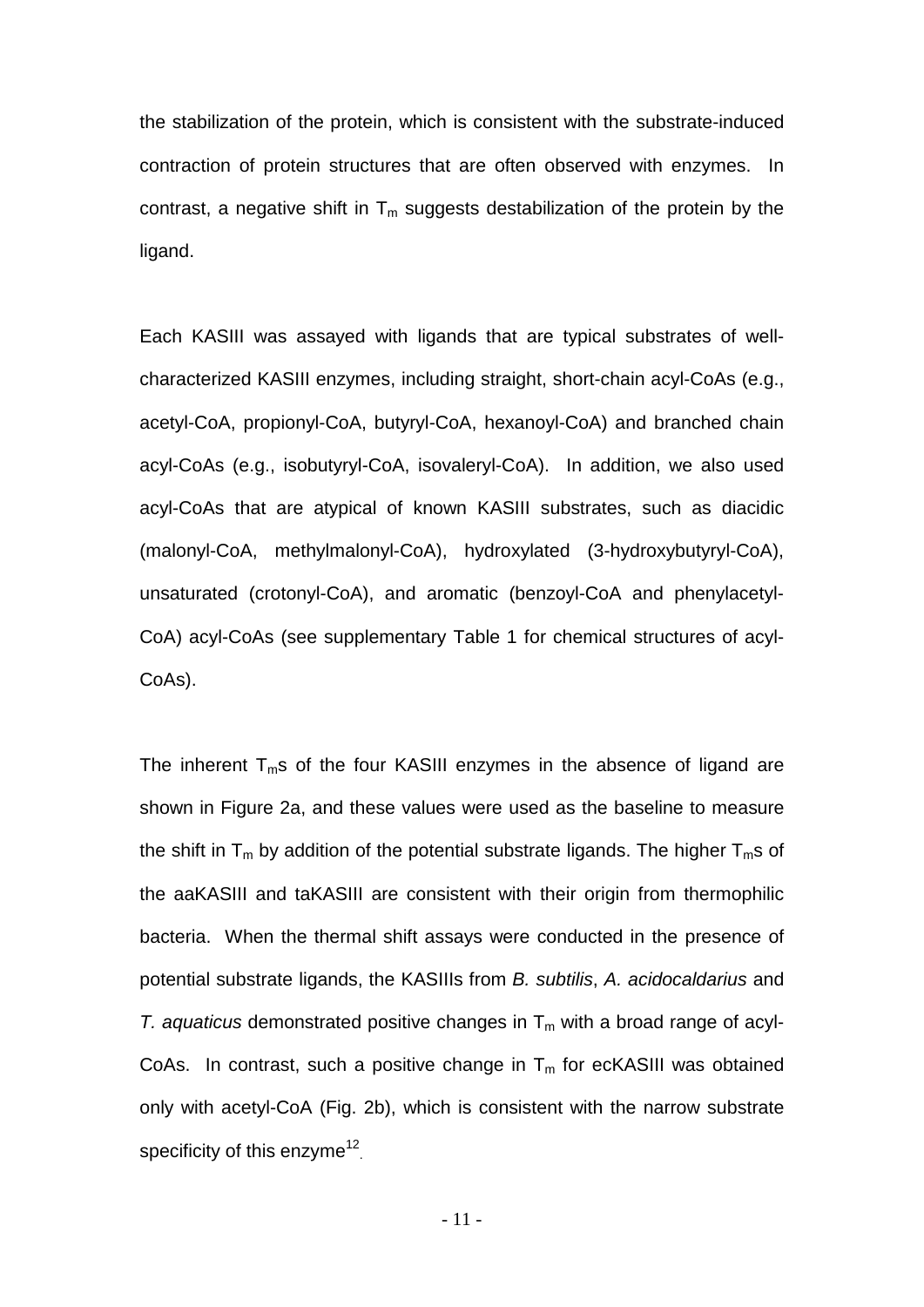the stabilization of the protein, which is consistent with the substrate-induced contraction of protein structures that are often observed with enzymes. In contrast, a negative shift in  $T_m$  suggests destabilization of the protein by the ligand.

Each KASIII was assayed with ligands that are typical substrates of wellcharacterized KASIII enzymes, including straight, short-chain acyl-CoAs (e.g., acetyl-CoA, propionyl-CoA, butyryl-CoA, hexanoyl-CoA) and branched chain acyl-CoAs (e.g., isobutyryl-CoA, isovaleryl-CoA). In addition, we also used acyl-CoAs that are atypical of known KASIII substrates, such as diacidic (malonyl-CoA, methylmalonyl-CoA), hydroxylated (3-hydroxybutyryl-CoA), unsaturated (crotonyl-CoA), and aromatic (benzoyl-CoA and phenylacetyl-CoA) acyl-CoAs (see supplementary Table 1 for chemical structures of acyl-CoAs).

The inherent  $T_m$ s of the four KASIII enzymes in the absence of ligand are shown in Figure 2a, and these values were used as the baseline to measure the shift in  $T_m$  by addition of the potential substrate ligands. The higher  $T_m$ s of the aaKASIII and taKASIII are consistent with their origin from thermophilic bacteria. When the thermal shift assays were conducted in the presence of potential substrate ligands, the KASIIIs from *B. subtilis*, *A. acidocaldarius* and *T. aquaticus* demonstrated positive changes in  $T_m$  with a broad range of acyl-CoAs. In contrast, such a positive change in  $T_m$  for ecKASIII was obtained only with acetyl-CoA (Fig. 2b), which is consistent with the narrow substrate specificity of this enzyme $12$ .

- 11 -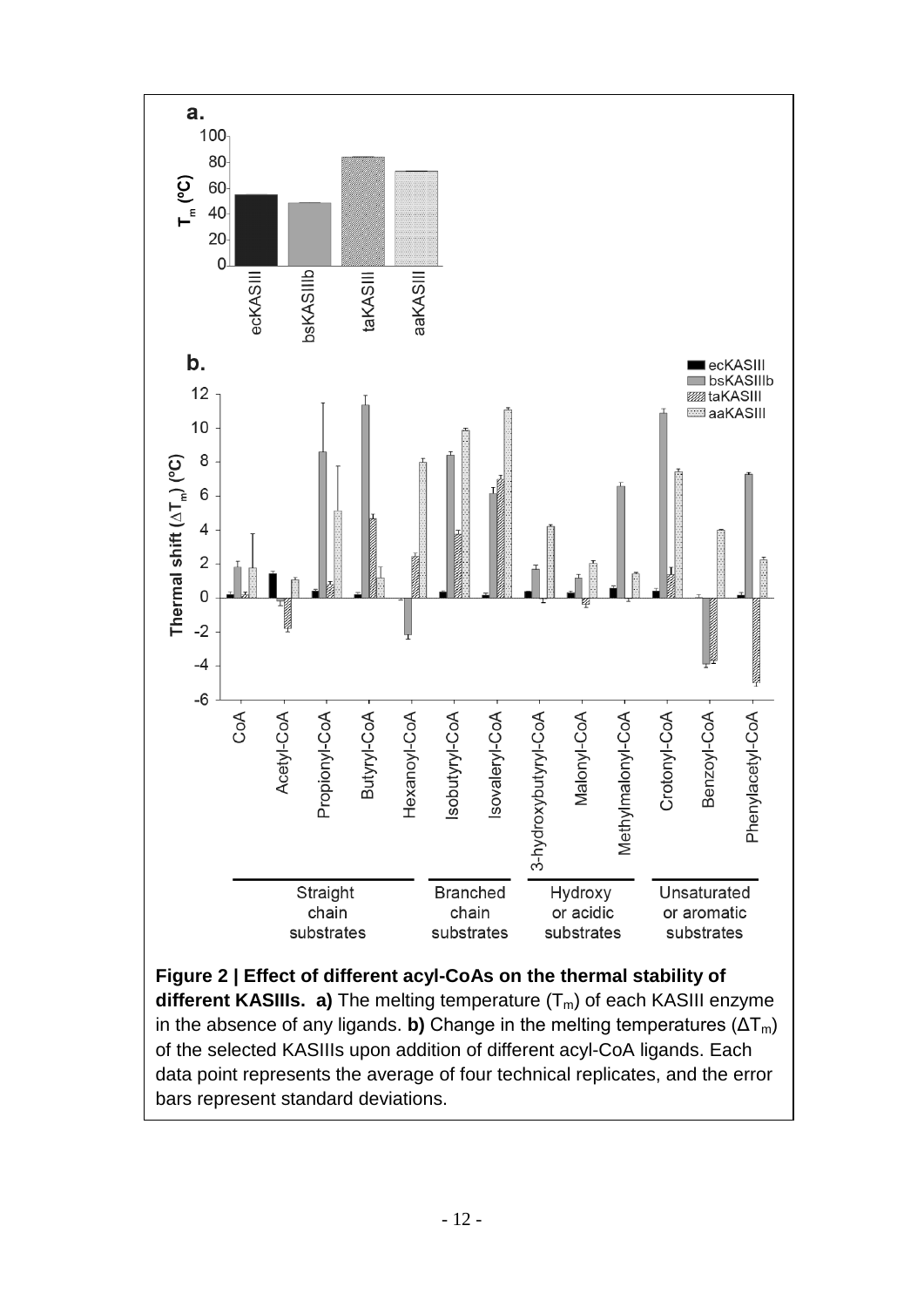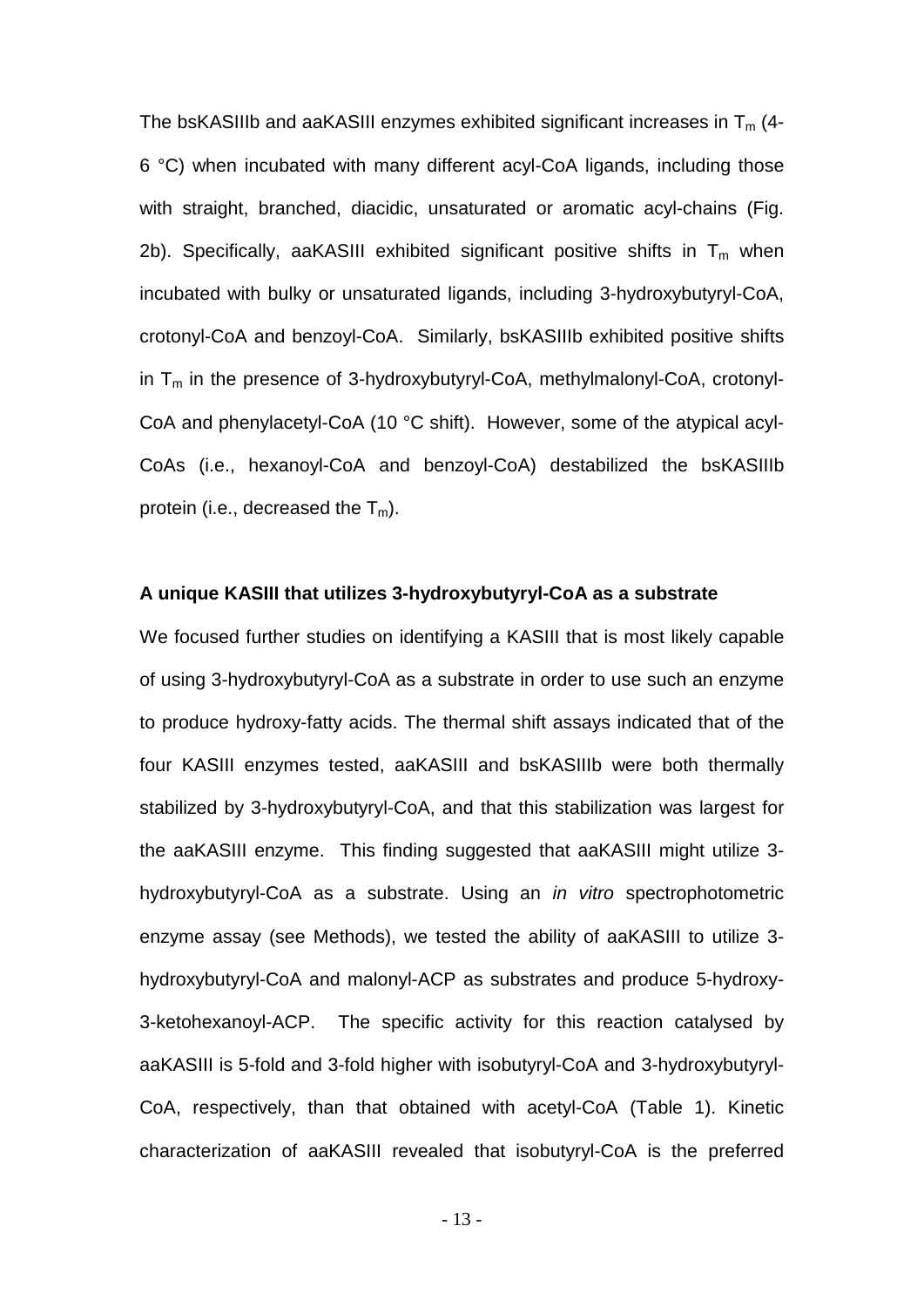The bsKASIIIb and aaKASIII enzymes exhibited significant increases in  $T_m$  (4-6 °C) when incubated with many different acyl-CoA ligands, including those with straight, branched, diacidic, unsaturated or aromatic acyl-chains (Fig. 2b). Specifically, aaKASIII exhibited significant positive shifts in  $T_m$  when incubated with bulky or unsaturated ligands, including 3-hydroxybutyryl-CoA, crotonyl-CoA and benzoyl-CoA. Similarly, bsKASIIIb exhibited positive shifts in  $T_m$  in the presence of 3-hydroxybutyryl-CoA, methylmalonyl-CoA, crotonyl-CoA and phenylacetyl-CoA (10 °C shift). However, some of the atypical acyl-CoAs (i.e., hexanoyl-CoA and benzoyl-CoA) destabilized the bsKASIIIb protein (i.e., decreased the  $T_m$ ).

#### **A unique KASIII that utilizes 3-hydroxybutyryl-CoA as a substrate**

We focused further studies on identifying a KASIII that is most likely capable of using 3-hydroxybutyryl-CoA as a substrate in order to use such an enzyme to produce hydroxy-fatty acids. The thermal shift assays indicated that of the four KASIII enzymes tested, aaKASIII and bsKASIIIb were both thermally stabilized by 3-hydroxybutyryl-CoA, and that this stabilization was largest for the aaKASIII enzyme. This finding suggested that aaKASIII might utilize 3 hydroxybutyryl-CoA as a substrate. Using an *in vitro* spectrophotometric enzyme assay (see Methods), we tested the ability of aaKASIII to utilize 3 hydroxybutyryl-CoA and malonyl-ACP as substrates and produce 5-hydroxy-3-ketohexanoyl-ACP. The specific activity for this reaction catalysed by aaKASIII is 5-fold and 3-fold higher with isobutyryl-CoA and 3-hydroxybutyryl-CoA, respectively, than that obtained with acetyl-CoA (Table 1). Kinetic characterization of aaKASIII revealed that isobutyryl-CoA is the preferred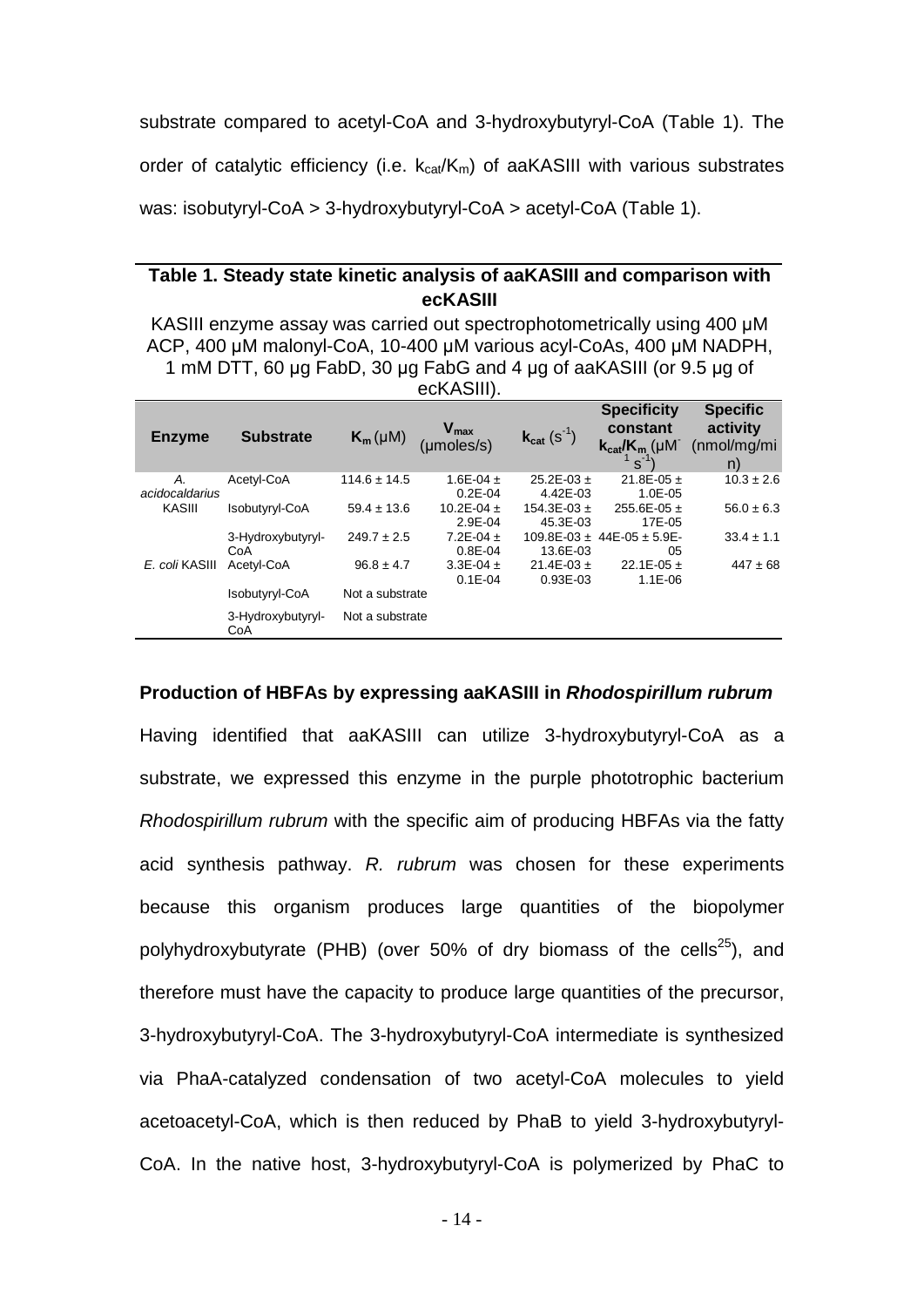substrate compared to acetyl-CoA and 3-hydroxybutyryl-CoA (Table 1). The order of catalytic efficiency (i.e.  $k_{cat}/K_m$ ) of aaKASIII with various substrates was: isobutyryl-CoA > 3-hydroxybutyryl-CoA > acetyl-CoA (Table 1).

# **Table 1. Steady state kinetic analysis of aaKASIII and comparison with ecKASIII**

KASIII enzyme assay was carried out spectrophotometrically using 400 μM ACP, 400 μM malonyl-CoA, 10-400 μM various acyl-CoAs, 400 μM NADPH, 1 mM DTT, 60 μg FabD, 30 μg FabG and 4 μg of aaKASIII (or 9.5 μg of ecKASIII).

| <b>Enzyme</b>                  | <b>Substrate</b>         | $K_m(\mu M)$     | $V_{max}$<br>(moles/s)        | $k_{cat}$ (S <sup>-1</sup> ) | <b>Specificity</b><br>constant<br>$k_{cat}/K_m$ (µM <sup>-</sup><br>$S^{-1}$ | <b>Specific</b><br>activity<br>(mol/mg/mi)<br>n) |
|--------------------------------|--------------------------|------------------|-------------------------------|------------------------------|------------------------------------------------------------------------------|--------------------------------------------------|
| А.<br>acidocaldarius<br>KASIII | Acetyl-CoA               | $114.6 \pm 14.5$ | 1.6E-04 $\pm$<br>$0.2E - 04$  | $25.2E - 03 +$<br>4.42E-03   | 21.8E-05 $\pm$<br>$1.0E - 0.5$                                               | $10.3 \pm 2.6$                                   |
|                                | Isobutyryl-CoA           | $59.4 \pm 13.6$  | 10.2E-04 $\pm$<br>$2.9E - 04$ | $154.3E - 03 +$<br>45.3E-03  | $255.6E - 05 +$<br>17E-05                                                    | $56.0 \pm 6.3$                                   |
|                                | 3-Hydroxybutyryl-<br>CoA | $249.7 \pm 2.5$  | 7.2E-04 $\pm$<br>$0.8E - 04$  | 13.6E-03                     | $109.8E - 03 + 44E - 05 + 5.9E$<br>05                                        | $33.4 \pm 1.1$                                   |
| E. coli KASIII                 | Acetyl-CoA               | $96.8 \pm 4.7$   | 3.3E-04 $\pm$<br>$0.1E - 04$  | $21.4E-03 +$<br>$0.93E - 03$ | 22.1E-05 $\pm$<br>$1.1E - 06$                                                | $447 \pm 68$                                     |
|                                | Isobutyryl-CoA           | Not a substrate  |                               |                              |                                                                              |                                                  |
|                                | 3-Hydroxybutyryl-<br>CoA | Not a substrate  |                               |                              |                                                                              |                                                  |

#### **Production of HBFAs by expressing aaKASIII in** *Rhodospirillum rubrum*

Having identified that aaKASIII can utilize 3-hydroxybutyryl-CoA as a substrate, we expressed this enzyme in the purple phototrophic bacterium *Rhodospirillum rubrum* with the specific aim of producing HBFAs via the fatty acid synthesis pathway. *R. rubrum* was chosen for these experiments because this organism produces large quantities of the biopolymer polyhydroxybutyrate (PHB) (over 50% of dry biomass of the cells<sup>25</sup>), and therefore must have the capacity to produce large quantities of the precursor, 3-hydroxybutyryl-CoA. The 3-hydroxybutyryl-CoA intermediate is synthesized via PhaA-catalyzed condensation of two acetyl-CoA molecules to yield acetoacetyl-CoA, which is then reduced by PhaB to yield 3-hydroxybutyryl-CoA. In the native host, 3-hydroxybutyryl-CoA is polymerized by PhaC to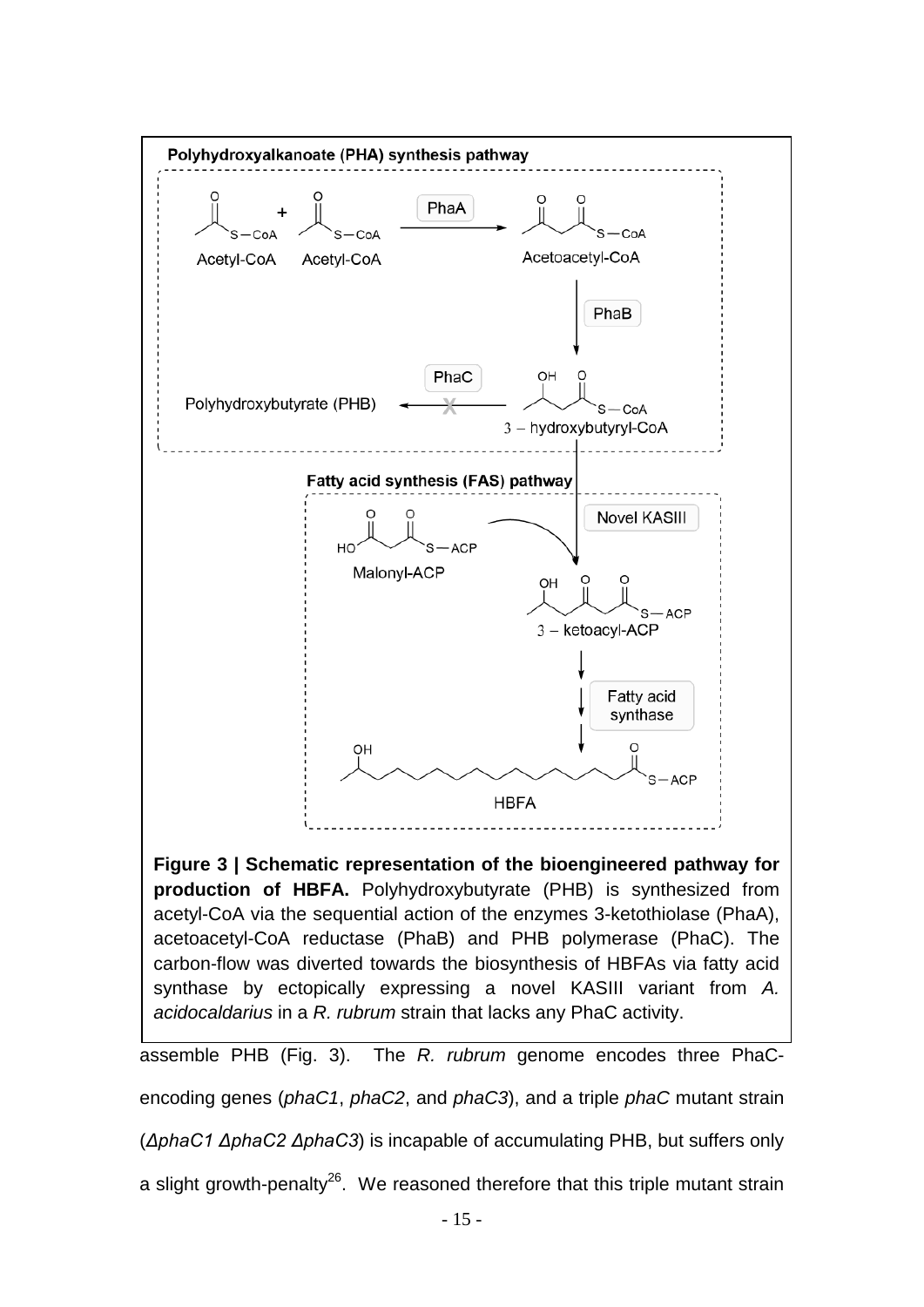

**Figure 3 | Schematic representation of the bioengineered pathway for production of HBFA.** Polyhydroxybutyrate (PHB) is synthesized from acetyl-CoA via the sequential action of the enzymes 3-ketothiolase (PhaA), acetoacetyl-CoA reductase (PhaB) and PHB polymerase (PhaC). The carbon-flow was diverted towards the biosynthesis of HBFAs via fatty acid synthase by ectopically expressing a novel KASIII variant from *A. acidocaldarius* in a *R. rubrum* strain that lacks any PhaC activity.

assemble PHB (Fig. 3). The *R. rubrum* genome encodes three PhaCencoding genes (*phaC1*, *phaC2*, and *phaC3*), and a triple *phaC* mutant strain

(*ΔphaC1 ΔphaC2 ΔphaC3*) is incapable of accumulating PHB, but suffers only

a slight growth-penalty<sup>26</sup>. We reasoned therefore that this triple mutant strain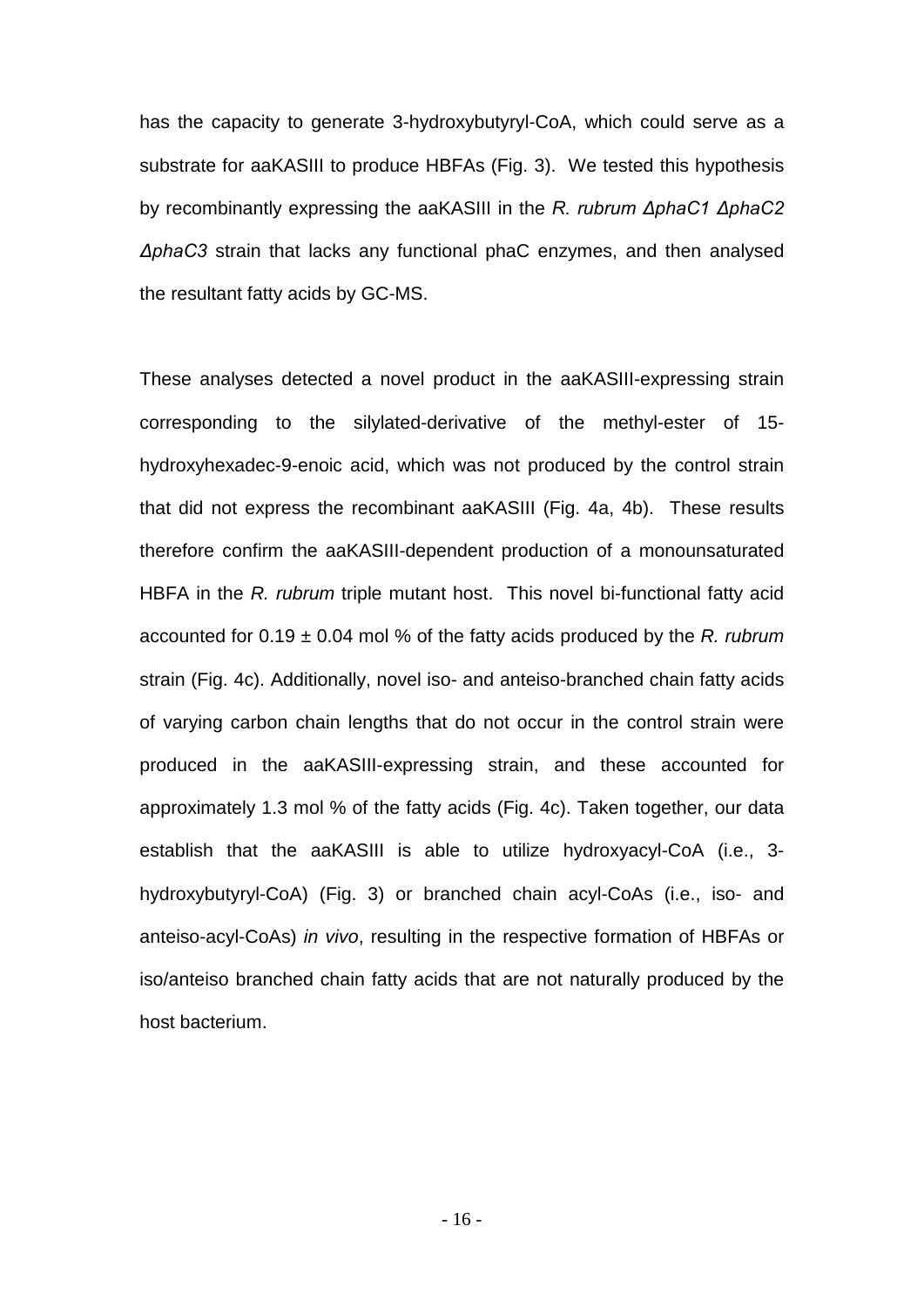has the capacity to generate 3-hydroxybutyryl-CoA, which could serve as a substrate for aaKASIII to produce HBFAs (Fig. 3). We tested this hypothesis by recombinantly expressing the aaKASIII in the *R. rubrum ΔphaC1 ΔphaC2 ΔphaC3* strain that lacks any functional phaC enzymes, and then analysed the resultant fatty acids by GC-MS.

These analyses detected a novel product in the aaKASIII-expressing strain corresponding to the silylated-derivative of the methyl-ester of 15 hydroxyhexadec-9-enoic acid, which was not produced by the control strain that did not express the recombinant aaKASIII (Fig. 4a, 4b). These results therefore confirm the aaKASIII-dependent production of a monounsaturated HBFA in the *R. rubrum* triple mutant host. This novel bi-functional fatty acid accounted for 0.19 ± 0.04 mol % of the fatty acids produced by the *R. rubrum*  strain (Fig. 4c). Additionally, novel iso- and anteiso-branched chain fatty acids of varying carbon chain lengths that do not occur in the control strain were produced in the aaKASIII-expressing strain, and these accounted for approximately 1.3 mol % of the fatty acids (Fig. 4c). Taken together, our data establish that the aaKASIII is able to utilize hydroxyacyl-CoA (i.e., 3 hydroxybutyryl-CoA) (Fig. 3) or branched chain acyl-CoAs (i.e., iso- and anteiso-acyl-CoAs) *in vivo*, resulting in the respective formation of HBFAs or iso/anteiso branched chain fatty acids that are not naturally produced by the host bacterium.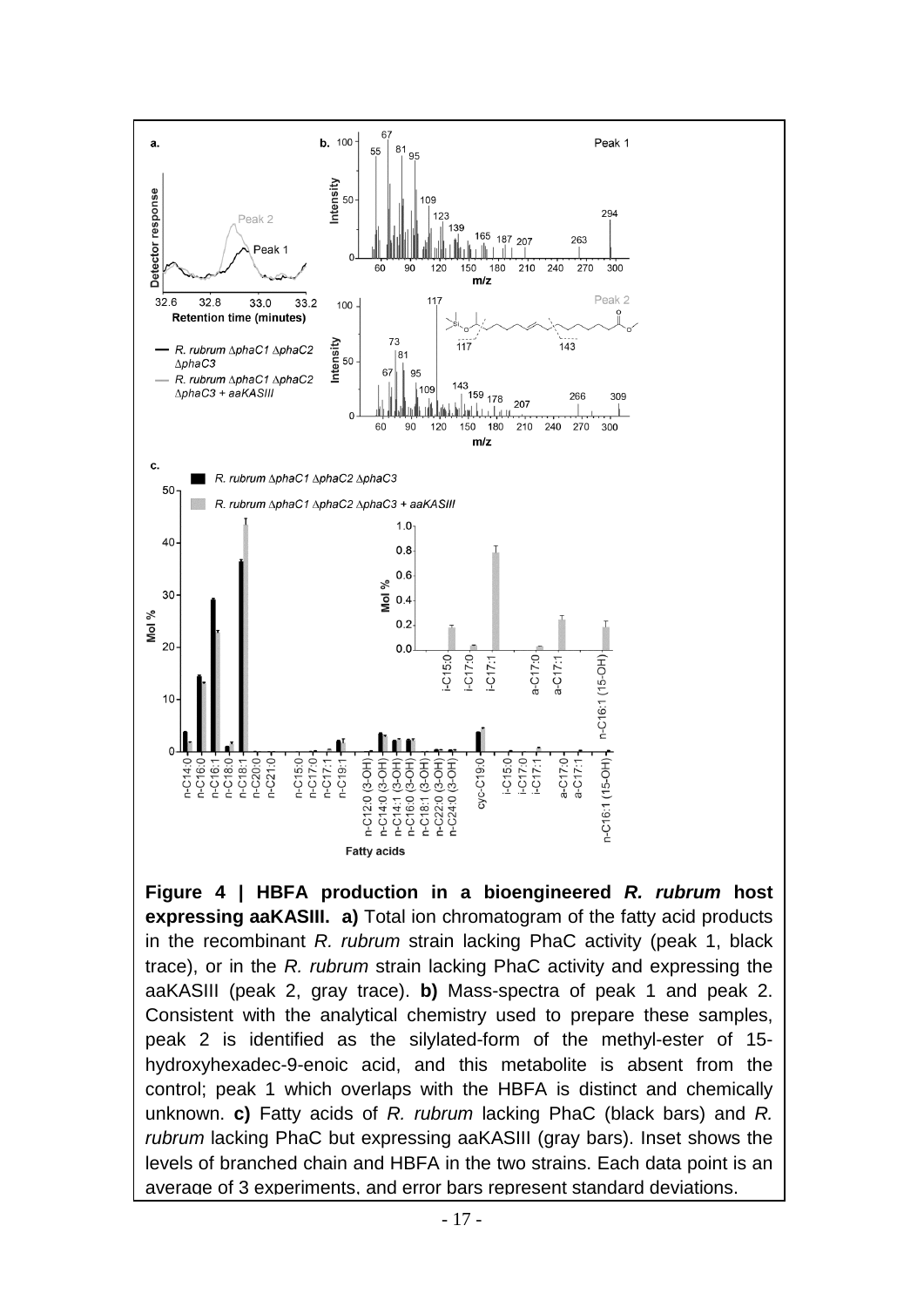

**Figure 4 | HBFA production in a bioengineered** *R. rubrum* **host expressing aaKASIII. a)** Total ion chromatogram of the fatty acid products in the recombinant *R. rubrum* strain lacking PhaC activity (peak 1, black trace), or in the *R. rubrum* strain lacking PhaC activity and expressing the aaKASIII (peak 2, gray trace). **b)** Mass-spectra of peak 1 and peak 2. Consistent with the analytical chemistry used to prepare these samples, peak 2 is identified as the silylated-form of the methyl-ester of 15 hydroxyhexadec-9-enoic acid, and this metabolite is absent from the control; peak 1 which overlaps with the HBFA is distinct and chemically unknown. **c)** Fatty acids of *R. rubrum* lacking PhaC (black bars) and *R. rubrum* lacking PhaC but expressing aaKASIII (gray bars). Inset shows the levels of branched chain and HBFA in the two strains. Each data point is an average of 3 experiments, and error bars represent standard deviations.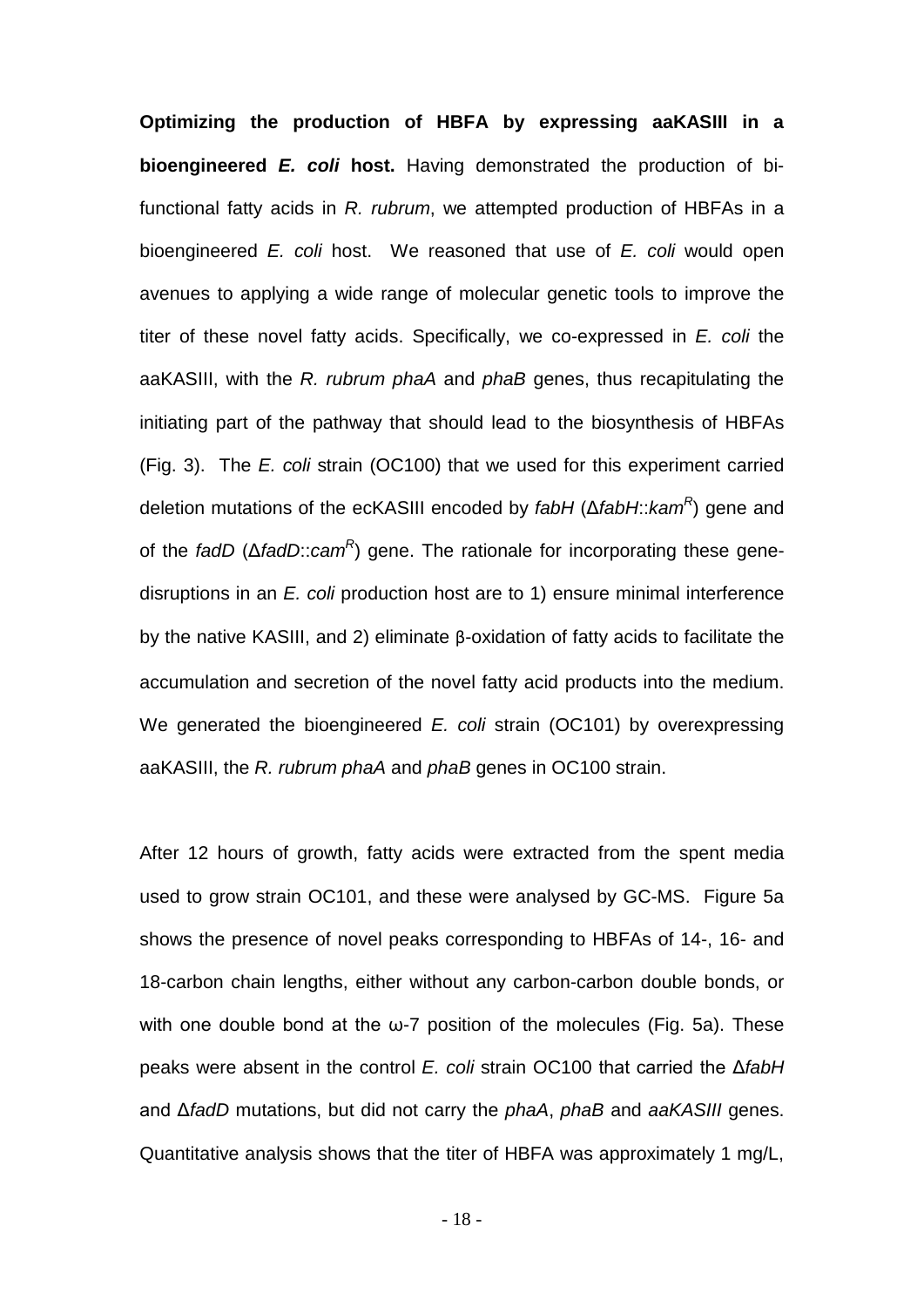**Optimizing the production of HBFA by expressing aaKASIII in a bioengineered** *E. coli* **host.** Having demonstrated the production of bifunctional fatty acids in *R. rubrum*, we attempted production of HBFAs in a bioengineered *E. coli* host. We reasoned that use of *E. coli* would open avenues to applying a wide range of molecular genetic tools to improve the titer of these novel fatty acids. Specifically, we co-expressed in *E. coli* the aaKASIII, with the *R. rubrum phaA* and *phaB* genes, thus recapitulating the initiating part of the pathway that should lead to the biosynthesis of HBFAs (Fig. 3). The *E. coli* strain (OC100) that we used for this experiment carried deletion mutations of the ecKASIII encoded by *fabH* (Δ*fabH*::*kamR*) gene and of the *fadD* (Δ*fadD*::*camR*) gene. The rationale for incorporating these genedisruptions in an *E. coli* production host are to 1) ensure minimal interference by the native KASIII, and 2) eliminate β-oxidation of fatty acids to facilitate the accumulation and secretion of the novel fatty acid products into the medium. We generated the bioengineered *E. coli* strain (OC101) by overexpressing aaKASIII, the *R. rubrum phaA* and *phaB* genes in OC100 strain.

After 12 hours of growth, fatty acids were extracted from the spent media used to grow strain OC101, and these were analysed by GC-MS. Figure 5a shows the presence of novel peaks corresponding to HBFAs of 14-, 16- and 18-carbon chain lengths, either without any carbon-carbon double bonds, or with one double bond at the  $\omega$ -7 position of the molecules (Fig. 5a). These peaks were absent in the control *E. coli* strain OC100 that carried the Δ*fabH* and Δ*fadD* mutations, but did not carry the *phaA*, *phaB* and *aaKASIII* genes. Quantitative analysis shows that the titer of HBFA was approximately 1 mg/L,

- 18 -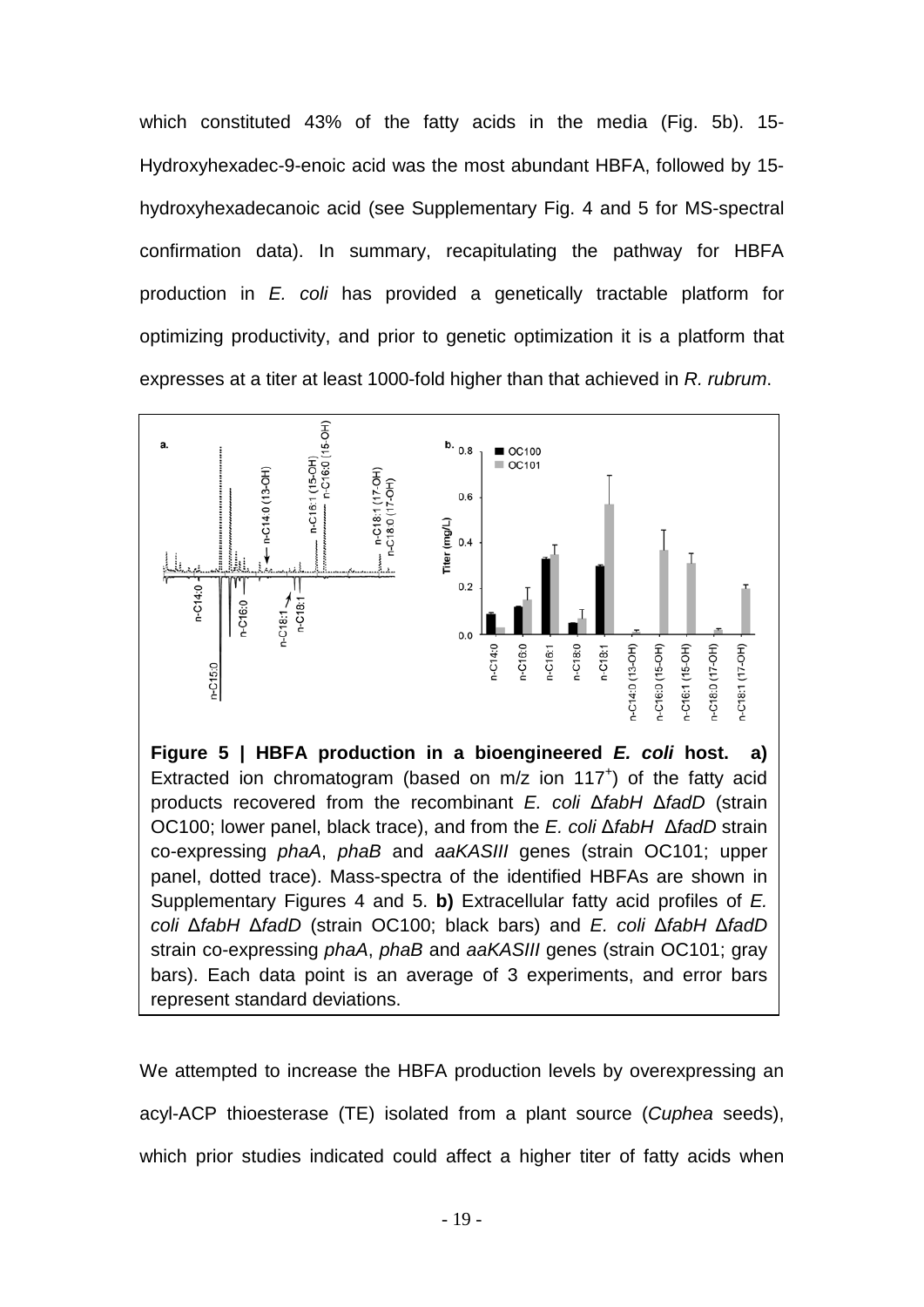which constituted 43% of the fatty acids in the media (Fig. 5b). 15- Hydroxyhexadec-9-enoic acid was the most abundant HBFA, followed by 15 hydroxyhexadecanoic acid (see Supplementary Fig. 4 and 5 for MS-spectral confirmation data). In summary, recapitulating the pathway for HBFA production in *E. coli* has provided a genetically tractable platform for optimizing productivity, and prior to genetic optimization it is a platform that expresses at a titer at least 1000-fold higher than that achieved in *R. rubrum*.



**Figure 5 | HBFA production in a bioengineered** *E. coli* **host. a)** Extracted ion chromatogram (based on  $m/z$  ion  $117<sup>+</sup>$ ) of the fatty acid products recovered from the recombinant *E. coli* Δ*fabH* Δ*fadD* (strain OC100; lower panel, black trace), and from the *E. coli* Δ*fabH* Δ*fadD* strain co-expressing *phaA*, *phaB* and *aaKASIII* genes (strain OC101; upper panel, dotted trace). Mass-spectra of the identified HBFAs are shown in Supplementary Figures 4 and 5. **b)** Extracellular fatty acid profiles of *E. coli* Δ*fabH* Δ*fadD* (strain OC100; black bars) and *E. coli* Δ*fabH* Δ*fadD*  strain co-expressing *phaA*, *phaB* and *aaKASIII* genes (strain OC101; gray bars). Each data point is an average of 3 experiments, and error bars represent standard deviations.

We attempted to increase the HBFA production levels by overexpressing an acyl-ACP thioesterase (TE) isolated from a plant source (*Cuphea* seeds), which prior studies indicated could affect a higher titer of fatty acids when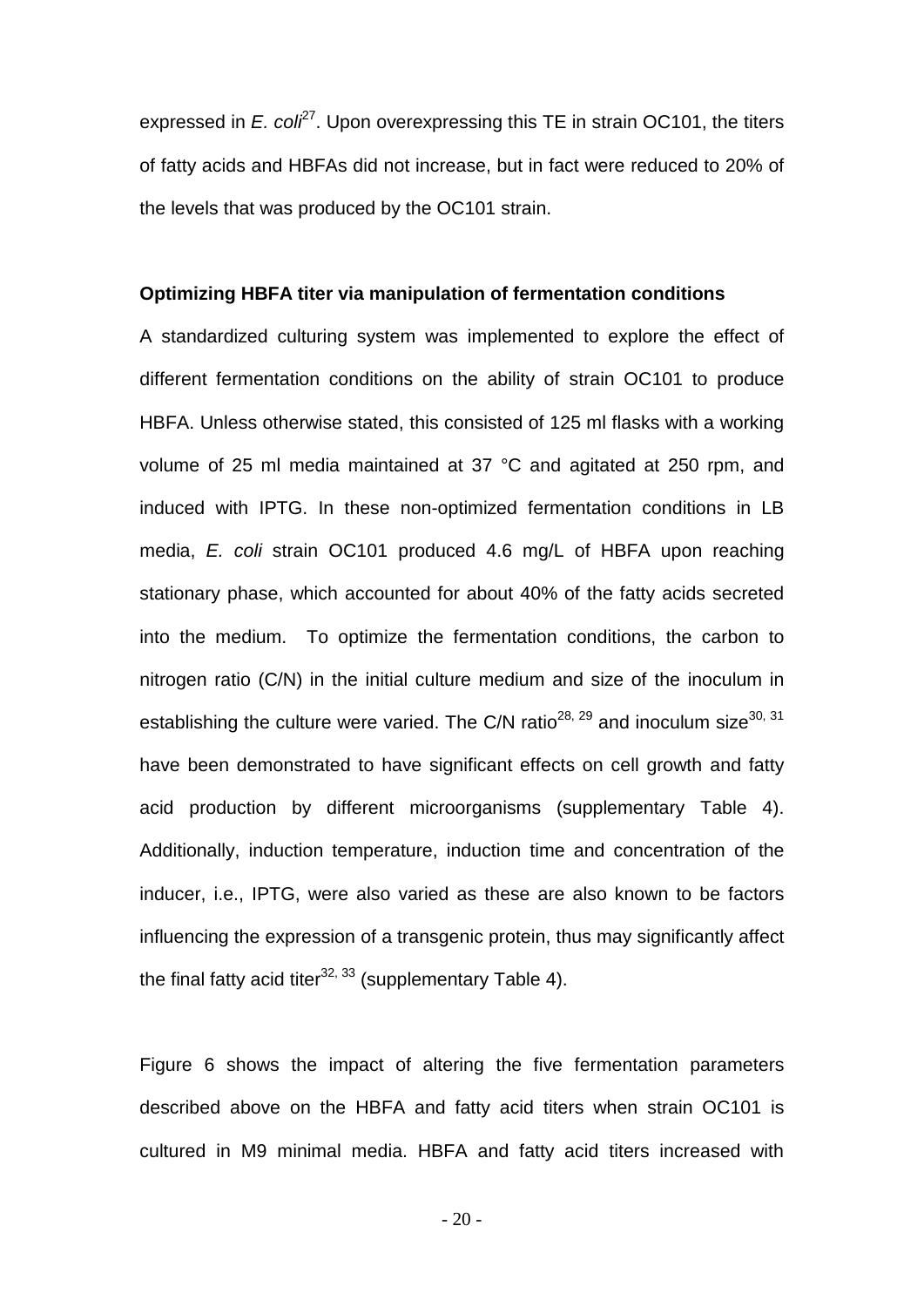expressed in *E. col<sup>27</sup>*. Upon overexpressing this TE in strain OC101, the titers of fatty acids and HBFAs did not increase, but in fact were reduced to 20% of the levels that was produced by the OC101 strain.

#### **Optimizing HBFA titer via manipulation of fermentation conditions**

A standardized culturing system was implemented to explore the effect of different fermentation conditions on the ability of strain OC101 to produce HBFA. Unless otherwise stated, this consisted of 125 ml flasks with a working volume of 25 ml media maintained at 37 °C and agitated at 250 rpm, and induced with IPTG. In these non-optimized fermentation conditions in LB media, *E. coli* strain OC101 produced 4.6 mg/L of HBFA upon reaching stationary phase, which accounted for about 40% of the fatty acids secreted into the medium. To optimize the fermentation conditions, the carbon to nitrogen ratio (C/N) in the initial culture medium and size of the inoculum in establishing the culture were varied. The C/N ratio<sup>28, 29</sup> and inoculum size<sup>30, 31</sup> have been demonstrated to have significant effects on cell growth and fatty acid production by different microorganisms (supplementary Table 4). Additionally, induction temperature, induction time and concentration of the inducer, i.e., IPTG, were also varied as these are also known to be factors influencing the expression of a transgenic protein, thus may significantly affect the final fatty acid titer<sup>32, 33</sup> (supplementary Table 4).

Figure 6 shows the impact of altering the five fermentation parameters described above on the HBFA and fatty acid titers when strain OC101 is cultured in M9 minimal media. HBFA and fatty acid titers increased with

 $-20-$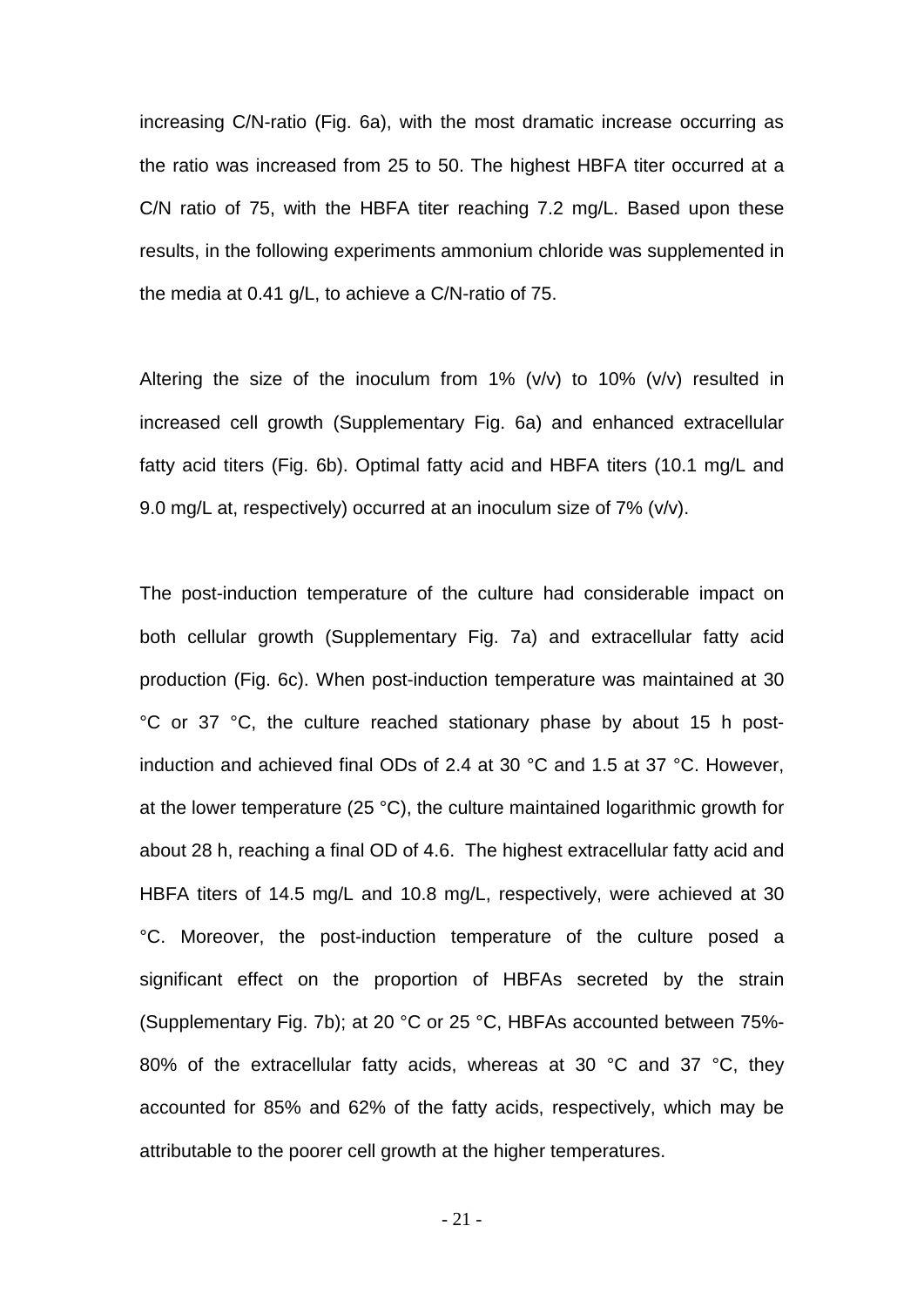increasing C/N-ratio (Fig. 6a), with the most dramatic increase occurring as the ratio was increased from 25 to 50. The highest HBFA titer occurred at a C/N ratio of 75, with the HBFA titer reaching 7.2 mg/L. Based upon these results, in the following experiments ammonium chloride was supplemented in the media at 0.41 g/L, to achieve a C/N-ratio of 75.

Altering the size of the inoculum from  $1\%$  (v/v) to  $10\%$  (v/v) resulted in increased cell growth (Supplementary Fig. 6a) and enhanced extracellular fatty acid titers (Fig. 6b). Optimal fatty acid and HBFA titers (10.1 mg/L and 9.0 mg/L at, respectively) occurred at an inoculum size of 7% (v/v).

The post-induction temperature of the culture had considerable impact on both cellular growth (Supplementary Fig. 7a) and extracellular fatty acid production (Fig. 6c). When post-induction temperature was maintained at 30 °C or 37 °C, the culture reached stationary phase by about 15 h postinduction and achieved final ODs of 2.4 at 30 °C and 1.5 at 37 °C. However, at the lower temperature (25 °C), the culture maintained logarithmic growth for about 28 h, reaching a final OD of 4.6. The highest extracellular fatty acid and HBFA titers of 14.5 mg/L and 10.8 mg/L, respectively, were achieved at 30 °C. Moreover, the post-induction temperature of the culture posed a significant effect on the proportion of HBFAs secreted by the strain (Supplementary Fig. 7b); at 20 °C or 25 °C, HBFAs accounted between 75%- 80% of the extracellular fatty acids, whereas at 30 °C and 37 °C, they accounted for 85% and 62% of the fatty acids, respectively, which may be attributable to the poorer cell growth at the higher temperatures.

- 21 -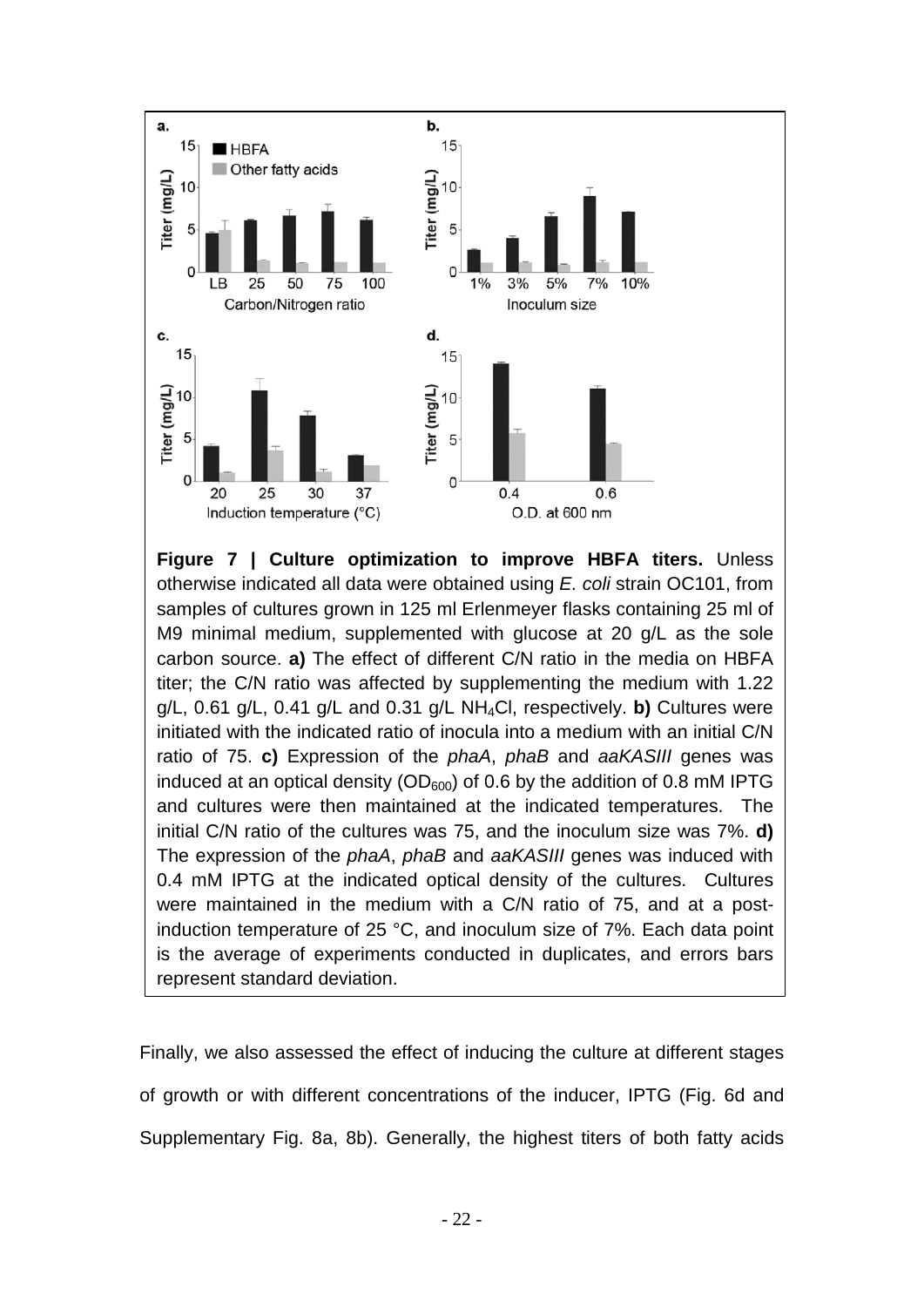

**Figure 7 | Culture optimization to improve HBFA titers.** Unless otherwise indicated all data were obtained using *E. coli* strain OC101, from samples of cultures grown in 125 ml Erlenmeyer flasks containing 25 ml of M9 minimal medium, supplemented with glucose at 20 g/L as the sole carbon source. **a)** The effect of different C/N ratio in the media on HBFA titer; the C/N ratio was affected by supplementing the medium with 1.22 g/L, 0.61 g/L, 0.41 g/L and 0.31 g/L NH4Cl, respectively. **b)** Cultures were initiated with the indicated ratio of inocula into a medium with an initial C/N ratio of 75. **c)** Expression of the *phaA*, *phaB* and *aaKASIII* genes was induced at an optical density ( $OD<sub>600</sub>$ ) of 0.6 by the addition of 0.8 mM IPTG and cultures were then maintained at the indicated temperatures. The initial C/N ratio of the cultures was 75, and the inoculum size was 7%. **d)** The expression of the *phaA*, *phaB* and *aaKASIII* genes was induced with 0.4 mM IPTG at the indicated optical density of the cultures. Cultures were maintained in the medium with a C/N ratio of 75, and at a postinduction temperature of 25 °C, and inoculum size of 7%. Each data point is the average of experiments conducted in duplicates, and errors bars represent standard deviation.

Finally, we also assessed the effect of inducing the culture at different stages of growth or with different concentrations of the inducer, IPTG (Fig. 6d and Supplementary Fig. 8a, 8b). Generally, the highest titers of both fatty acids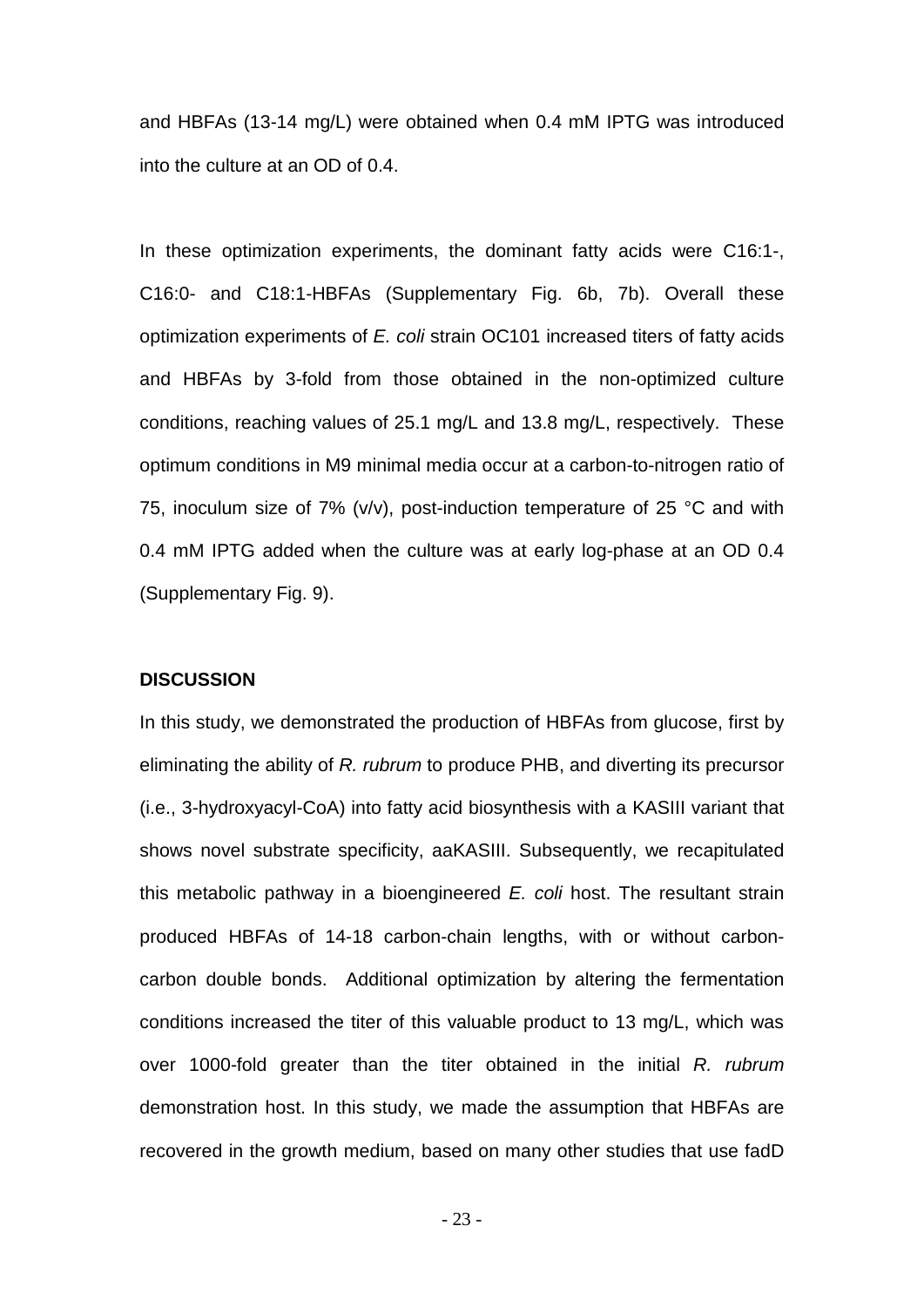and HBFAs (13-14 mg/L) were obtained when 0.4 mM IPTG was introduced into the culture at an OD of 0.4.

In these optimization experiments, the dominant fatty acids were C16:1-, C16:0- and C18:1-HBFAs (Supplementary Fig. 6b, 7b). Overall these optimization experiments of *E. coli* strain OC101 increased titers of fatty acids and HBFAs by 3-fold from those obtained in the non-optimized culture conditions, reaching values of 25.1 mg/L and 13.8 mg/L, respectively. These optimum conditions in M9 minimal media occur at a carbon-to-nitrogen ratio of 75, inoculum size of 7% ( $v/v$ ), post-induction temperature of 25 °C and with 0.4 mM IPTG added when the culture was at early log-phase at an OD 0.4 (Supplementary Fig. 9).

#### **DISCUSSION**

In this study, we demonstrated the production of HBFAs from glucose, first by eliminating the ability of *R. rubrum* to produce PHB, and diverting its precursor (i.e., 3-hydroxyacyl-CoA) into fatty acid biosynthesis with a KASIII variant that shows novel substrate specificity, aaKASIII. Subsequently, we recapitulated this metabolic pathway in a bioengineered *E. coli* host. The resultant strain produced HBFAs of 14-18 carbon-chain lengths, with or without carboncarbon double bonds. Additional optimization by altering the fermentation conditions increased the titer of this valuable product to 13 mg/L, which was over 1000-fold greater than the titer obtained in the initial *R. rubrum* demonstration host. In this study, we made the assumption that HBFAs are recovered in the growth medium, based on many other studies that use fadD

- 23 -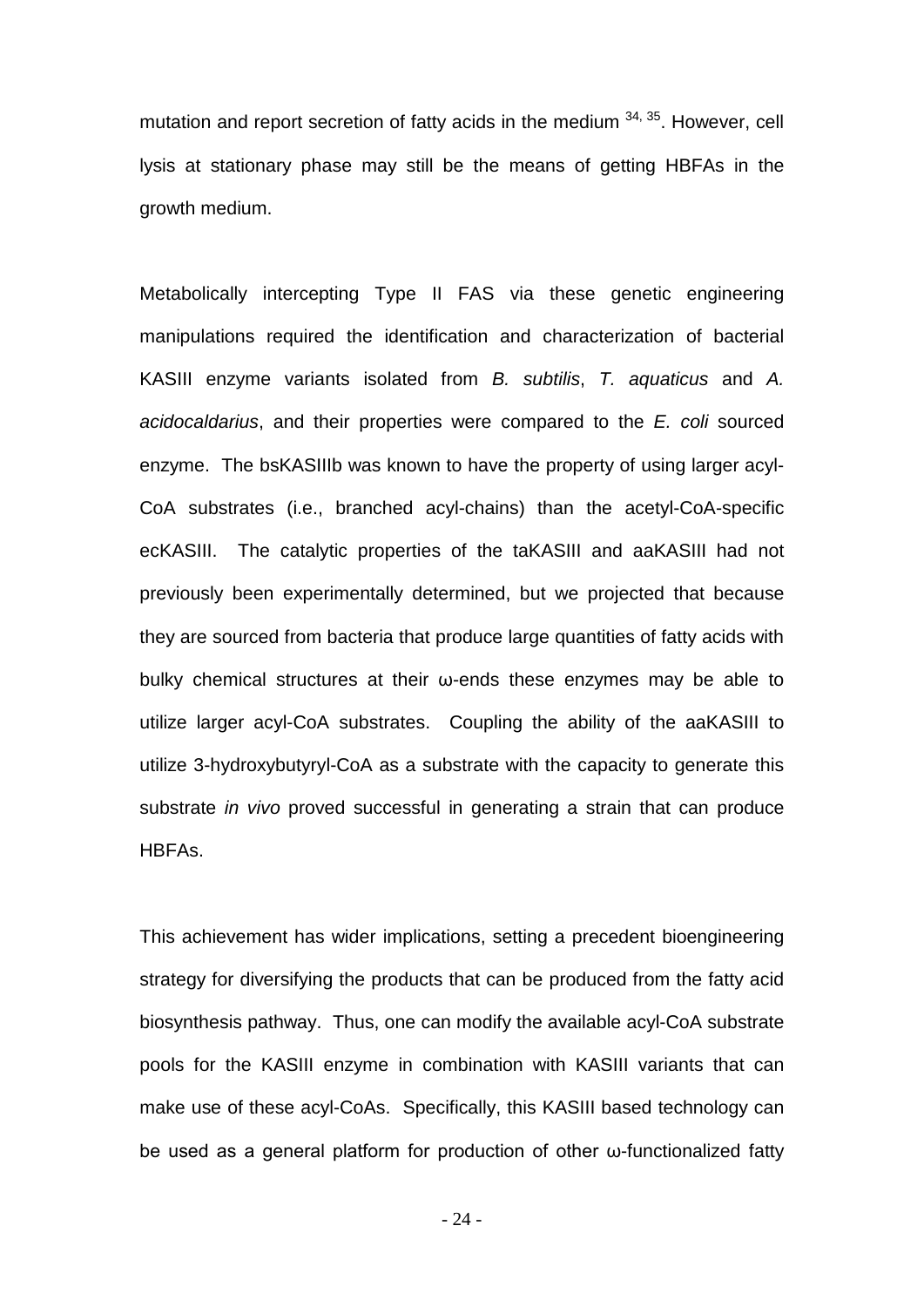mutation and report secretion of fatty acids in the medium  $34$ ,  $35$ . However, cell lysis at stationary phase may still be the means of getting HBFAs in the growth medium.

Metabolically intercepting Type II FAS via these genetic engineering manipulations required the identification and characterization of bacterial KASIII enzyme variants isolated from *B. subtilis*, *T. aquaticus* and *A. acidocaldarius*, and their properties were compared to the *E. coli* sourced enzyme. The bsKASIIIb was known to have the property of using larger acyl-CoA substrates (i.e., branched acyl-chains) than the acetyl-CoA-specific ecKASIII. The catalytic properties of the taKASIII and aaKASIII had not previously been experimentally determined, but we projected that because they are sourced from bacteria that produce large quantities of fatty acids with bulky chemical structures at their ω-ends these enzymes may be able to utilize larger acyl-CoA substrates. Coupling the ability of the aaKASIII to utilize 3-hydroxybutyryl-CoA as a substrate with the capacity to generate this substrate *in vivo* proved successful in generating a strain that can produce HBFAs.

This achievement has wider implications, setting a precedent bioengineering strategy for diversifying the products that can be produced from the fatty acid biosynthesis pathway. Thus, one can modify the available acyl-CoA substrate pools for the KASIII enzyme in combination with KASIII variants that can make use of these acyl-CoAs. Specifically, this KASIII based technology can be used as a general platform for production of other ω-functionalized fatty

- 24 -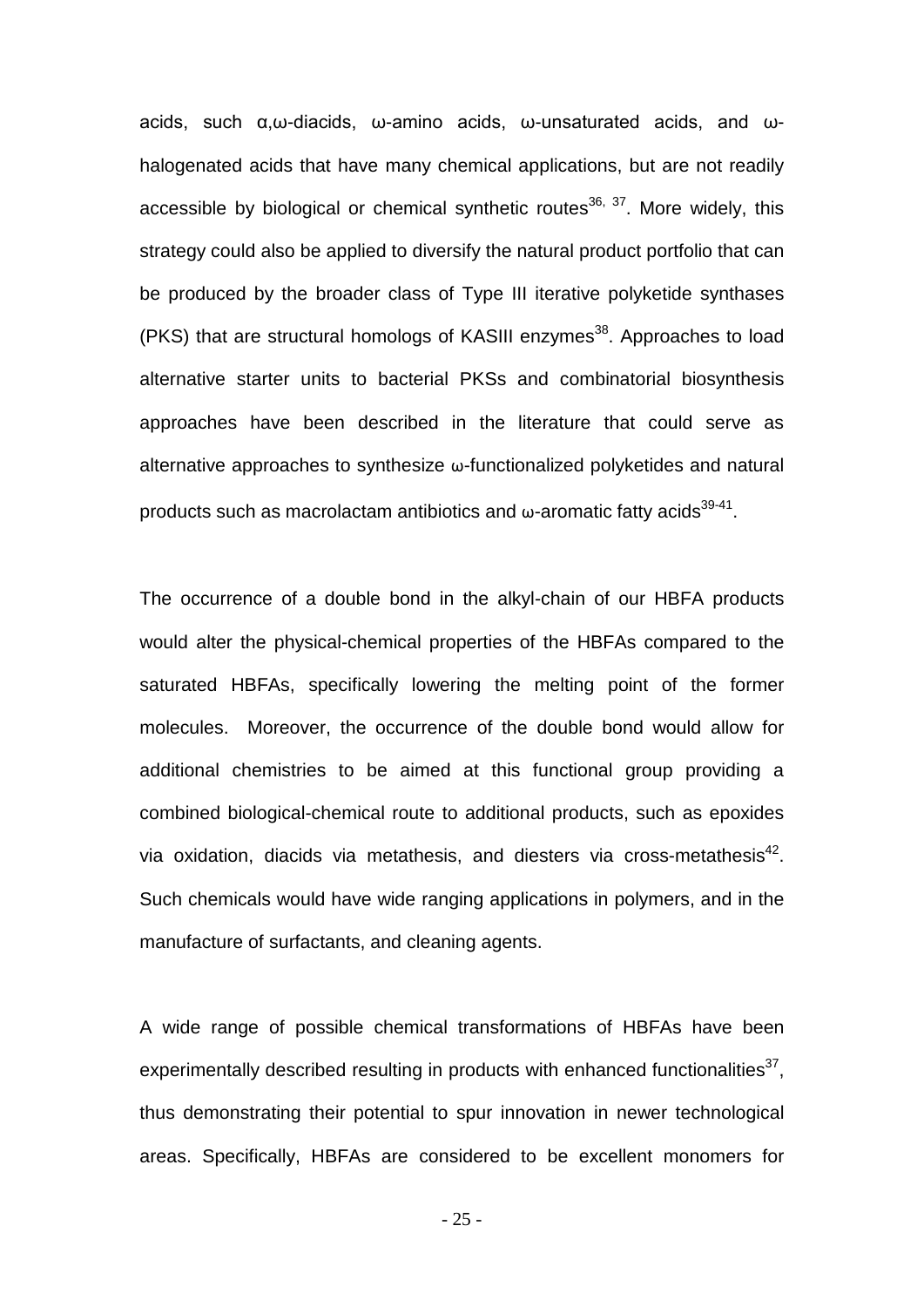acids, such α,ω-diacids, ω-amino acids, ω-unsaturated acids, and ωhalogenated acids that have many chemical applications, but are not readily accessible by biological or chemical synthetic routes $36, 37$ . More widely, this strategy could also be applied to diversify the natural product portfolio that can be produced by the broader class of Type III iterative polyketide synthases (PKS) that are structural homologs of KASIII enzymes<sup>38</sup>. Approaches to load alternative starter units to bacterial PKSs and combinatorial biosynthesis approaches have been described in the literature that could serve as alternative approaches to synthesize ω-functionalized polyketides and natural products such as macrolactam antibiotics and  $\omega$ -aromatic fatty acids<sup>39-41</sup>.

The occurrence of a double bond in the alkyl-chain of our HBFA products would alter the physical-chemical properties of the HBFAs compared to the saturated HBFAs, specifically lowering the melting point of the former molecules. Moreover, the occurrence of the double bond would allow for additional chemistries to be aimed at this functional group providing a combined biological-chemical route to additional products, such as epoxides via oxidation, diacids via metathesis, and diesters via cross-metathesis $42$ . Such chemicals would have wide ranging applications in polymers, and in the manufacture of surfactants, and cleaning agents.

A wide range of possible chemical transformations of HBFAs have been experimentally described resulting in products with enhanced functionalities<sup>37</sup>, thus demonstrating their potential to spur innovation in newer technological areas. Specifically, HBFAs are considered to be excellent monomers for

- 25 -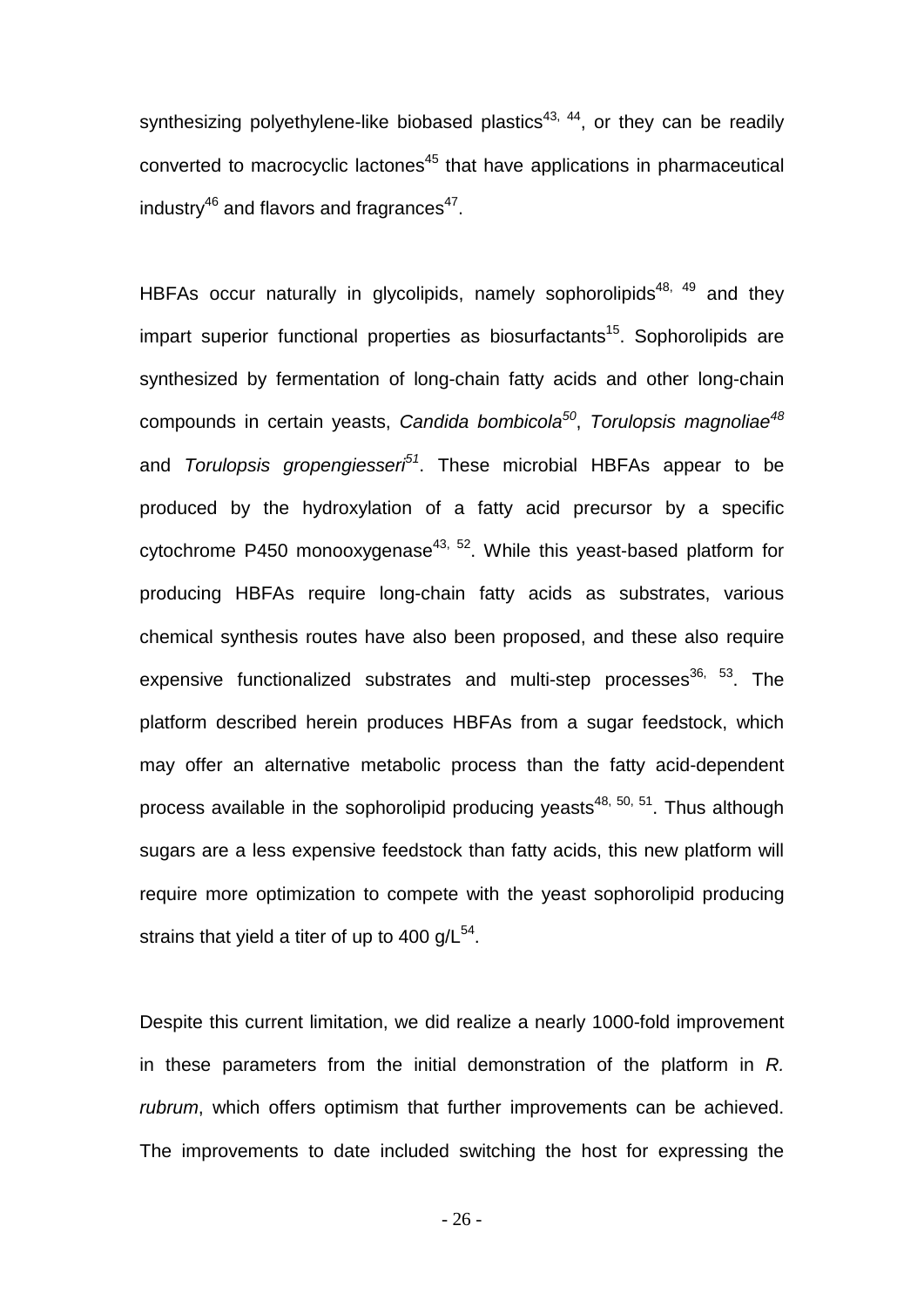synthesizing polyethylene-like biobased plastics<sup>43, 44</sup>, or they can be readily converted to macrocyclic lactones<sup>45</sup> that have applications in pharmaceutical industry<sup>46</sup> and flavors and fragrances<sup>47</sup>.

HBFAs occur naturally in glycolipids, namely sophorolipids<sup>48, 49</sup> and they impart superior functional properties as biosurfactants<sup>15</sup>. Sophorolipids are synthesized by fermentation of long-chain fatty acids and other long-chain compounds in certain yeasts, *Candida bombicola<sup>50</sup>*, *Torulopsis magnoliae<sup>48</sup>* and *Torulopsis gropengiesseri51*. These microbial HBFAs appear to be produced by the hydroxylation of a fatty acid precursor by a specific cytochrome P450 monooxygenase<sup>43, 52</sup>. While this yeast-based platform for producing HBFAs require long-chain fatty acids as substrates, various chemical synthesis routes have also been proposed, and these also require expensive functionalized substrates and multi-step processes $36, 53$ . The platform described herein produces HBFAs from a sugar feedstock, which may offer an alternative metabolic process than the fatty acid-dependent process available in the sophorolipid producing yeasts<sup>48, 50, 51</sup>. Thus although sugars are a less expensive feedstock than fatty acids, this new platform will require more optimization to compete with the yeast sophorolipid producing strains that yield a titer of up to 400  $q/L^{54}$ .

Despite this current limitation, we did realize a nearly 1000-fold improvement in these parameters from the initial demonstration of the platform in *R. rubrum*, which offers optimism that further improvements can be achieved. The improvements to date included switching the host for expressing the

- 26 -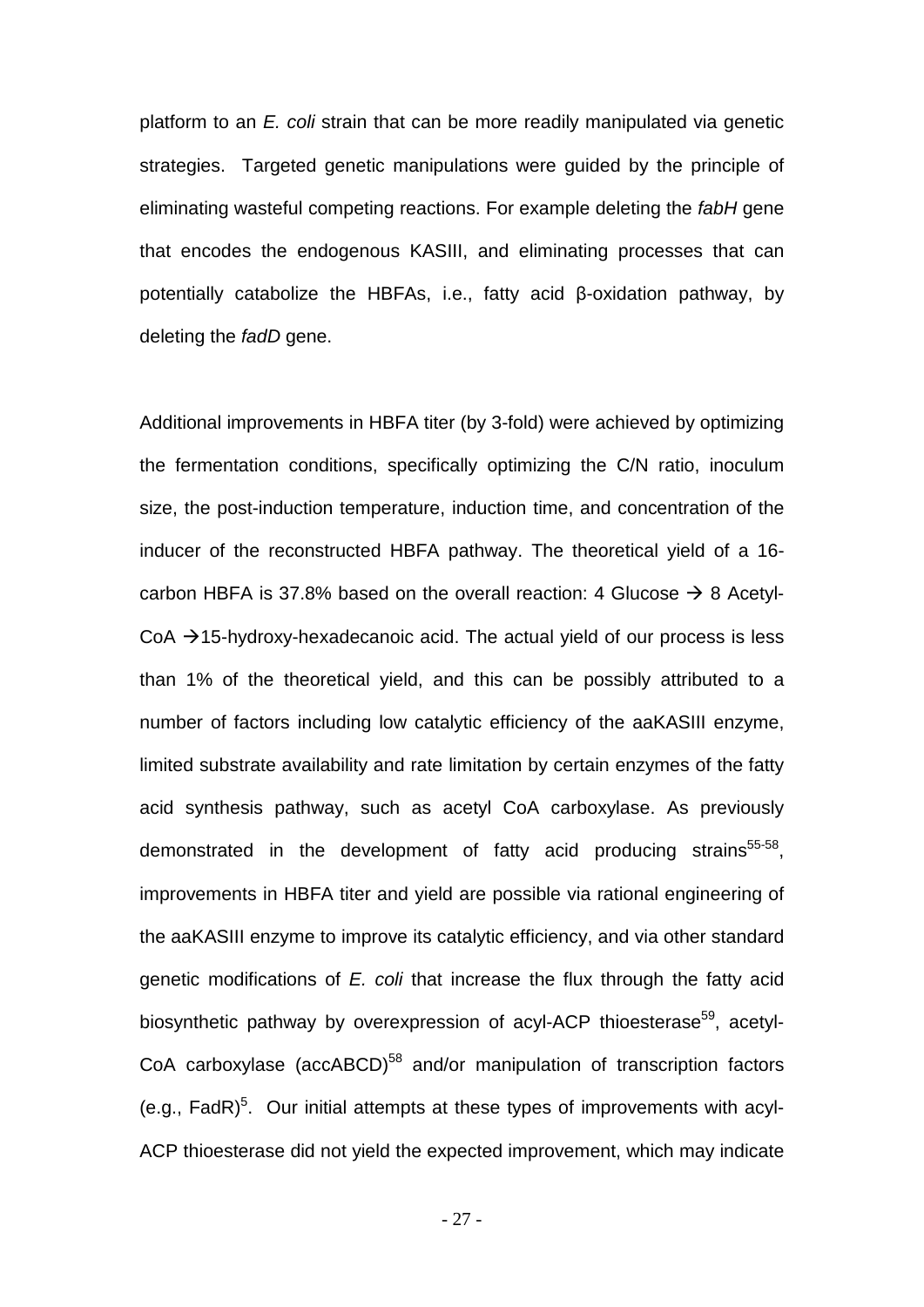platform to an *E. coli* strain that can be more readily manipulated via genetic strategies. Targeted genetic manipulations were guided by the principle of eliminating wasteful competing reactions. For example deleting the *fabH* gene that encodes the endogenous KASIII, and eliminating processes that can potentially catabolize the HBFAs, i.e., fatty acid β-oxidation pathway, by deleting the *fadD* gene.

Additional improvements in HBFA titer (by 3-fold) were achieved by optimizing the fermentation conditions, specifically optimizing the C/N ratio, inoculum size, the post-induction temperature, induction time, and concentration of the inducer of the reconstructed HBFA pathway. The theoretical yield of a 16 carbon HBFA is 37.8% based on the overall reaction: 4 Glucose  $\rightarrow$  8 Acetyl- $CoA \rightarrow 15$ -hydroxy-hexadecanoic acid. The actual yield of our process is less than 1% of the theoretical yield, and this can be possibly attributed to a number of factors including low catalytic efficiency of the aaKASIII enzyme, limited substrate availability and rate limitation by certain enzymes of the fatty acid synthesis pathway, such as acetyl CoA carboxylase. As previously demonstrated in the development of fatty acid producing strains<sup>55-58</sup>, improvements in HBFA titer and yield are possible via rational engineering of the aaKASIII enzyme to improve its catalytic efficiency, and via other standard genetic modifications of *E. coli* that increase the flux through the fatty acid biosynthetic pathway by overexpression of acyl-ACP thioesterase<sup>59</sup>, acetyl-CoA carboxylase (accABCD)<sup>58</sup> and/or manipulation of transcription factors (e.g., FadR)<sup>5</sup>. Our initial attempts at these types of improvements with acyl-ACP thioesterase did not yield the expected improvement, which may indicate

- 27 -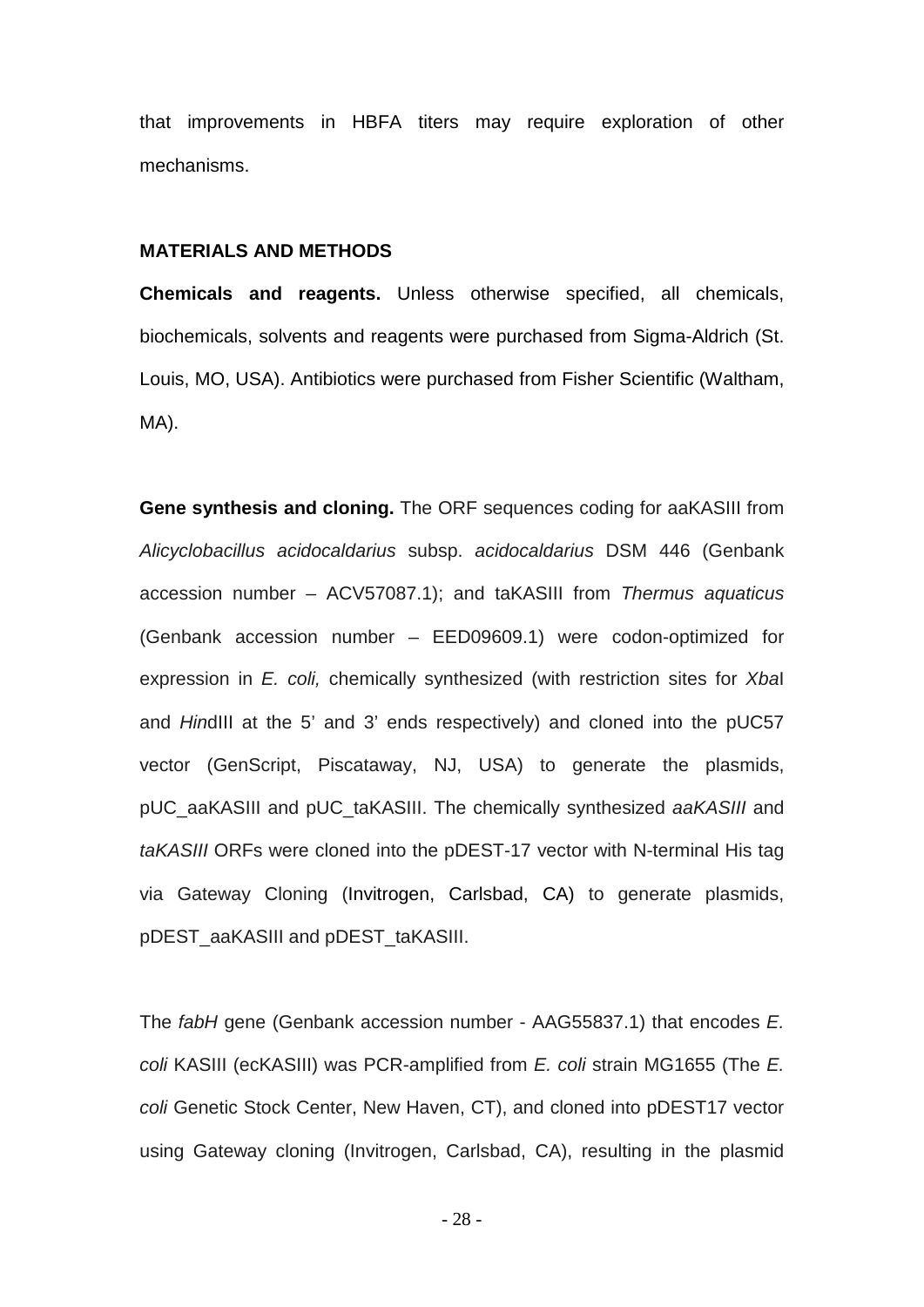that improvements in HBFA titers may require exploration of other mechanisms.

#### **MATERIALS AND METHODS**

**Chemicals and reagents.** Unless otherwise specified, all chemicals, biochemicals, solvents and reagents were purchased from Sigma-Aldrich (St. Louis, MO, USA). Antibiotics were purchased from Fisher Scientific (Waltham, MA).

**Gene synthesis and cloning.** The ORF sequences coding for aaKASIII from *Alicyclobacillus acidocaldarius* subsp. *acidocaldarius* DSM 446 (Genbank accession number – ACV57087.1); and taKASIII from *Thermus aquaticus* (Genbank accession number – EED09609.1) were codon-optimized for expression in *E. coli,* chemically synthesized (with restriction sites for *Xba*I and *Hin*dIII at the 5' and 3' ends respectively) and cloned into the pUC57 vector (GenScript, Piscataway, NJ, USA) to generate the plasmids, pUC\_aaKASIII and pUC\_taKASIII. The chemically synthesized *aaKASIII* and *taKASIII* ORFs were cloned into the pDEST-17 vector with N-terminal His tag via Gateway Cloning (Invitrogen, Carlsbad, CA) to generate plasmids, pDEST\_aaKASIII and pDEST\_taKASIII.

The *fabH* gene (Genbank accession number - AAG55837.1) that encodes *E. coli* KASIII (ecKASIII) was PCR-amplified from *E. coli* strain MG1655 (The *E. coli* Genetic Stock Center, New Haven, CT), and cloned into pDEST17 vector using Gateway cloning (Invitrogen, Carlsbad, CA), resulting in the plasmid

- 28 -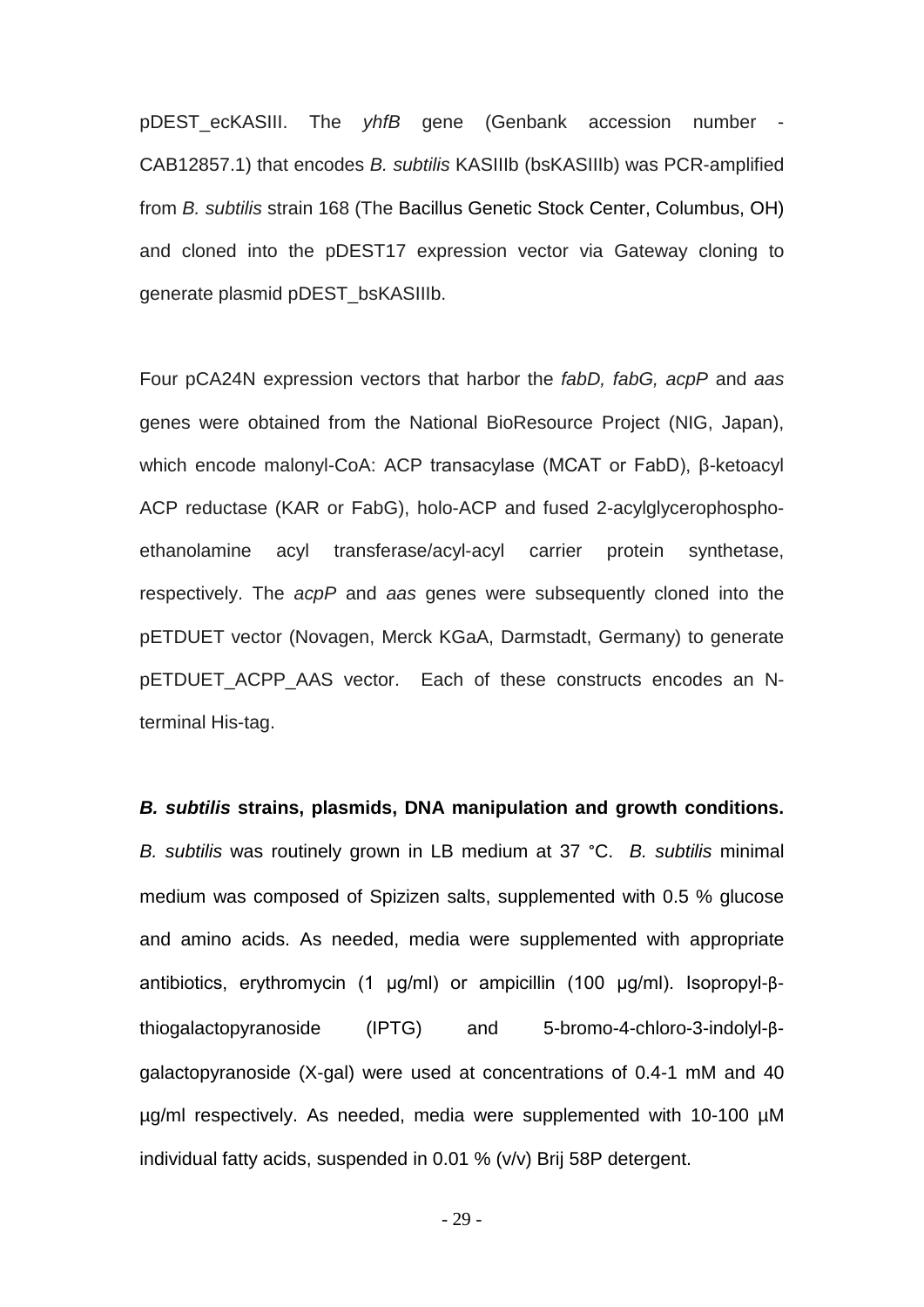pDEST\_ecKASIII. The *yhfB* gene (Genbank accession number - CAB12857.1) that encodes *B. subtilis* KASIIIb (bsKASIIIb) was PCR-amplified from *B. subtilis* strain 168 (The Bacillus Genetic Stock Center, Columbus, OH) and cloned into the pDEST17 expression vector via Gateway cloning to generate plasmid pDEST\_bsKASIIIb.

Four pCA24N expression vectors that harbor the *fabD, fabG, acpP* and *aas* genes were obtained from the National BioResource Project (NIG, Japan), which encode malonyl-CoA: ACP transacylase (MCAT or FabD), β-ketoacyl ACP reductase (KAR or FabG), holo-ACP and fused 2-acylglycerophosphoethanolamine acyl transferase/acyl-acyl carrier protein synthetase, respectively. The *acpP* and *aas* genes were subsequently cloned into the pETDUET vector (Novagen, Merck KGaA, Darmstadt, Germany) to generate pETDUET ACPP AAS vector. Each of these constructs encodes an Nterminal His-tag.

#### *B. subtilis* **strains, plasmids, DNA manipulation and growth conditions.**

*B. subtilis* was routinely grown in LB medium at 37 °C. *B. subtilis* minimal medium was composed of Spizizen salts, supplemented with 0.5 % glucose and amino acids. As needed, media were supplemented with appropriate antibiotics, erythromycin (1 μg/ml) or ampicillin (100 μg/ml). Isopropyl-βthiogalactopyranoside (IPTG) and 5-bromo-4-chloro-3-indolyl-βgalactopyranoside (X-gal) were used at concentrations of 0.4-1 mM and 40 µg/ml respectively. As needed, media were supplemented with 10-100 µM individual fatty acids, suspended in 0.01 % (v/v) Brij 58P detergent.

- 29 -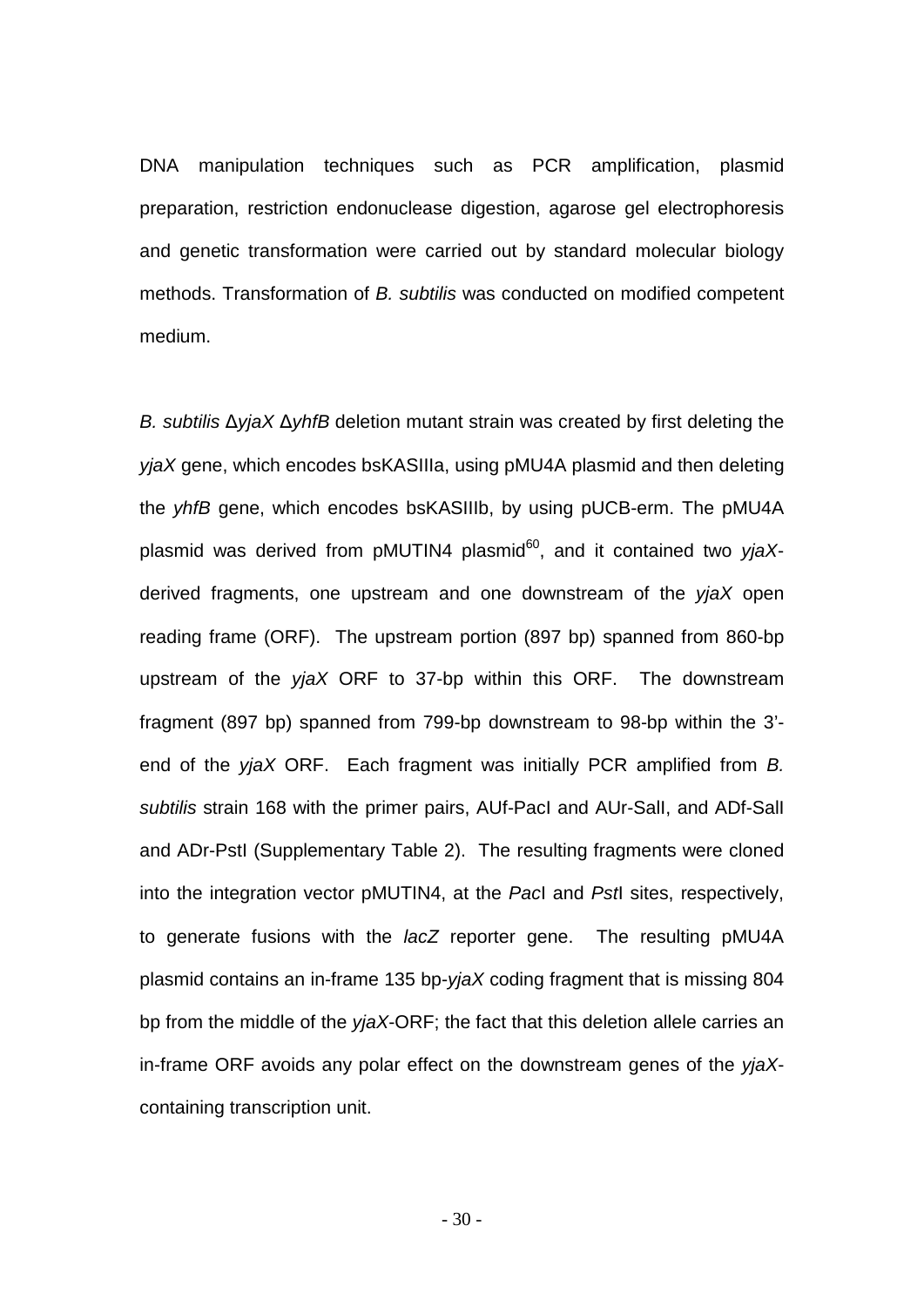DNA manipulation techniques such as PCR amplification, plasmid preparation, restriction endonuclease digestion, agarose gel electrophoresis and genetic transformation were carried out by standard molecular biology methods. Transformation of *B. subtilis* was conducted on modified competent medium.

*B. subtilis* Δ*yjaX* Δ*yhfB* deletion mutant strain was created by first deleting the *yjaX* gene, which encodes bsKASIIIa, using pMU4A plasmid and then deleting the *yhfB* gene, which encodes bsKASIIIb, by using pUCB-erm. The pMU4A plasmid was derived from pMUTIN4 plasmid<sup>60</sup>, and it contained two yjaXderived fragments, one upstream and one downstream of the *yjaX* open reading frame (ORF). The upstream portion (897 bp) spanned from 860-bp upstream of the *yjaX* ORF to 37-bp within this ORF. The downstream fragment (897 bp) spanned from 799-bp downstream to 98-bp within the 3' end of the *yjaX* ORF. Each fragment was initially PCR amplified from *B. subtilis* strain 168 with the primer pairs, AUf-PacI and AUr-SalI, and ADf-SalI and ADr-PstI (Supplementary Table 2). The resulting fragments were cloned into the integration vector pMUTIN4, at the *Pac*I and *Pst*I sites, respectively, to generate fusions with the *lacZ* reporter gene. The resulting pMU4A plasmid contains an in-frame 135 bp-*yjaX* coding fragment that is missing 804 bp from the middle of the *yjaX*-ORF; the fact that this deletion allele carries an in-frame ORF avoids any polar effect on the downstream genes of the *yjaX*containing transcription unit.

- 30 -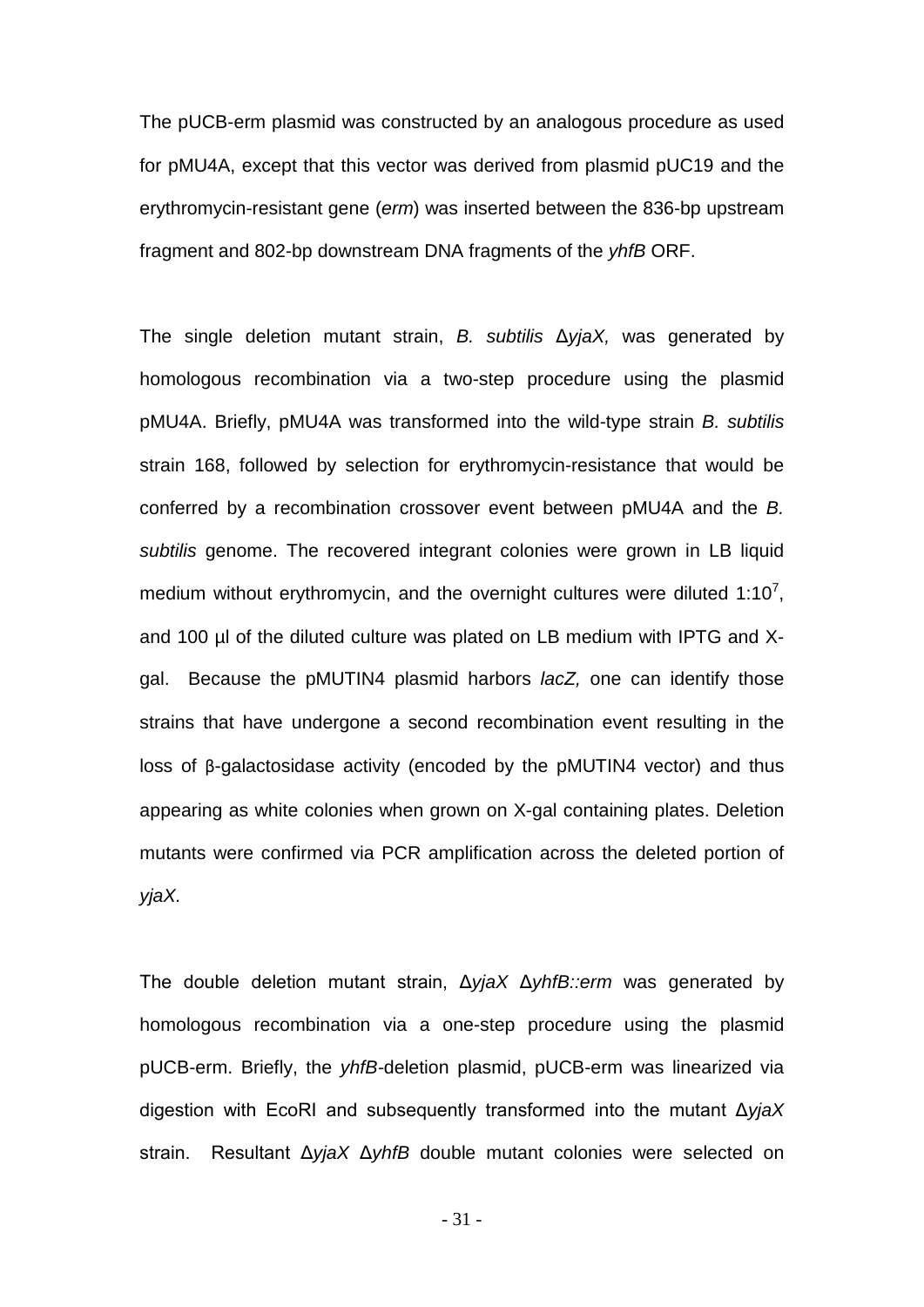The pUCB-erm plasmid was constructed by an analogous procedure as used for pMU4A, except that this vector was derived from plasmid pUC19 and the erythromycin-resistant gene (*erm*) was inserted between the 836-bp upstream fragment and 802-bp downstream DNA fragments of the *yhfB* ORF.

The single deletion mutant strain, *B. subtilis* Δ*yjaX,* was generated by homologous recombination via a two-step procedure using the plasmid pMU4A. Briefly, pMU4A was transformed into the wild-type strain *B. subtilis*  strain 168, followed by selection for erythromycin-resistance that would be conferred by a recombination crossover event between pMU4A and the *B. subtilis* genome. The recovered integrant colonies were grown in LB liquid medium without erythromycin, and the overnight cultures were diluted 1:10<sup>7</sup>, and 100 µl of the diluted culture was plated on LB medium with IPTG and Xgal. Because the pMUTIN4 plasmid harbors *lacZ,* one can identify those strains that have undergone a second recombination event resulting in the loss of β-galactosidase activity (encoded by the pMUTIN4 vector) and thus appearing as white colonies when grown on X-gal containing plates. Deletion mutants were confirmed via PCR amplification across the deleted portion of *yjaX.* 

The double deletion mutant strain, Δ*yjaX* Δ*yhfB::erm* was generated by homologous recombination via a one-step procedure using the plasmid pUCB-erm. Briefly, the *yhfB-*deletion plasmid, pUCB-erm was linearized via digestion with EcoRI and subsequently transformed into the mutant Δ*yjaX* strain. Resultant Δ*yjaX* Δ*yhfB* double mutant colonies were selected on

- 31 -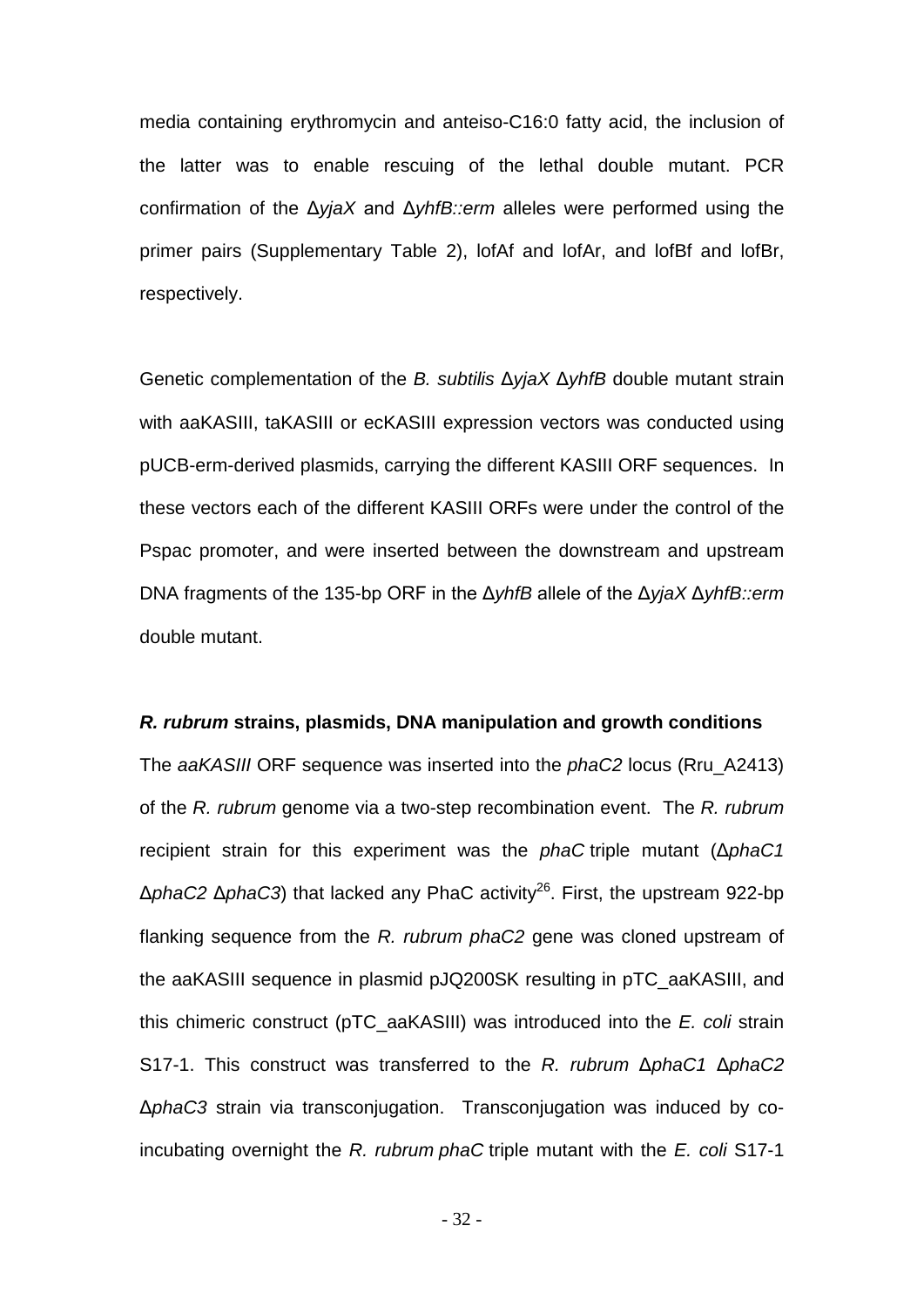media containing erythromycin and anteiso-C16:0 fatty acid, the inclusion of the latter was to enable rescuing of the lethal double mutant. PCR confirmation of the Δ*yjaX* and Δ*yhfB::erm* alleles were performed using the primer pairs (Supplementary Table 2), lofAf and lofAr, and lofBf and lofBr, respectively.

Genetic complementation of the *B. subtilis* Δ*yjaX* Δ*yhfB* double mutant strain with aaKASIII, taKASIII or ecKASIII expression vectors was conducted using pUCB-erm-derived plasmids, carrying the different KASIII ORF sequences. In these vectors each of the different KASIII ORFs were under the control of the Pspac promoter, and were inserted between the downstream and upstream DNA fragments of the 135-bp ORF in the Δ*yhfB* allele of the Δ*yjaX* Δ*yhfB::erm* double mutant.

#### *R. rubrum* **strains, plasmids, DNA manipulation and growth conditions**

The *aaKASIII* ORF sequence was inserted into the *phaC2* locus (Rru\_A2413) of the *R. rubrum* genome via a two-step recombination event. The *R. rubrum* recipient strain for this experiment was the *phaC* triple mutant (Δ*phaC1*  Δ*phaC2* Δ*phaC3*) that lacked any PhaC activity26. First, the upstream 922-bp flanking sequence from the *R. rubrum phaC2* gene was cloned upstream of the aaKASIII sequence in plasmid pJQ200SK resulting in pTC\_aaKASIII, and this chimeric construct (pTC\_aaKASIII) was introduced into the *E. coli* strain S17-1. This construct was transferred to the *R. rubrum* Δ*phaC1* Δ*phaC2*  Δ*phaC3* strain via transconjugation. Transconjugation was induced by coincubating overnight the *R. rubrum phaC* triple mutant with the *E. coli* S17-1

- 32 -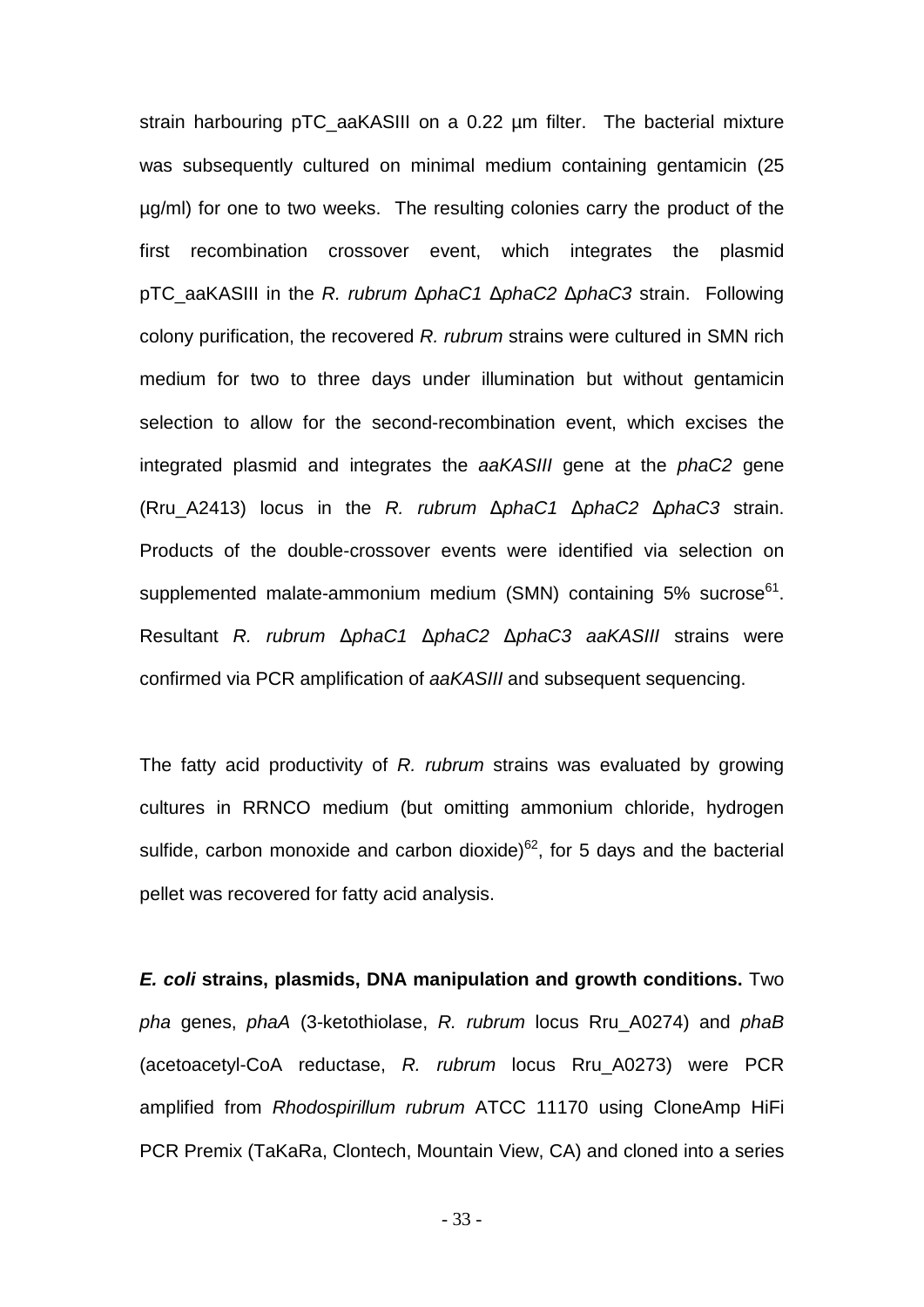strain harbouring pTC\_aaKASIII on a 0.22 µm filter. The bacterial mixture was subsequently cultured on minimal medium containing gentamicin (25 µg/ml) for one to two weeks. The resulting colonies carry the product of the first recombination crossover event, which integrates the plasmid pTC\_aaKASIII in the *R. rubrum* Δ*phaC1* Δ*phaC2* Δ*phaC3* strain. Following colony purification, the recovered *R. rubrum* strains were cultured in SMN rich medium for two to three days under illumination but without gentamicin selection to allow for the second-recombination event, which excises the integrated plasmid and integrates the *aaKASIII* gene at the *phaC2* gene (Rru\_A2413) locus in the *R. rubrum* Δ*phaC1* Δ*phaC2* Δ*phaC3* strain. Products of the double-crossover events were identified via selection on supplemented malate-ammonium medium (SMN) containing  $5\%$  sucrose<sup>61</sup>. Resultant *R. rubrum* Δ*phaC1* Δ*phaC2* Δ*phaC3 aaKASIII* strains were confirmed via PCR amplification of *aaKASIII* and subsequent sequencing.

The fatty acid productivity of *R. rubrum* strains was evaluated by growing cultures in RRNCO medium (but omitting ammonium chloride, hydrogen sulfide, carbon monoxide and carbon dioxide) $62$ , for 5 days and the bacterial pellet was recovered for fatty acid analysis.

*E. coli* **strains, plasmids, DNA manipulation and growth conditions.** Two *pha* genes, *phaA* (3-ketothiolase, *R. rubrum* locus Rru\_A0274) and *phaB* (acetoacetyl-CoA reductase, *R. rubrum* locus Rru\_A0273) were PCR amplified from *Rhodospirillum rubrum* ATCC 11170 using CloneAmp HiFi PCR Premix (TaKaRa, Clontech, Mountain View, CA) and cloned into a series

- 33 -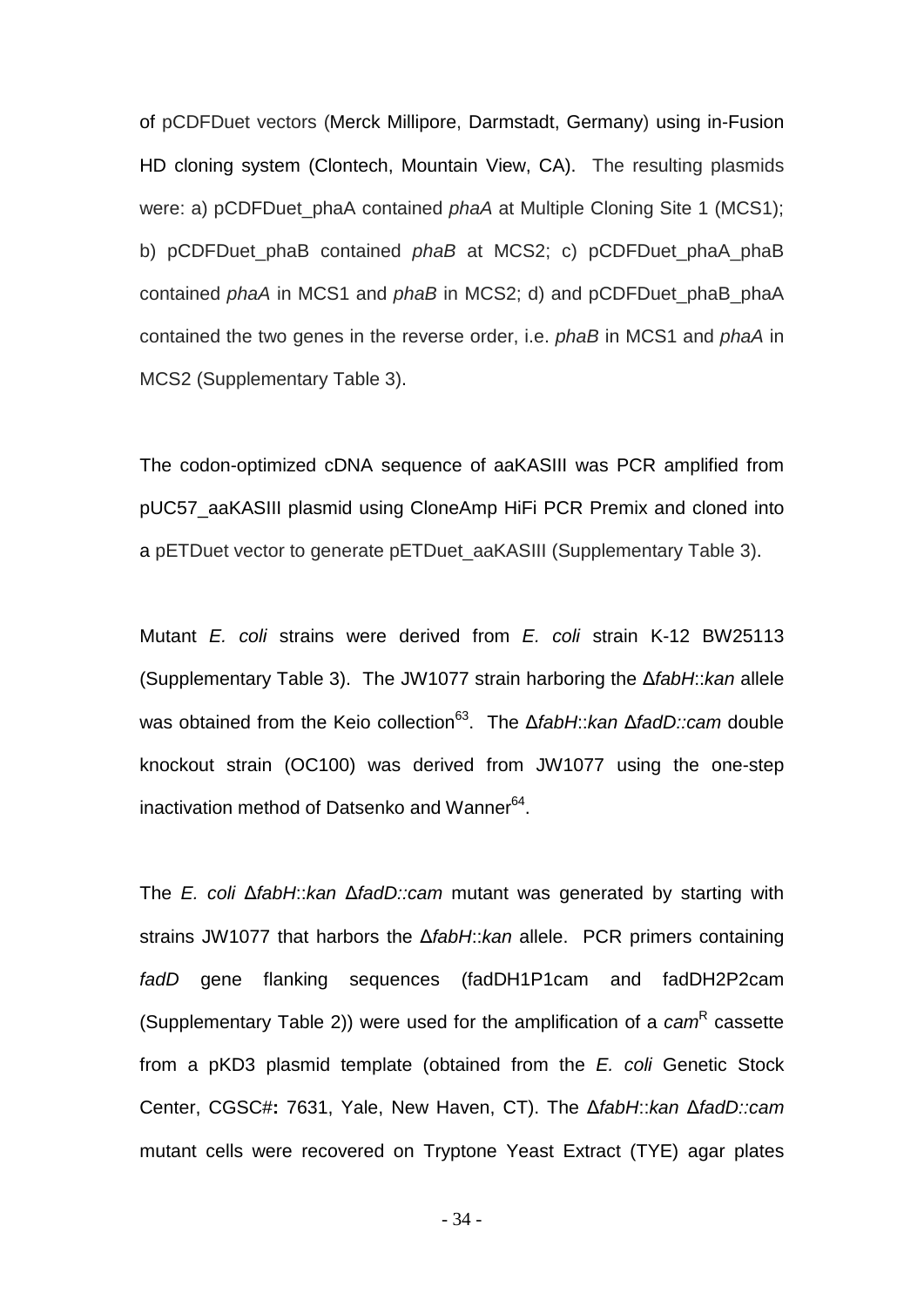of pCDFDuet vectors (Merck Millipore, Darmstadt, Germany) using in-Fusion HD cloning system (Clontech, Mountain View, CA). The resulting plasmids were: a) pCDFDuet\_phaA contained *phaA* at Multiple Cloning Site 1 (MCS1); b) pCDFDuet phaB contained *phaB* at MCS2; c) pCDFDuet phaA phaB contained *phaA* in MCS1 and *phaB* in MCS2; d) and pCDFDuet\_phaB\_phaA contained the two genes in the reverse order, i.e. *phaB* in MCS1 and *phaA* in MCS2 (Supplementary Table 3).

The codon-optimized cDNA sequence of aaKASIII was PCR amplified from pUC57\_aaKASIII plasmid using CloneAmp HiFi PCR Premix and cloned into a pETDuet vector to generate pETDuet\_aaKASIII (Supplementary Table 3).

Mutant *E. coli* strains were derived from *E. coli* strain K-12 BW25113 (Supplementary Table 3). The JW1077 strain harboring the Δ*fabH*::*kan* allele was obtained from the Keio collection63. The Δ*fabH*::*kan* Δ*fadD::cam* double knockout strain (OC100) was derived from JW1077 using the one-step inactivation method of Datsenko and Wanner<sup>64</sup>.

The *E. coli* Δ*fabH*::*kan* Δ*fadD::cam* mutant was generated by starting with strains JW1077 that harbors the Δ*fabH*::*kan* allele. PCR primers containing *fadD* gene flanking sequences (fadDH1P1cam and fadDH2P2cam (Supplementary Table 2)) were used for the amplification of a *cam*<sup>R</sup> cassette from a pKD3 plasmid template (obtained from the *E. coli* Genetic Stock Center, CGSC#**:** 7631, Yale, New Haven, CT). The Δ*fabH*::*kan* Δ*fadD::cam*  mutant cells were recovered on Tryptone Yeast Extract (TYE) agar plates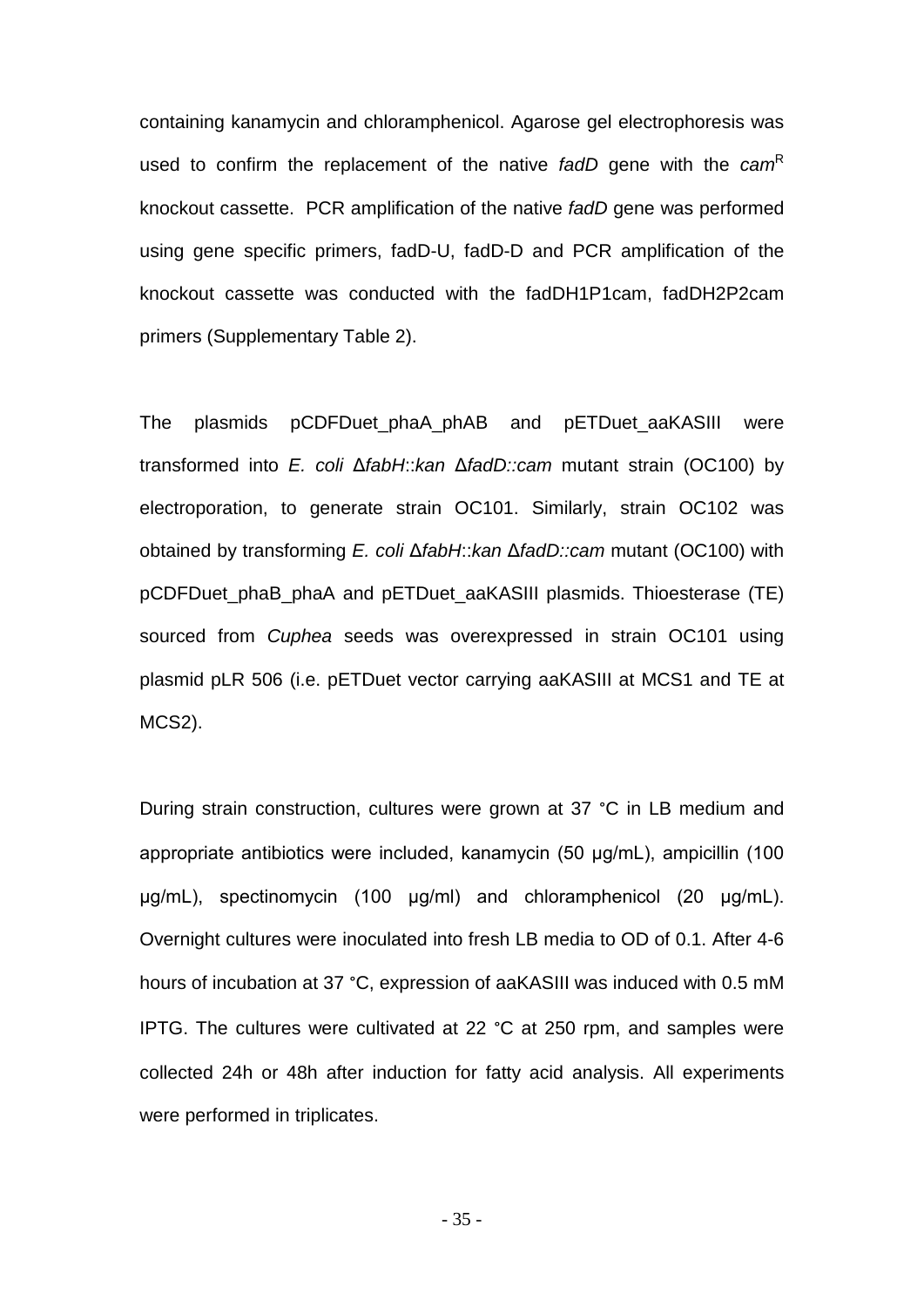containing kanamycin and chloramphenicol. Agarose gel electrophoresis was used to confirm the replacement of the native *fadD* gene with the *cam*<sup>R</sup> knockout cassette. PCR amplification of the native *fadD* gene was performed using gene specific primers, fadD-U, fadD-D and PCR amplification of the knockout cassette was conducted with the fadDH1P1cam, fadDH2P2cam primers (Supplementary Table 2).

The plasmids pCDFDuet phaA\_phAB and pETDuet aaKASIII were transformed into *E. coli* Δ*fabH*::*kan* Δ*fadD::cam* mutant strain (OC100) by electroporation, to generate strain OC101. Similarly, strain OC102 was obtained by transforming *E. coli* Δ*fabH*::*kan* Δ*fadD::cam* mutant (OC100) with pCDFDuet\_phaB\_phaA and pETDuet\_aaKASIII plasmids. Thioesterase (TE) sourced from *Cuphea* seeds was overexpressed in strain OC101 using plasmid pLR 506 (i.e. pETDuet vector carrying aaKASIII at MCS1 and TE at MCS2).

During strain construction, cultures were grown at 37 °C in LB medium and appropriate antibiotics were included, kanamycin (50 μg/mL), ampicillin (100 μg/mL), spectinomycin (100 μg/ml) and chloramphenicol (20 μg/mL). Overnight cultures were inoculated into fresh LB media to OD of 0.1. After 4-6 hours of incubation at 37 °C, expression of aaKASIII was induced with 0.5 mM IPTG. The cultures were cultivated at 22 °C at 250 rpm, and samples were collected 24h or 48h after induction for fatty acid analysis. All experiments were performed in triplicates.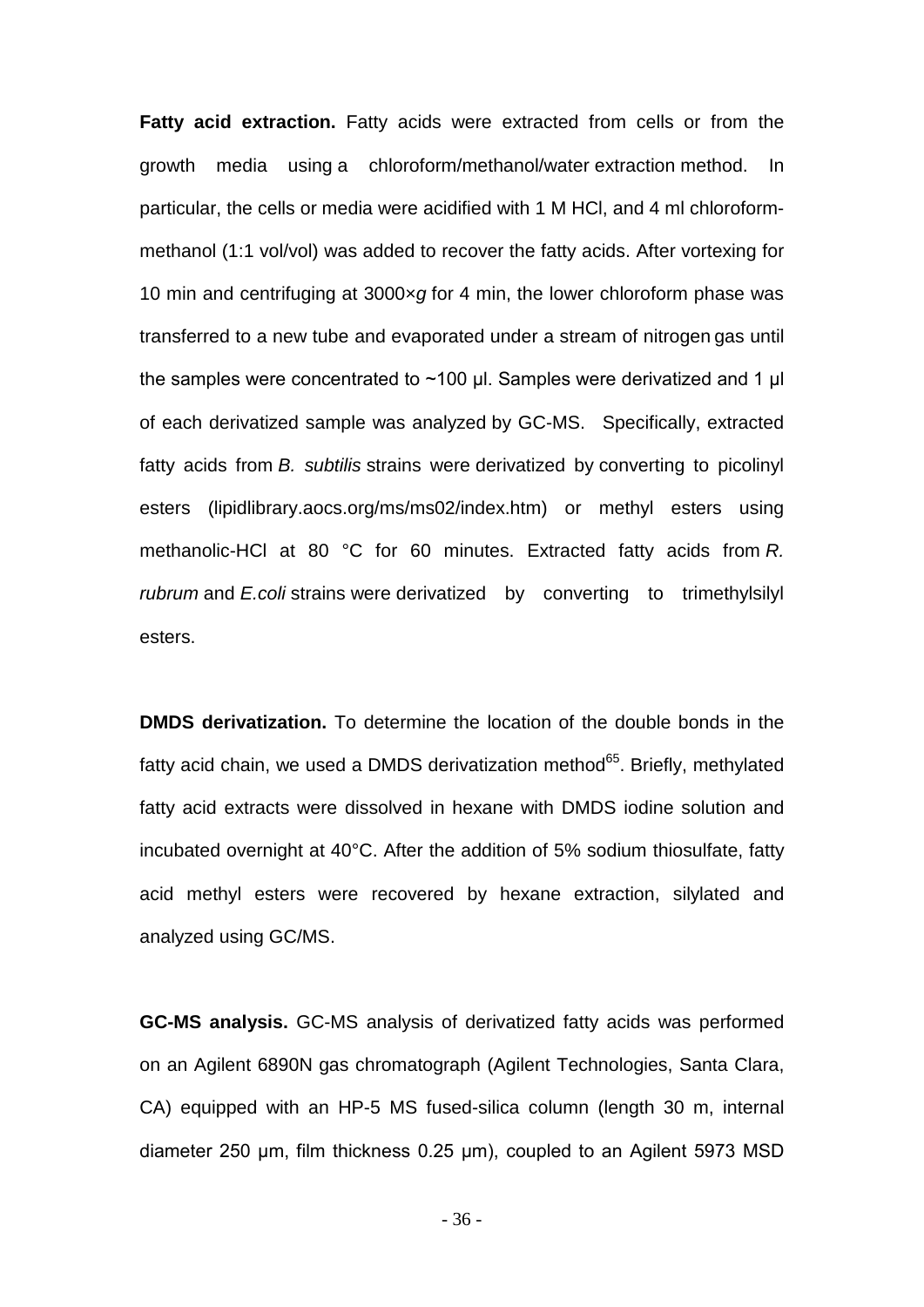**Fatty acid extraction.** Fatty acids were extracted from cells or from the growth media using a chloroform/methanol/water extraction method. In particular, the cells or media were acidified with 1 M HCl, and 4 ml chloroformmethanol (1:1 vol/vol) was added to recover the fatty acids. After vortexing for 10 min and centrifuging at 3000×*g* for 4 min, the lower chloroform phase was transferred to a new tube and evaporated under a stream of nitrogen gas until the samples were concentrated to ~100 μl. Samples were derivatized and 1 μl of each derivatized sample was analyzed by GC-MS. Specifically, extracted fatty acids from *B. subtilis* strains were derivatized by converting to picolinyl esters (lipidlibrary.aocs.org/ms/ms02/index.htm) or methyl esters using methanolic-HCl at 80 °C for 60 minutes. Extracted fatty acids from *R. rubrum* and *E.coli* strains were derivatized by converting to trimethylsilyl esters.

**DMDS derivatization.** To determine the location of the double bonds in the fatty acid chain, we used a DMDS derivatization method $65$ . Briefly, methylated fatty acid extracts were dissolved in hexane with DMDS iodine solution and incubated overnight at 40°C. After the addition of 5% sodium thiosulfate, fatty acid methyl esters were recovered by hexane extraction, silylated and analyzed using GC/MS.

**GC-MS analysis.** GC-MS analysis of derivatized fatty acids was performed on an Agilent 6890N gas chromatograph (Agilent Technologies, Santa Clara, CA) equipped with an HP-5 MS fused-silica column (length 30 m, internal diameter 250 μm, film thickness 0.25 μm), coupled to an Agilent 5973 MSD

- 36 -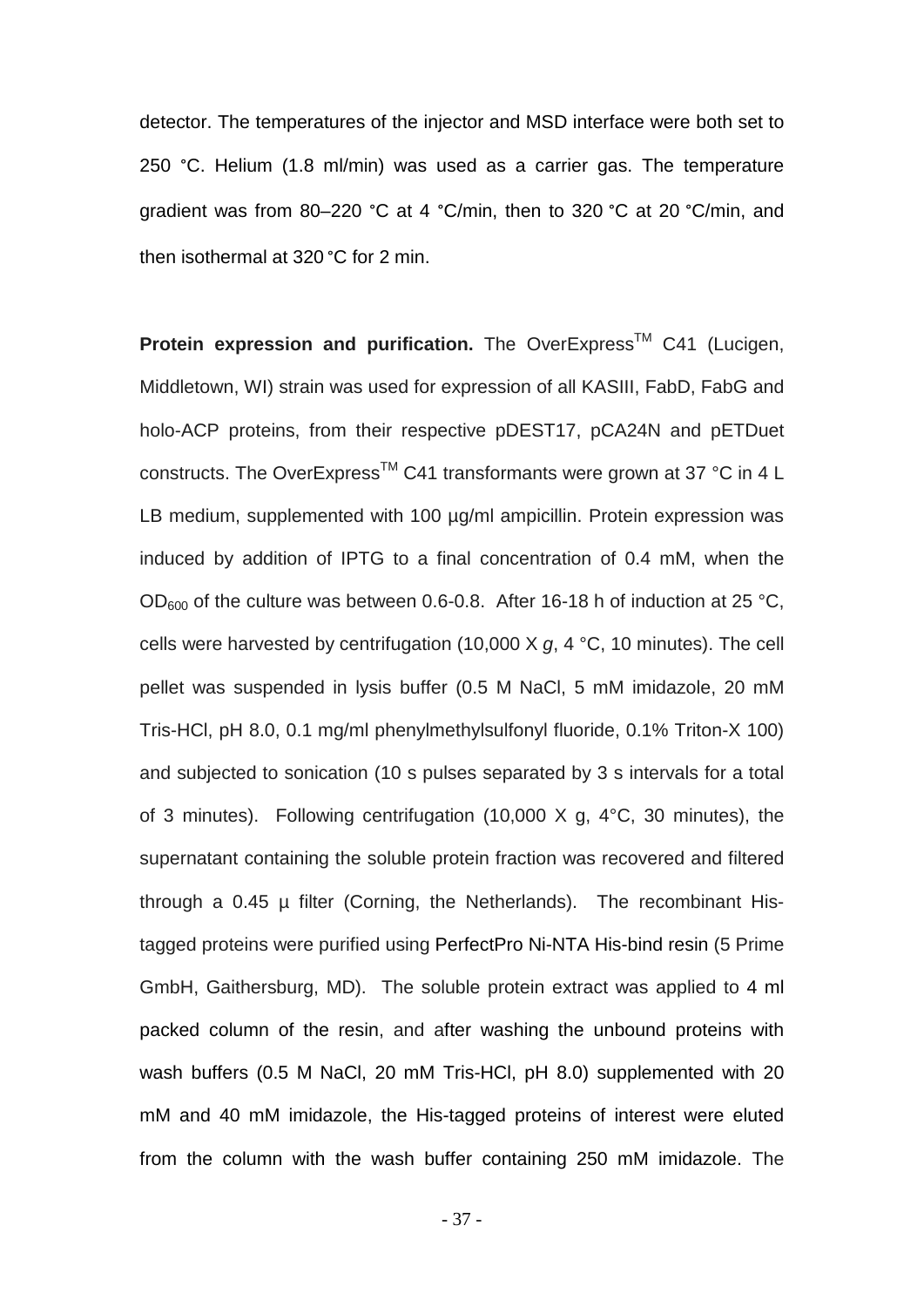detector. The temperatures of the injector and MSD interface were both set to 250 °C. Helium (1.8 ml/min) was used as a carrier gas. The temperature gradient was from 80–220 °C at 4 °C/min, then to 320 °C at 20 °C/min, and then isothermal at 320 °C for 2 min.

**Protein expression and purification.** The OverExpress<sup>™</sup> C41 (Lucigen, Middletown, WI) strain was used for expression of all KASIII, FabD, FabG and holo-ACP proteins, from their respective pDEST17, pCA24N and pETDuet constructs. The OverExpress<sup>™</sup> C41 transformants were grown at 37 °C in 4 L LB medium, supplemented with 100 µg/ml ampicillin. Protein expression was induced by addition of IPTG to a final concentration of 0.4 mM, when the  $OD_{600}$  of the culture was between 0.6-0.8. After 16-18 h of induction at 25 °C, cells were harvested by centrifugation (10,000 X *g*, 4 °C, 10 minutes). The cell pellet was suspended in lysis buffer (0.5 M NaCl, 5 mM imidazole, 20 mM Tris-HCl, pH 8.0, 0.1 mg/ml phenylmethylsulfonyl fluoride, 0.1% Triton-X 100) and subjected to sonication (10 s pulses separated by 3 s intervals for a total of 3 minutes). Following centrifugation (10,000 X g, 4°C, 30 minutes), the supernatant containing the soluble protein fraction was recovered and filtered through a 0.45 µ filter (Corning, the Netherlands). The recombinant Histagged proteins were purified using PerfectPro Ni-NTA His-bind resin (5 Prime GmbH, Gaithersburg, MD). The soluble protein extract was applied to 4 ml packed column of the resin, and after washing the unbound proteins with wash buffers (0.5 M NaCl, 20 mM Tris-HCl, pH 8.0) supplemented with 20 mM and 40 mM imidazole, the His-tagged proteins of interest were eluted from the column with the wash buffer containing 250 mM imidazole. The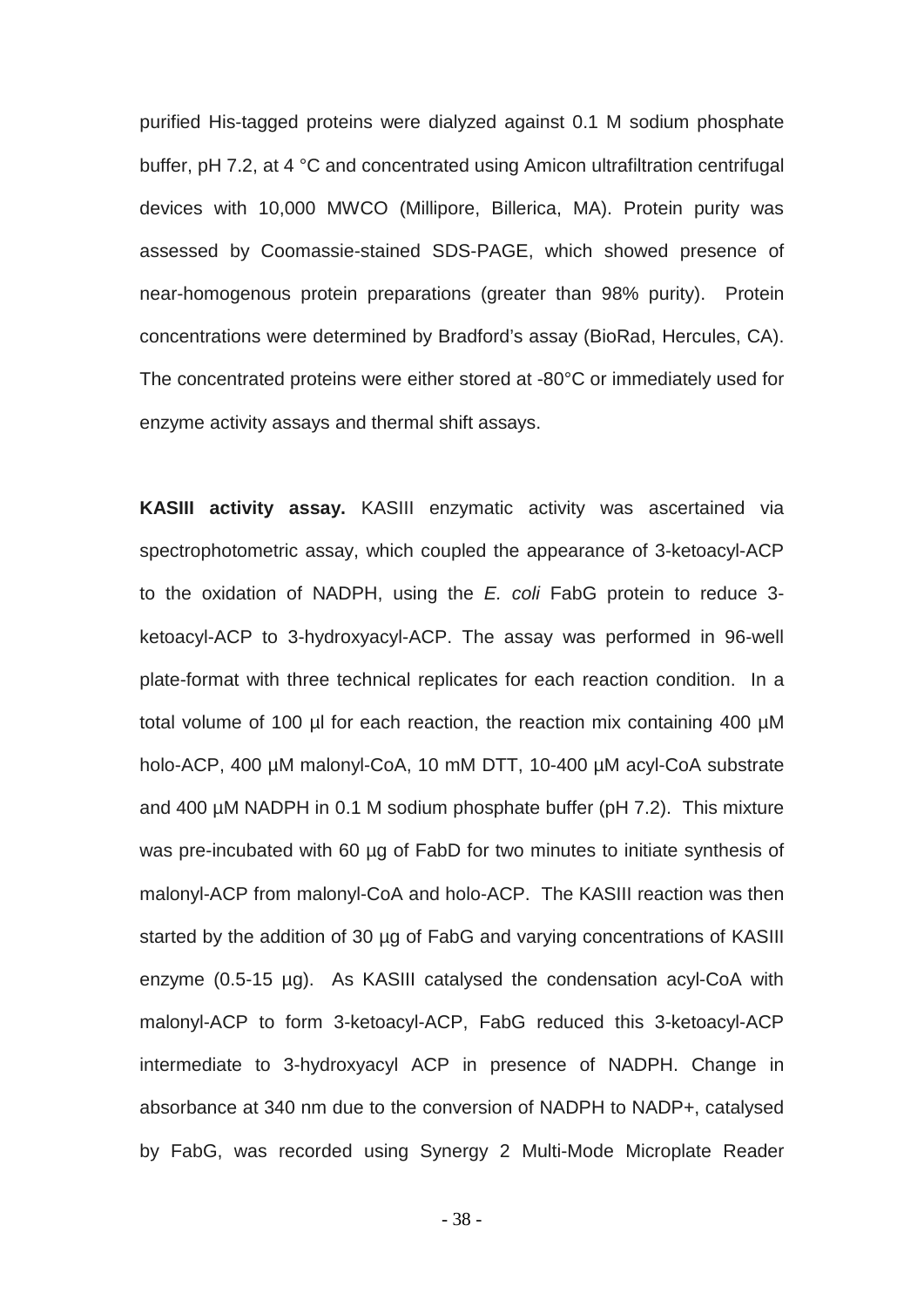purified His-tagged proteins were dialyzed against 0.1 M sodium phosphate buffer, pH 7.2, at 4 °C and concentrated using Amicon ultrafiltration centrifugal devices with 10,000 MWCO (Millipore, Billerica, MA). Protein purity was assessed by Coomassie-stained SDS-PAGE, which showed presence of near-homogenous protein preparations (greater than 98% purity). Protein concentrations were determined by Bradford's assay (BioRad, Hercules, CA). The concentrated proteins were either stored at -80°C or immediately used for enzyme activity assays and thermal shift assays.

**KASIII activity assay.** KASIII enzymatic activity was ascertained via spectrophotometric assay, which coupled the appearance of 3-ketoacyl-ACP to the oxidation of NADPH, using the *E. coli* FabG protein to reduce 3 ketoacyl-ACP to 3-hydroxyacyl-ACP. The assay was performed in 96-well plate-format with three technical replicates for each reaction condition. In a total volume of 100 µl for each reaction, the reaction mix containing 400 µM holo-ACP, 400 µM malonyl-CoA, 10 mM DTT, 10-400 µM acyl-CoA substrate and 400 µM NADPH in 0.1 M sodium phosphate buffer (pH 7.2). This mixture was pre-incubated with 60 µg of FabD for two minutes to initiate synthesis of malonyl-ACP from malonyl-CoA and holo-ACP. The KASIII reaction was then started by the addition of 30 µg of FabG and varying concentrations of KASIII enzyme (0.5-15 µg). As KASIII catalysed the condensation acyl-CoA with malonyl-ACP to form 3-ketoacyl-ACP, FabG reduced this 3-ketoacyl-ACP intermediate to 3-hydroxyacyl ACP in presence of NADPH. Change in absorbance at 340 nm due to the conversion of NADPH to NADP+, catalysed by FabG, was recorded using Synergy 2 Multi-Mode Microplate Reader

- 38 -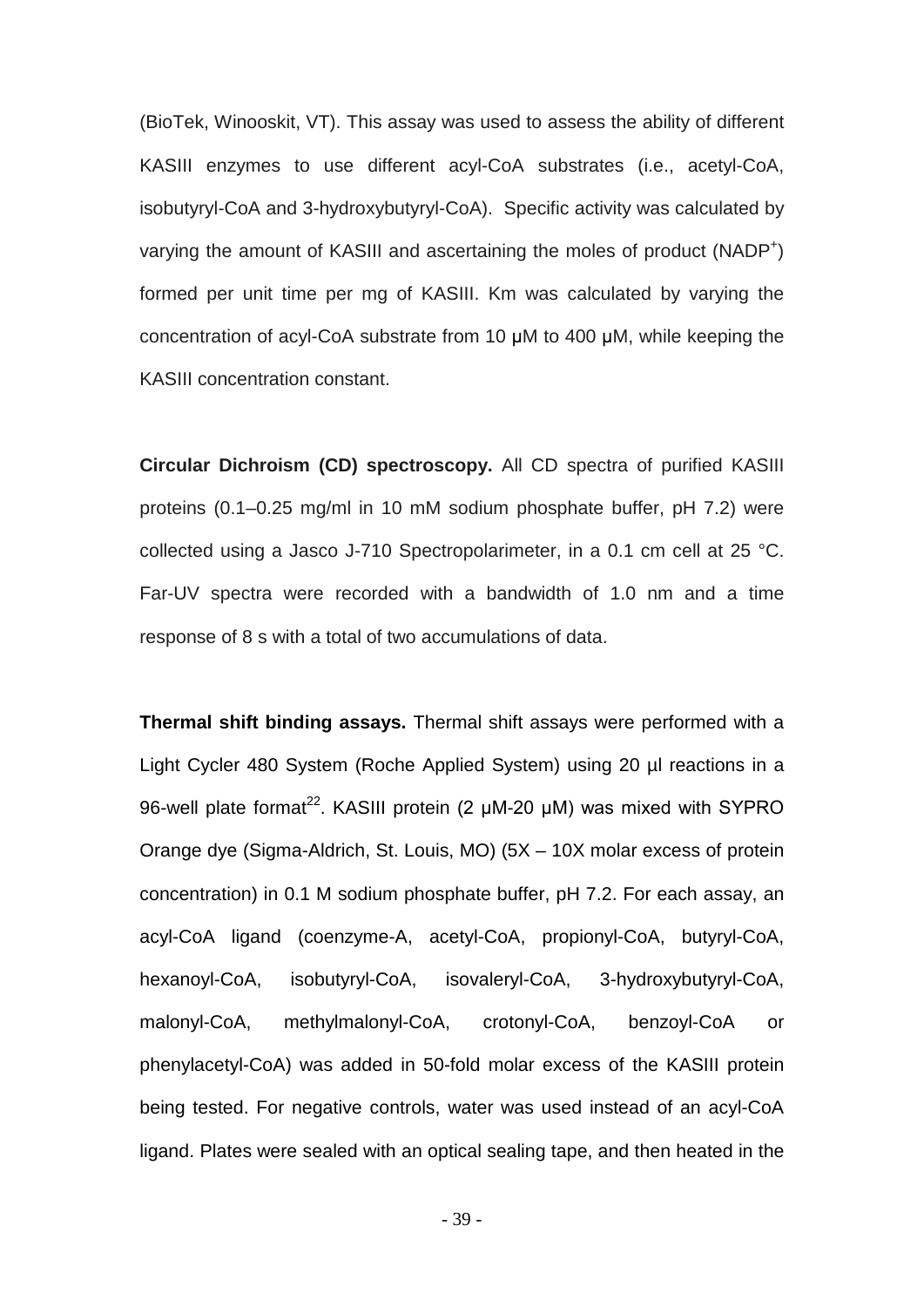(BioTek, Winooskit, VT). This assay was used to assess the ability of different KASIII enzymes to use different acyl-CoA substrates (i.e., acetyl-CoA, isobutyryl-CoA and 3-hydroxybutyryl-CoA). Specific activity was calculated by varying the amount of KASIII and ascertaining the moles of product (NADP<sup>+</sup>) formed per unit time per mg of KASIII. Km was calculated by varying the concentration of acyl-CoA substrate from 10 μM to 400 μM, while keeping the KASIII concentration constant.

**Circular Dichroism (CD) spectroscopy.** All CD spectra of purified KASIII proteins (0.1–0.25 mg/ml in 10 mM sodium phosphate buffer, pH 7.2) were collected using a Jasco J-710 Spectropolarimeter, in a 0.1 cm cell at 25 °C. Far-UV spectra were recorded with a bandwidth of 1.0 nm and a time response of 8 s with a total of two accumulations of data.

**Thermal shift binding assays.** Thermal shift assays were performed with a Light Cycler 480 System (Roche Applied System) using 20 µl reactions in a 96-well plate format<sup>22</sup>. KASIII protein (2 μM-20 μM) was mixed with SYPRO Orange dye (Sigma-Aldrich, St. Louis, MO) (5X – 10X molar excess of protein concentration) in 0.1 M sodium phosphate buffer, pH 7.2. For each assay, an acyl-CoA ligand (coenzyme-A, acetyl-CoA, propionyl-CoA, butyryl-CoA, hexanoyl-CoA, isobutyryl-CoA, isovaleryl-CoA, 3-hydroxybutyryl-CoA, malonyl-CoA, methylmalonyl-CoA, crotonyl-CoA, benzoyl-CoA or phenylacetyl-CoA) was added in 50-fold molar excess of the KASIII protein being tested. For negative controls, water was used instead of an acyl-CoA ligand. Plates were sealed with an optical sealing tape, and then heated in the

- 39 -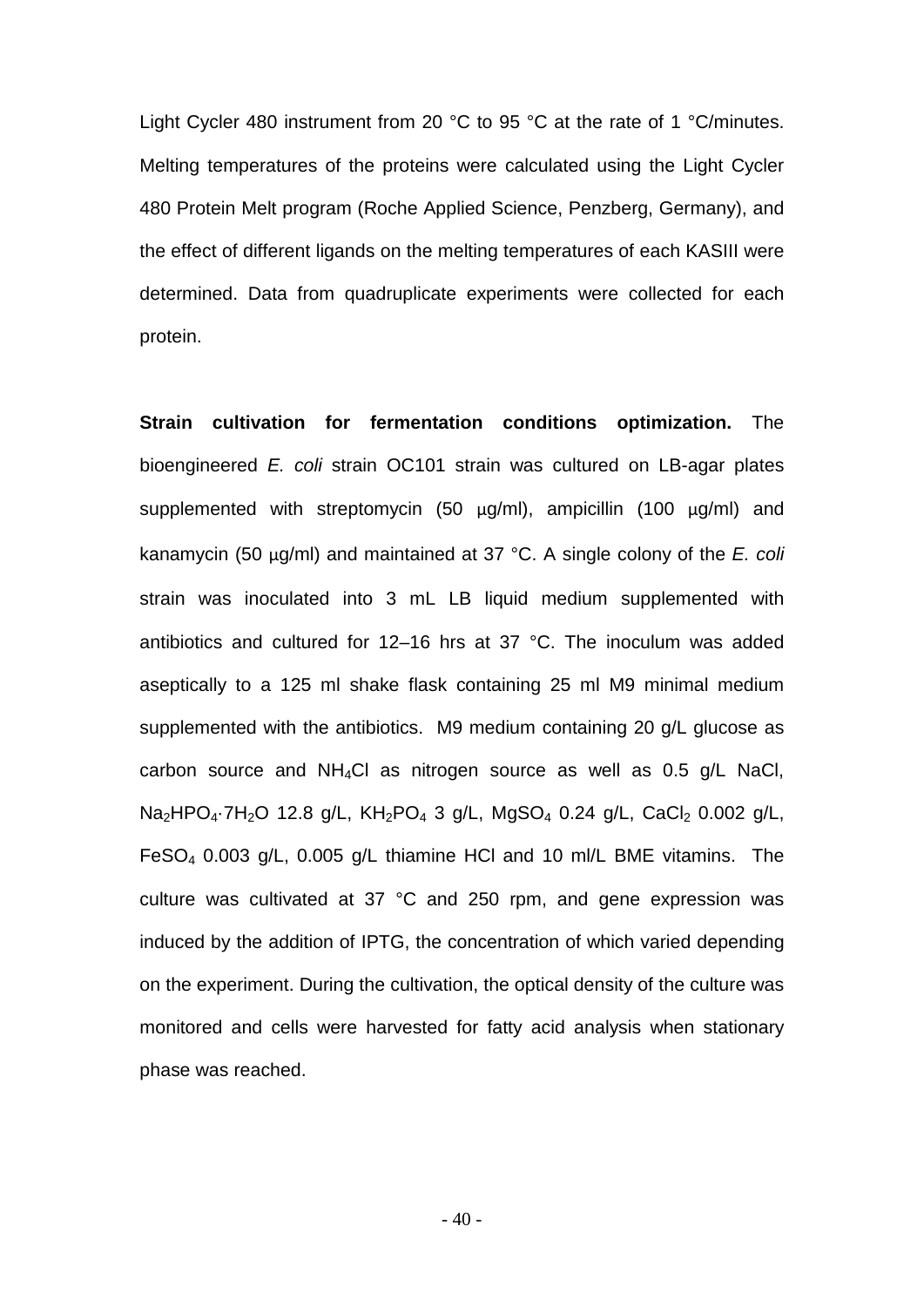Light Cycler 480 instrument from 20 °C to 95 °C at the rate of 1 °C/minutes. Melting temperatures of the proteins were calculated using the Light Cycler 480 Protein Melt program (Roche Applied Science, Penzberg, Germany), and the effect of different ligands on the melting temperatures of each KASIII were determined. Data from quadruplicate experiments were collected for each protein.

**Strain cultivation for fermentation conditions optimization.** The bioengineered *E. coli* strain OC101 strain was cultured on LB-agar plates supplemented with streptomycin (50 μg/ml), ampicillin (100 μg/ml) and kanamycin (50 μg/ml) and maintained at 37 °C. A single colony of the *E. coli* strain was inoculated into 3 mL LB liquid medium supplemented with antibiotics and cultured for 12–16 hrs at 37 °C. The inoculum was added aseptically to a 125 ml shake flask containing 25 ml M9 minimal medium supplemented with the antibiotics. M9 medium containing 20 g/L glucose as carbon source and NH4Cl as nitrogen source as well as 0.5 g/L NaCl, Na<sub>2</sub>HPO<sub>4</sub>·7H<sub>2</sub>O 12.8 g/L, KH<sub>2</sub>PO<sub>4</sub> 3 g/L, MgSO<sub>4</sub> 0.24 g/L, CaCl<sub>2</sub> 0.002 g/L, FeSO4 0.003 g/L, 0.005 g/L thiamine HCl and 10 ml/L BME vitamins. The culture was cultivated at 37 °C and 250 rpm, and gene expression was induced by the addition of IPTG, the concentration of which varied depending on the experiment. During the cultivation, the optical density of the culture was monitored and cells were harvested for fatty acid analysis when stationary phase was reached.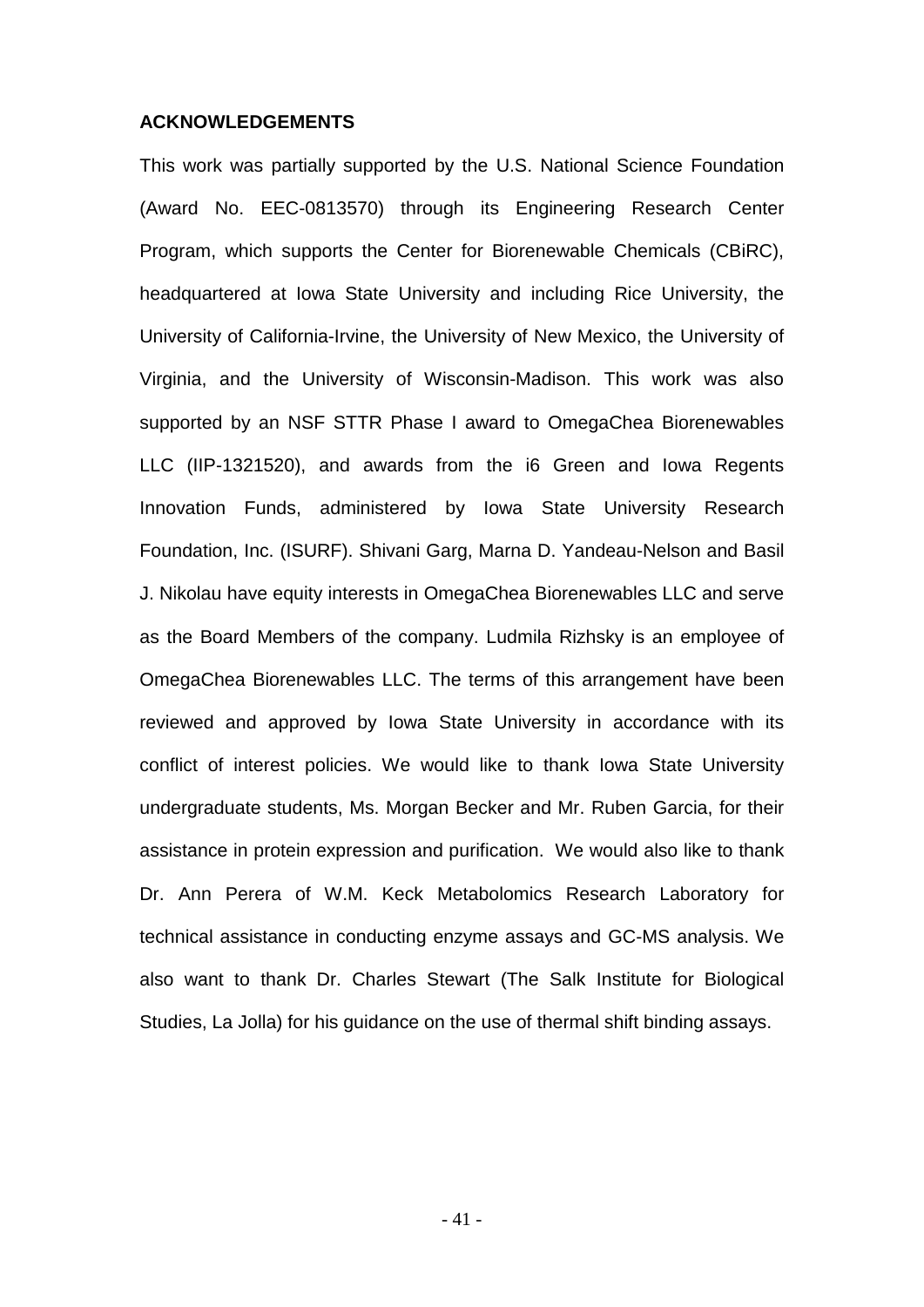#### **ACKNOWLEDGEMENTS**

This work was partially supported by the U.S. National Science Foundation (Award No. EEC-0813570) through its Engineering Research Center Program, which supports the Center for Biorenewable Chemicals (CBiRC), headquartered at Iowa State University and including Rice University, the University of California-Irvine, the University of New Mexico, the University of Virginia, and the University of Wisconsin-Madison. This work was also supported by an NSF STTR Phase I award to OmegaChea Biorenewables LLC (IIP-1321520), and awards from the i6 Green and Iowa Regents Innovation Funds, administered by [Iowa State University Research](http://www.techtransfer.iastate.edu/index.cfm?nodeID=21440)  [Foundation, Inc.](http://www.techtransfer.iastate.edu/index.cfm?nodeID=21440) (ISURF). Shivani Garg, Marna D. Yandeau-Nelson and Basil J. Nikolau have equity interests in OmegaChea Biorenewables LLC and serve as the Board Members of the company. Ludmila Rizhsky is an employee of OmegaChea Biorenewables LLC. The terms of this arrangement have been reviewed and approved by Iowa State University in accordance with its conflict of interest policies. We would like to thank Iowa State University undergraduate students, Ms. Morgan Becker and Mr. Ruben Garcia, for their assistance in protein expression and purification. We would also like to thank Dr. Ann Perera of W.M. Keck Metabolomics Research Laboratory for technical assistance in conducting enzyme assays and GC-MS analysis. We also want to thank Dr. Charles Stewart (The Salk Institute for Biological Studies, La Jolla) for his guidance on the use of thermal shift binding assays.

- 41 -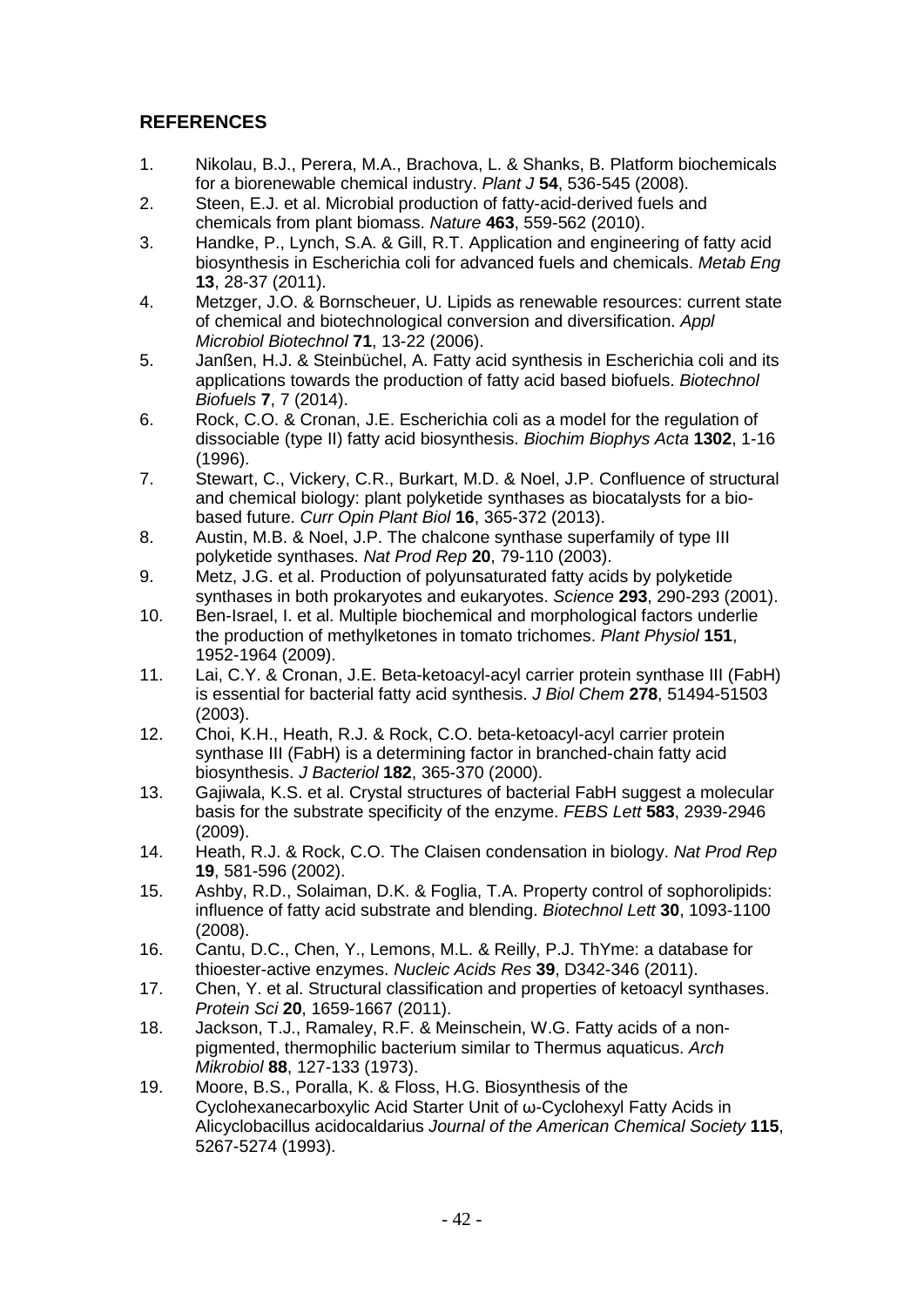# **REFERENCES**

- 1. Nikolau, B.J., Perera, M.A., Brachova, L. & Shanks, B. Platform biochemicals for a biorenewable chemical industry. *Plant J* **54**, 536-545 (2008).
- 2. Steen, E.J. et al. Microbial production of fatty-acid-derived fuels and chemicals from plant biomass. *Nature* **463**, 559-562 (2010).
- 3. Handke, P., Lynch, S.A. & Gill, R.T. Application and engineering of fatty acid biosynthesis in Escherichia coli for advanced fuels and chemicals. *Metab Eng* **13**, 28-37 (2011).
- 4. Metzger, J.O. & Bornscheuer, U. Lipids as renewable resources: current state of chemical and biotechnological conversion and diversification. *Appl Microbiol Biotechnol* **71**, 13-22 (2006).
- 5. Janßen, H.J. & Steinbüchel, A. Fatty acid synthesis in Escherichia coli and its applications towards the production of fatty acid based biofuels. *Biotechnol Biofuels* **7**, 7 (2014).
- 6. Rock, C.O. & Cronan, J.E. Escherichia coli as a model for the regulation of dissociable (type II) fatty acid biosynthesis. *Biochim Biophys Acta* **1302**, 1-16 (1996).
- 7. Stewart, C., Vickery, C.R., Burkart, M.D. & Noel, J.P. Confluence of structural and chemical biology: plant polyketide synthases as biocatalysts for a biobased future. *Curr Opin Plant Biol* **16**, 365-372 (2013).
- 8. Austin, M.B. & Noel, J.P. The chalcone synthase superfamily of type III polyketide synthases. *Nat Prod Rep* **20**, 79-110 (2003).
- 9. Metz, J.G. et al. Production of polyunsaturated fatty acids by polyketide synthases in both prokaryotes and eukaryotes. *Science* **293**, 290-293 (2001).
- 10. Ben-Israel, I. et al. Multiple biochemical and morphological factors underlie the production of methylketones in tomato trichomes. *Plant Physiol* **151**, 1952-1964 (2009).
- 11. Lai, C.Y. & Cronan, J.E. Beta-ketoacyl-acyl carrier protein synthase III (FabH) is essential for bacterial fatty acid synthesis. *J Biol Chem* **278**, 51494-51503 (2003).
- 12. Choi, K.H., Heath, R.J. & Rock, C.O. beta-ketoacyl-acyl carrier protein synthase III (FabH) is a determining factor in branched-chain fatty acid biosynthesis. *J Bacteriol* **182**, 365-370 (2000).
- 13. Gajiwala, K.S. et al. Crystal structures of bacterial FabH suggest a molecular basis for the substrate specificity of the enzyme. *FEBS Lett* **583**, 2939-2946 (2009).
- 14. Heath, R.J. & Rock, C.O. The Claisen condensation in biology. *Nat Prod Rep* **19**, 581-596 (2002).
- 15. Ashby, R.D., Solaiman, D.K. & Foglia, T.A. Property control of sophorolipids: influence of fatty acid substrate and blending. *Biotechnol Lett* **30**, 1093-1100 (2008).
- 16. Cantu, D.C., Chen, Y., Lemons, M.L. & Reilly, P.J. ThYme: a database for thioester-active enzymes. *Nucleic Acids Res* **39**, D342-346 (2011).
- 17. Chen, Y. et al. Structural classification and properties of ketoacyl synthases. *Protein Sci* **20**, 1659-1667 (2011).
- 18. Jackson, T.J., Ramaley, R.F. & Meinschein, W.G. Fatty acids of a nonpigmented, thermophilic bacterium similar to Thermus aquaticus. *Arch Mikrobiol* **88**, 127-133 (1973).
- 19. Moore, B.S., Poralla, K. & Floss, H.G. Biosynthesis of the Cyclohexanecarboxylic Acid Starter Unit of ω-Cyclohexyl Fatty Acids in Alicyclobacillus acidocaldarius *Journal of the American Chemical Society* **115**, 5267-5274 (1993).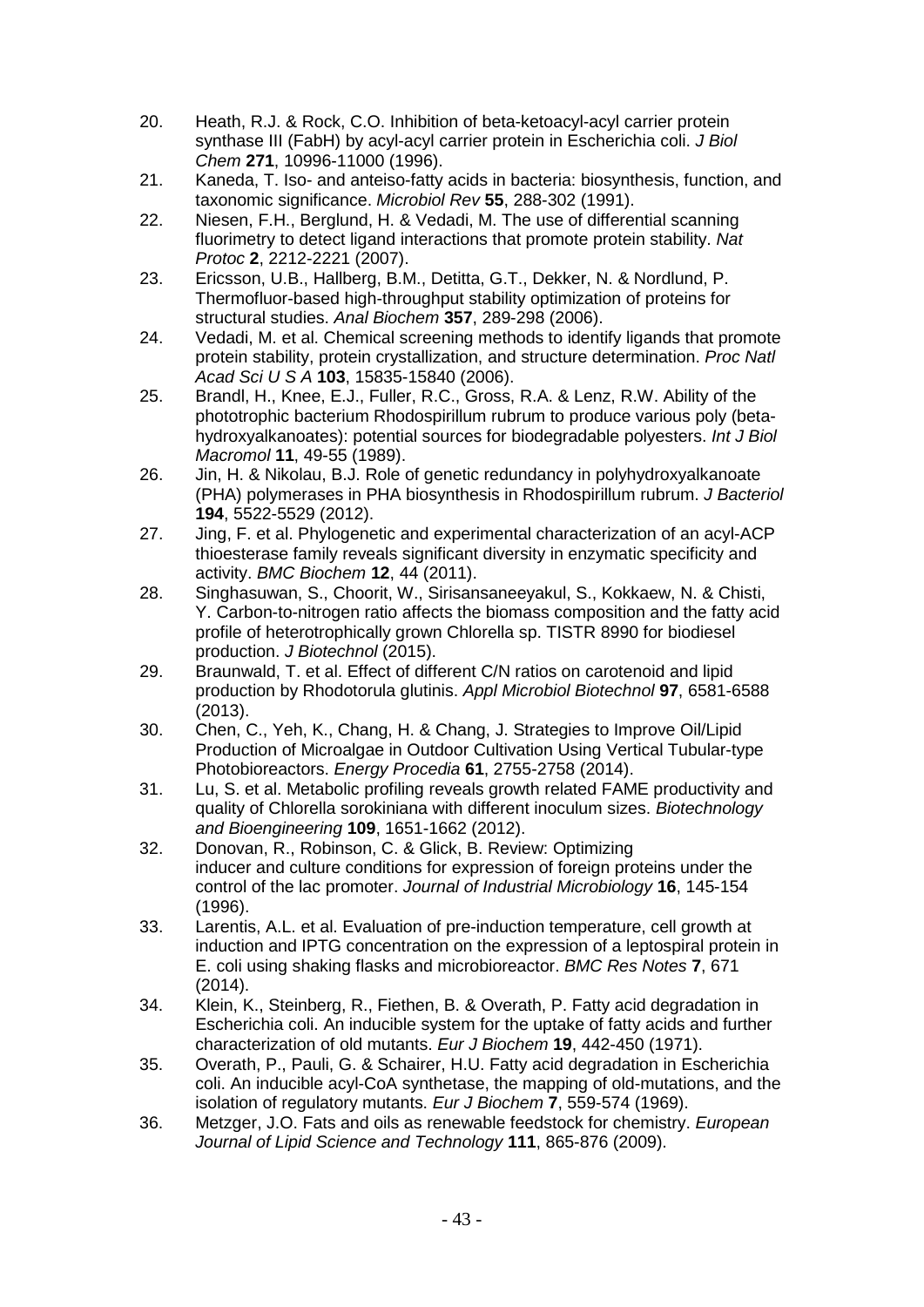- 20. Heath, R.J. & Rock, C.O. Inhibition of beta-ketoacyl-acyl carrier protein synthase III (FabH) by acyl-acyl carrier protein in Escherichia coli. *J Biol Chem* **271**, 10996-11000 (1996).
- 21. Kaneda, T. Iso- and anteiso-fatty acids in bacteria: biosynthesis, function, and taxonomic significance. *Microbiol Rev* **55**, 288-302 (1991).
- 22. Niesen, F.H., Berglund, H. & Vedadi, M. The use of differential scanning fluorimetry to detect ligand interactions that promote protein stability. *Nat Protoc* **2**, 2212-2221 (2007).
- 23. Ericsson, U.B., Hallberg, B.M., Detitta, G.T., Dekker, N. & Nordlund, P. Thermofluor-based high-throughput stability optimization of proteins for structural studies. *Anal Biochem* **357**, 289-298 (2006).
- 24. Vedadi, M. et al. Chemical screening methods to identify ligands that promote protein stability, protein crystallization, and structure determination. *Proc Natl Acad Sci U S A* **103**, 15835-15840 (2006).
- 25. Brandl, H., Knee, E.J., Fuller, R.C., Gross, R.A. & Lenz, R.W. Ability of the phototrophic bacterium Rhodospirillum rubrum to produce various poly (betahydroxyalkanoates): potential sources for biodegradable polyesters. *Int J Biol Macromol* **11**, 49-55 (1989).
- 26. Jin, H. & Nikolau, B.J. Role of genetic redundancy in polyhydroxyalkanoate (PHA) polymerases in PHA biosynthesis in Rhodospirillum rubrum. *J Bacteriol* **194**, 5522-5529 (2012).
- 27. Jing, F. et al. Phylogenetic and experimental characterization of an acyl-ACP thioesterase family reveals significant diversity in enzymatic specificity and activity. *BMC Biochem* **12**, 44 (2011).
- 28. Singhasuwan, S., Choorit, W., Sirisansaneeyakul, S., Kokkaew, N. & Chisti, Y. Carbon-to-nitrogen ratio affects the biomass composition and the fatty acid profile of heterotrophically grown Chlorella sp. TISTR 8990 for biodiesel production. *J Biotechnol* (2015).
- 29. Braunwald, T. et al. Effect of different C/N ratios on carotenoid and lipid production by Rhodotorula glutinis. *Appl Microbiol Biotechnol* **97**, 6581-6588 (2013).
- 30. Chen, C., Yeh, K., Chang, H. & Chang, J. Strategies to Improve Oil/Lipid Production of Microalgae in Outdoor Cultivation Using Vertical Tubular-type Photobioreactors. *Energy Procedia* **61**, 2755-2758 (2014).
- 31. Lu, S. et al. Metabolic profiling reveals growth related FAME productivity and quality of Chlorella sorokiniana with different inoculum sizes. *Biotechnology and Bioengineering* **109**, 1651-1662 (2012).
- 32. Donovan, R., Robinson, C. & Glick, B. Review: Optimizing inducer and culture conditions for expression of foreign proteins under the control of the lac promoter. *Journal of Industrial Microbiology* **16**, 145-154 (1996).
- 33. Larentis, A.L. et al. Evaluation of pre-induction temperature, cell growth at induction and IPTG concentration on the expression of a leptospiral protein in E. coli using shaking flasks and microbioreactor. *BMC Res Notes* **7**, 671 (2014).
- 34. Klein, K., Steinberg, R., Fiethen, B. & Overath, P. Fatty acid degradation in Escherichia coli. An inducible system for the uptake of fatty acids and further characterization of old mutants. *Eur J Biochem* **19**, 442-450 (1971).
- 35. Overath, P., Pauli, G. & Schairer, H.U. Fatty acid degradation in Escherichia coli. An inducible acyl-CoA synthetase, the mapping of old-mutations, and the isolation of regulatory mutants. *Eur J Biochem* **7**, 559-574 (1969).
- 36. Metzger, J.O. Fats and oils as renewable feedstock for chemistry. *European Journal of Lipid Science and Technology* **111**, 865-876 (2009).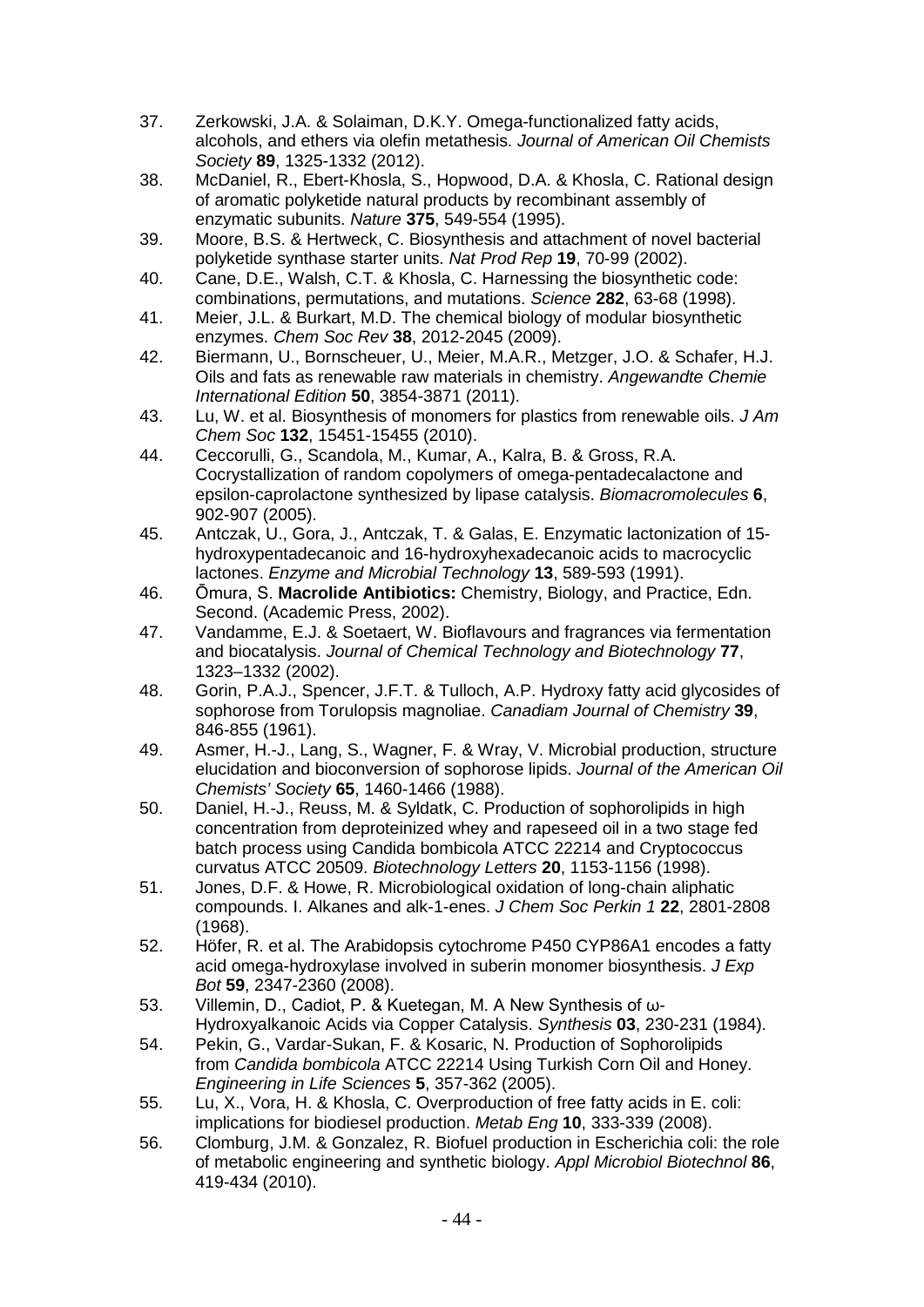- 37. Zerkowski, J.A. & Solaiman, D.K.Y. Omega-functionalized fatty acids, alcohols, and ethers via olefin metathesis. *Journal of American Oil Chemists Society* **89**, 1325-1332 (2012).
- 38. McDaniel, R., Ebert-Khosla, S., Hopwood, D.A. & Khosla, C. Rational design of aromatic polyketide natural products by recombinant assembly of enzymatic subunits. *Nature* **375**, 549-554 (1995).
- 39. Moore, B.S. & Hertweck, C. Biosynthesis and attachment of novel bacterial polyketide synthase starter units. *Nat Prod Rep* **19**, 70-99 (2002).
- 40. Cane, D.E., Walsh, C.T. & Khosla, C. Harnessing the biosynthetic code: combinations, permutations, and mutations. *Science* **282**, 63-68 (1998).
- 41. Meier, J.L. & Burkart, M.D. The chemical biology of modular biosynthetic enzymes. *Chem Soc Rev* **38**, 2012-2045 (2009).
- 42. Biermann, U., Bornscheuer, U., Meier, M.A.R., Metzger, J.O. & Schafer, H.J. Oils and fats as renewable raw materials in chemistry. *Angewandte Chemie International Edition* **50**, 3854-3871 (2011).
- 43. Lu, W. et al. Biosynthesis of monomers for plastics from renewable oils. *J Am Chem Soc* **132**, 15451-15455 (2010).
- 44. Ceccorulli, G., Scandola, M., Kumar, A., Kalra, B. & Gross, R.A. Cocrystallization of random copolymers of omega-pentadecalactone and epsilon-caprolactone synthesized by lipase catalysis. *Biomacromolecules* **6**, 902-907 (2005).
- 45. Antczak, U., Gora, J., Antczak, T. & Galas, E. Enzymatic lactonization of 15 hydroxypentadecanoic and 16-hydroxyhexadecanoic acids to macrocyclic lactones. *Enzyme and Microbial Technology* **13**, 589-593 (1991).
- 46. Ōmura, S. **Macrolide Antibiotics:** Chemistry, Biology, and Practice, Edn. Second. (Academic Press, 2002).
- 47. Vandamme, E.J. & Soetaert, W. Bioflavours and fragrances via fermentation and biocatalysis. *Journal of Chemical Technology and Biotechnology* **77**, 1323–1332 (2002).
- 48. Gorin, P.A.J., Spencer, J.F.T. & Tulloch, A.P. Hydroxy fatty acid glycosides of sophorose from Torulopsis magnoliae. *Canadiam Journal of Chemistry* **39**, 846-855 (1961).
- 49. Asmer, H.-J., Lang, S., Wagner, F. & Wray, V. Microbial production, structure elucidation and bioconversion of sophorose lipids. *Journal of the American Oil Chemists' Society* **65**, 1460-1466 (1988).
- 50. Daniel, H.-J., Reuss, M. & Syldatk, C. Production of sophorolipids in high concentration from deproteinized whey and rapeseed oil in a two stage fed batch process using Candida bombicola ATCC 22214 and Cryptococcus curvatus ATCC 20509. *Biotechnology Letters* **20**, 1153-1156 (1998).
- 51. Jones, D.F. & Howe, R. Microbiological oxidation of long-chain aliphatic compounds. I. Alkanes and alk-1-enes. *J Chem Soc Perkin 1* **22**, 2801-2808 (1968).
- 52. Höfer, R. et al. The Arabidopsis cytochrome P450 CYP86A1 encodes a fatty acid omega-hydroxylase involved in suberin monomer biosynthesis. *J Exp Bot* **59**, 2347-2360 (2008).
- 53. Villemin, D., Cadiot, P. & Kuetegan, M. A New Synthesis of ω-Hydroxyalkanoic Acids via Copper Catalysis. *Synthesis* **03**, 230-231 (1984).
- 54. Pekin, G., Vardar-Sukan, F. & Kosaric, N. Production of Sophorolipids from *Candida bombicola* ATCC 22214 Using Turkish Corn Oil and Honey. *Engineering in Life Sciences* **5**, 357-362 (2005).
- 55. Lu, X., Vora, H. & Khosla, C. Overproduction of free fatty acids in E. coli: implications for biodiesel production. *Metab Eng* **10**, 333-339 (2008).
- 56. Clomburg, J.M. & Gonzalez, R. Biofuel production in Escherichia coli: the role of metabolic engineering and synthetic biology. *Appl Microbiol Biotechnol* **86**, 419-434 (2010).